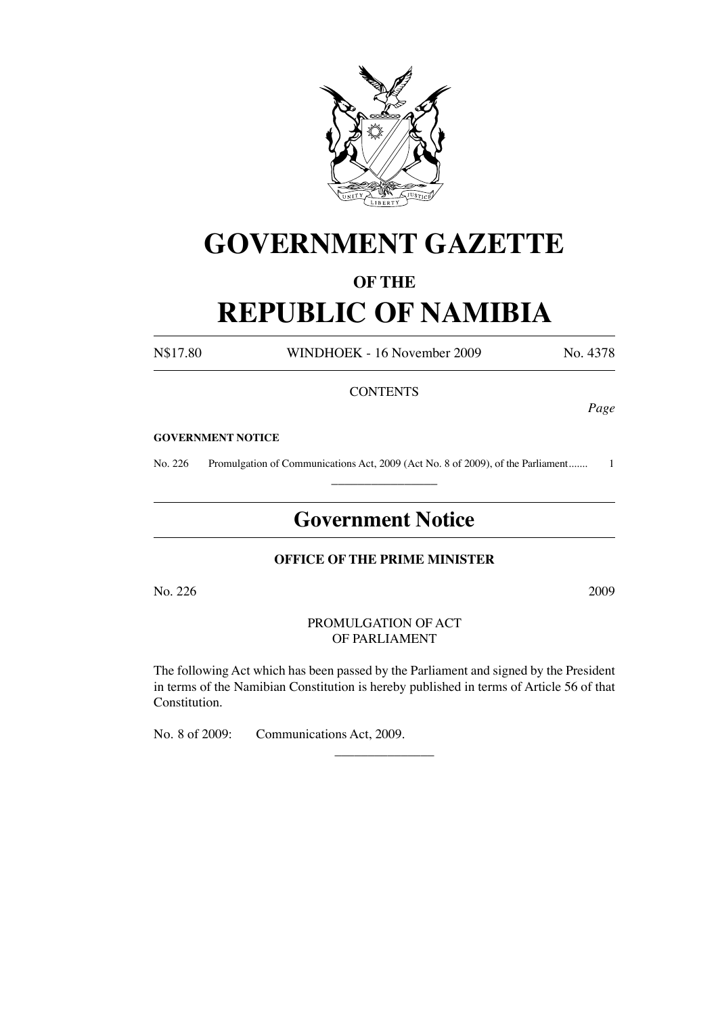

# **GOVERNMENT GAZETTE**

## **OF THE**

# **REPUBLIC OF NAMIBIA**

N\$17.80 WINDHOEK - 16 November 2009 No. 4378

#### **CONTENTS**

*Page*

#### **GOVERNMENT NOTICE**

No. 226 Promulgation of Communications Act, 2009 (Act No. 8 of 2009), of the Parliament....... 1  $\overline{\phantom{a}}$  , where  $\overline{\phantom{a}}$ 

# **Government Notice**

### **OFFICE OF THE PRIME MINISTER**

No. 226 2009

#### PROMULGATION OF ACT OF PARLIAMENT

The following Act which has been passed by the Parliament and signed by the President in terms of the Namibian Constitution is hereby published in terms of Article 56 of that Constitution.

 $\overline{\phantom{a}}$  , where  $\overline{\phantom{a}}$ 

No. 8 of 2009: Communications Act, 2009.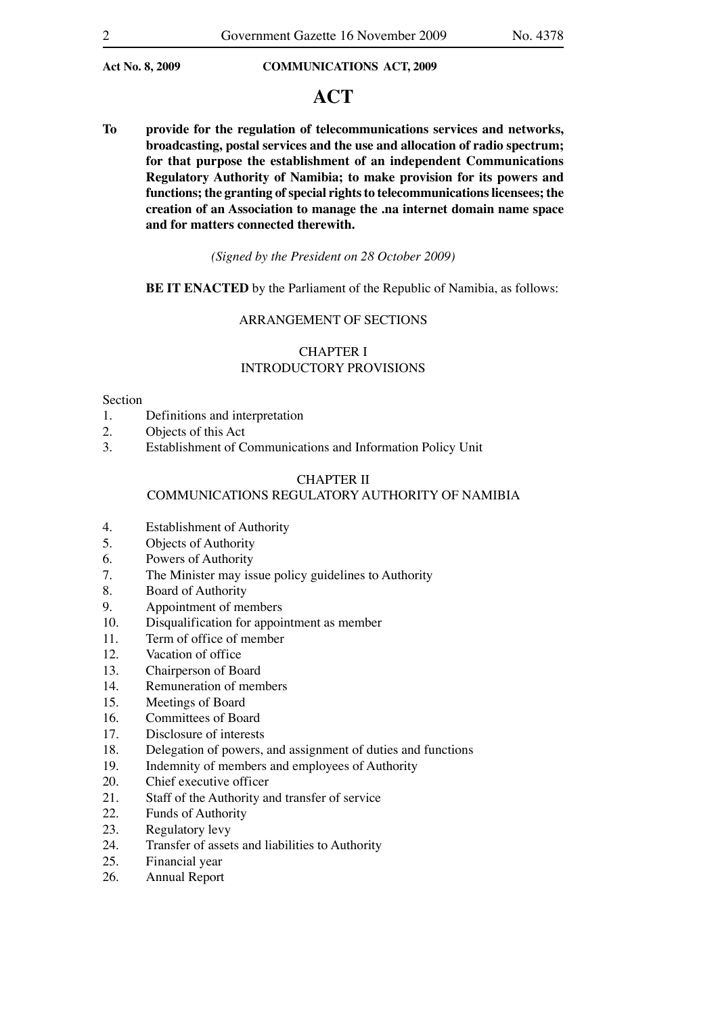# **ACT**

**To provide for the regulation of telecommunications services and networks, broadcasting, postal services and the use and allocation of radio spectrum; for that purpose the establishment of an independent Communications Regulatory Authority of Namibia; to make provision for its powers and functions; the granting of special rights to telecommunications licensees; the creation of an Association to manage the .na internet domain name space and for matters connected therewith.**

#### *(Signed by the President on 28 October 2009)*

#### **BE IT ENACTED** by the Parliament of the Republic of Namibia, as follows:

#### ARRANGEMENT OF SECTIONS

### CHAPTER I INTRODUCTORY PROVISIONS

#### Section

- 1. Definitions and interpretation
- 2. Objects of this Act
- 3. Establishment of Communications and Information Policy Unit

#### CHAPTER II

### COMMUNICATIONS REGULATORY AUTHORITY OF NAMIBIA

- 4. Establishment of Authority
- 5. Objects of Authority
- 6. Powers of Authority<br>7. The Minister may is
- The Minister may issue policy guidelines to Authority
- 8. Board of Authority
- 9. Appointment of members
- 10. Disqualification for appointment as member
- 11. Term of office of member
- 12. Vacation of office
- 13. Chairperson of Board
- 14. Remuneration of members
- 15. Meetings of Board
- 16. Committees of Board
- 17. Disclosure of interests
- 18. Delegation of powers, and assignment of duties and functions
- 19. Indemnity of members and employees of Authority
- 20. Chief executive officer
- 21. Staff of the Authority and transfer of service
- 22. Funds of Authority
- 23. Regulatory levy
- 24. Transfer of assets and liabilities to Authority
- 25. Financial year
- 26. Annual Report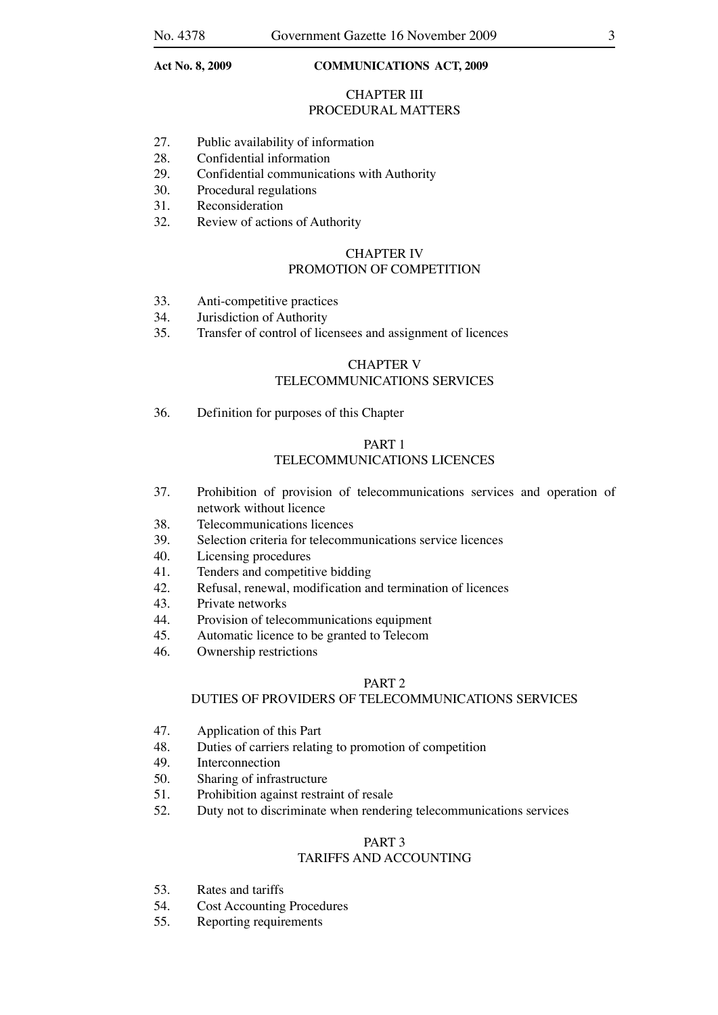### CHAPTER III PROCEDURAL MATTERS

- 27. Public availability of information
- 28. Confidential information
- 29. Confidential communications with Authority
- 30. Procedural regulations
- 31. Reconsideration
- 32. Review of actions of Authority

#### CHAPTER IV PROMOTION OF COMPETITION

- 33. Anti-competitive practices
- 34. Jurisdiction of Authority
- 35. Transfer of control of licensees and assignment of licences

#### CHAPTER V TELECOMMUNICATIONS SERVICES

36. Definition for purposes of this Chapter

### PART 1 TELECOMMUNICATIONS LICENCES

- 37. Prohibition of provision of telecommunications services and operation of network without licence
- 38. Telecommunications licences
- 39. Selection criteria for telecommunications service licences
- 40. Licensing procedures
- 41. Tenders and competitive bidding
- 42. Refusal, renewal, modification and termination of licences
- 43. Private networks
- 44. Provision of telecommunications equipment
- 45. Automatic licence to be granted to Telecom
- 46. Ownership restrictions

#### PART 2

#### DUTIES OF PROVIDERS OF TELECOMMUNICATIONS SERVICES

- 47. Application of this Part
- 48. Duties of carriers relating to promotion of competition
- 49. Interconnection
- 50. Sharing of infrastructure
- 51. Prohibition against restraint of resale
- 52. Duty not to discriminate when rendering telecommunications services

#### PART 3

### TARIFFS AND ACCOUNTING

- 53. Rates and tariffs
- 54. Cost Accounting Procedures
- 55. Reporting requirements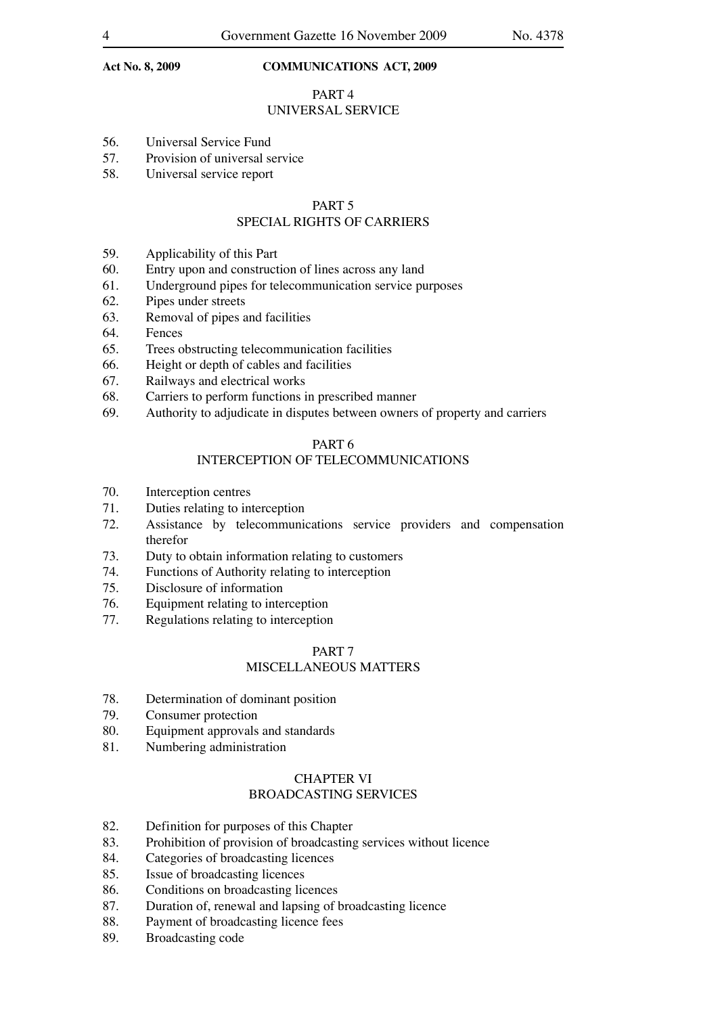PART 4

## UNIVERSAL SERVICE

- 56. Universal Service Fund
- 57. Provision of universal service
- 58. Universal service report

#### PART 5

### SPECIAL RIGHTS OF CARRIERS

- 59. Applicability of this Part
- 60. Entry upon and construction of lines across any land
- 61. Underground pipes for telecommunication service purposes
- 62. Pipes under streets
- 63. Removal of pipes and facilities
- 64. Fences
- 65. Trees obstructing telecommunication facilities
- 66. Height or depth of cables and facilities
- 67. Railways and electrical works
- 68. Carriers to perform functions in prescribed manner
- 69. Authority to adjudicate in disputes between owners of property and carriers

#### PART 6

#### INTERCEPTION OF TELECOMMUNICATIONS

- 70. Interception centres
- 71. Duties relating to interception
- 72. Assistance by telecommunications service providers and compensation therefor
- 73. Duty to obtain information relating to customers
- 74. Functions of Authority relating to interception<br>75. Disclosure of information
- Disclosure of information
- 76. Equipment relating to interception
- 77. Regulations relating to interception

#### PART 7

### MISCELLANEOUS MATTERS

- 78. Determination of dominant position
- 79. Consumer protection
- 80. Equipment approvals and standards
- 81. Numbering administration

#### CHAPTER VI

### BROADCASTING SERVICES

- 82. Definition for purposes of this Chapter
- 83. Prohibition of provision of broadcasting services without licence
- 84. Categories of broadcasting licences
- 85. Issue of broadcasting licences
- 86. Conditions on broadcasting licences
- 87. Duration of, renewal and lapsing of broadcasting licence
- 88. Payment of broadcasting licence fees
- 89. Broadcasting code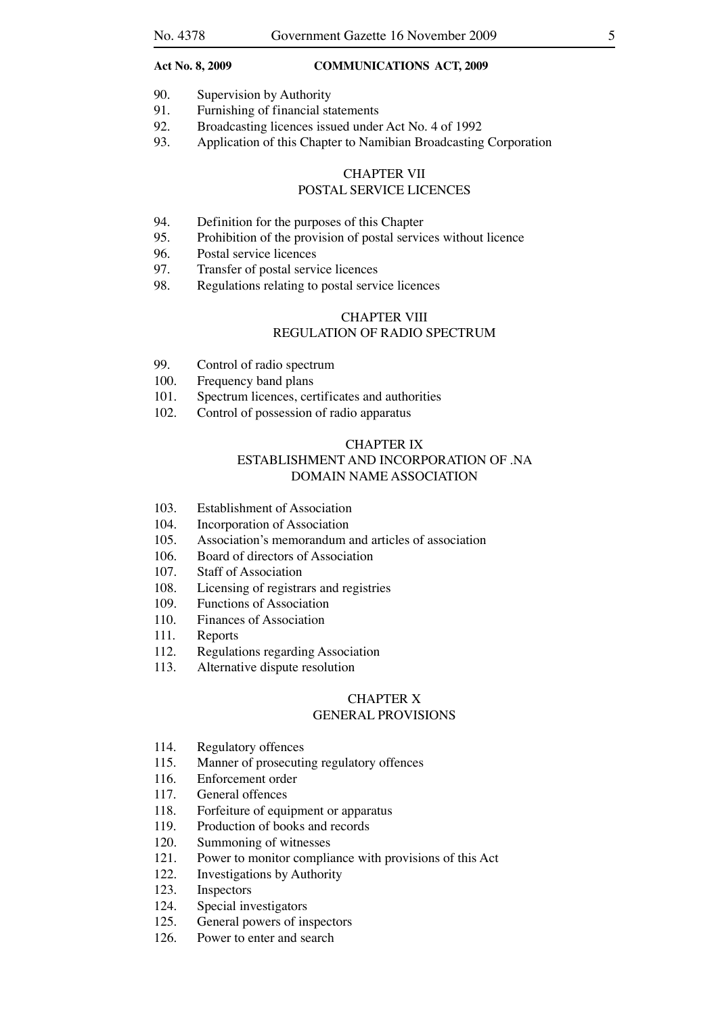- **Act No. 8, 2009 COMMUNICATIONS ACT, 2009**
- 90. Supervision by Authority
- 91. Furnishing of financial statements
- 92. Broadcasting licences issued under Act No. 4 of 1992
- 93. Application of this Chapter to Namibian Broadcasting Corporation

#### CHAPTER VII

#### POSTAL SERVICE LICENCES

- 94. Definition for the purposes of this Chapter
- 95. Prohibition of the provision of postal services without licence
- 96. Postal service licences
- 97. Transfer of postal service licences
- 98. Regulations relating to postal service licences

### CHAPTER VIII REGULATION OF RADIO SPECTRUM

- 99. Control of radio spectrum
- 100. Frequency band plans
- 101. Spectrum licences, certificates and authorities
- 102. Control of possession of radio apparatus

### CHAPTER IX

### ESTABLISHMENT AND INCORPORATION OF .NA DOMAIN NAME ASSOCIATION

- 103. Establishment of Association
- 104. Incorporation of Association
- 105. Association's memorandum and articles of association
- 106. Board of directors of Association
- 107. Staff of Association
- 108. Licensing of registrars and registries
- 109. Functions of Association
- 110. Finances of Association
- 111. Reports
- 112. Regulations regarding Association
- 113. Alternative dispute resolution

#### CHAPTER X

#### GENERAL PROVISIONS

- 114. Regulatory offences
- 115. Manner of prosecuting regulatory offences
- 116. Enforcement order
- 117. General offences
- 118. Forfeiture of equipment or apparatus
- 119. Production of books and records
- 120. Summoning of witnesses
- 121. Power to monitor compliance with provisions of this Act
- 122. Investigations by Authority
- 123. Inspectors
- 124. Special investigators
- 125. General powers of inspectors
- 126. Power to enter and search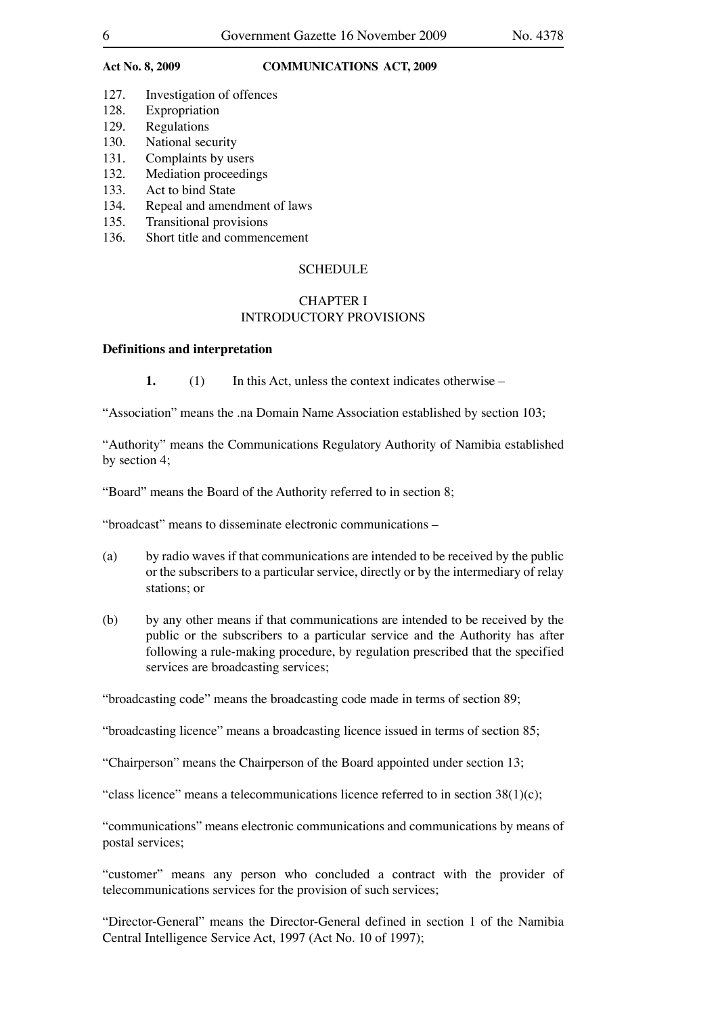- 127. Investigation of offences
- 128. Expropriation
- 129. Regulations
- 130. National security
- 131. Complaints by users
- 132. Mediation proceedings
- 133. Act to bind State
- 134. Repeal and amendment of laws
- 135. Transitional provisions
- 136. Short title and commencement

#### **SCHEDULE**

### CHAPTER I INTRODUCTORY PROVISIONS

#### **Definitions and interpretation**

**1.** (1) In this Act, unless the context indicates otherwise –

"Association" means the .na Domain Name Association established by section 103;

"Authority" means the Communications Regulatory Authority of Namibia established by section 4;

"Board" means the Board of the Authority referred to in section 8;

"broadcast" means to disseminate electronic communications –

- (a) by radio waves if that communications are intended to be received by the public or the subscribers to a particular service, directly or by the intermediary of relay stations; or
- (b) by any other means if that communications are intended to be received by the public or the subscribers to a particular service and the Authority has after following a rule-making procedure, by regulation prescribed that the specified services are broadcasting services;

"broadcasting code" means the broadcasting code made in terms of section 89;

"broadcasting licence" means a broadcasting licence issued in terms of section 85;

"Chairperson" means the Chairperson of the Board appointed under section 13;

"class licence" means a telecommunications licence referred to in section  $38(1)(c)$ ;

"communications" means electronic communications and communications by means of postal services;

"customer" means any person who concluded a contract with the provider of telecommunications services for the provision of such services;

"Director-General" means the Director-General defined in section 1 of the Namibia Central Intelligence Service Act, 1997 (Act No. 10 of 1997);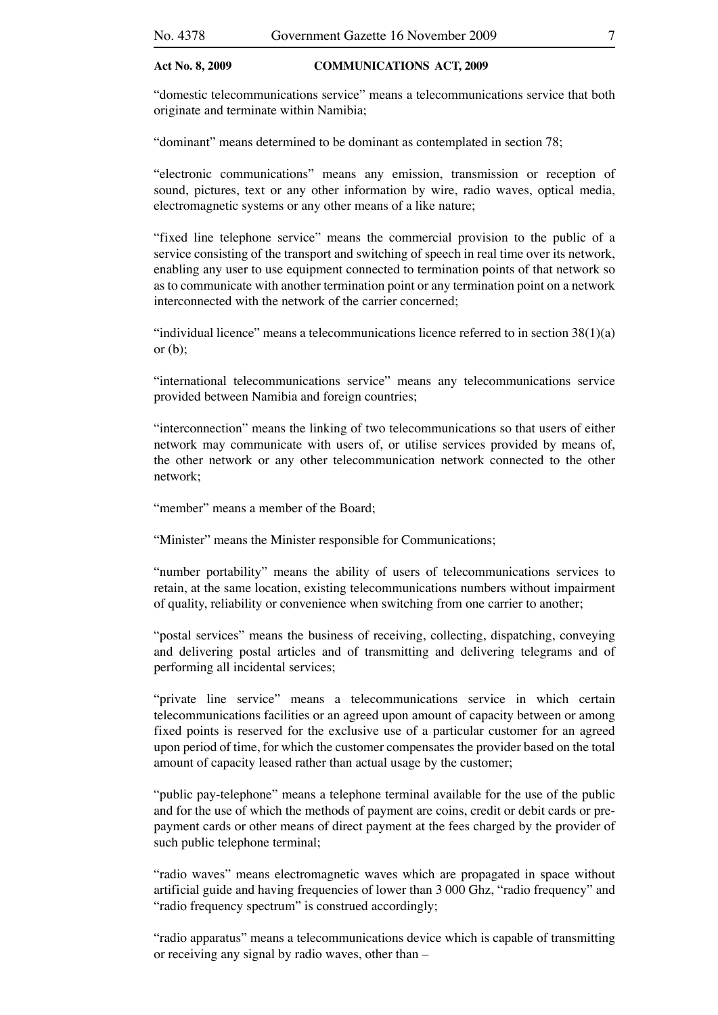"domestic telecommunications service" means a telecommunications service that both originate and terminate within Namibia;

"dominant" means determined to be dominant as contemplated in section 78;

"electronic communications" means any emission, transmission or reception of sound, pictures, text or any other information by wire, radio waves, optical media, electromagnetic systems or any other means of a like nature;

"fixed line telephone service" means the commercial provision to the public of a service consisting of the transport and switching of speech in real time over its network, enabling any user to use equipment connected to termination points of that network so as to communicate with another termination point or any termination point on a network interconnected with the network of the carrier concerned;

"individual licence" means a telecommunications licence referred to in section  $38(1)(a)$ or  $(b)$ ;

"international telecommunications service" means any telecommunications service provided between Namibia and foreign countries;

"interconnection" means the linking of two telecommunications so that users of either network may communicate with users of, or utilise services provided by means of, the other network or any other telecommunication network connected to the other network;

"member" means a member of the Board;

"Minister" means the Minister responsible for Communications;

"number portability" means the ability of users of telecommunications services to retain, at the same location, existing telecommunications numbers without impairment of quality, reliability or convenience when switching from one carrier to another;

"postal services" means the business of receiving, collecting, dispatching, conveying and delivering postal articles and of transmitting and delivering telegrams and of performing all incidental services;

"private line service" means a telecommunications service in which certain telecommunications facilities or an agreed upon amount of capacity between or among fixed points is reserved for the exclusive use of a particular customer for an agreed upon period of time, for which the customer compensates the provider based on the total amount of capacity leased rather than actual usage by the customer;

"public pay-telephone" means a telephone terminal available for the use of the public and for the use of which the methods of payment are coins, credit or debit cards or prepayment cards or other means of direct payment at the fees charged by the provider of such public telephone terminal;

"radio waves" means electromagnetic waves which are propagated in space without artificial guide and having frequencies of lower than 3 000 Ghz, "radio frequency" and "radio frequency spectrum" is construed accordingly;

"radio apparatus" means a telecommunications device which is capable of transmitting or receiving any signal by radio waves, other than –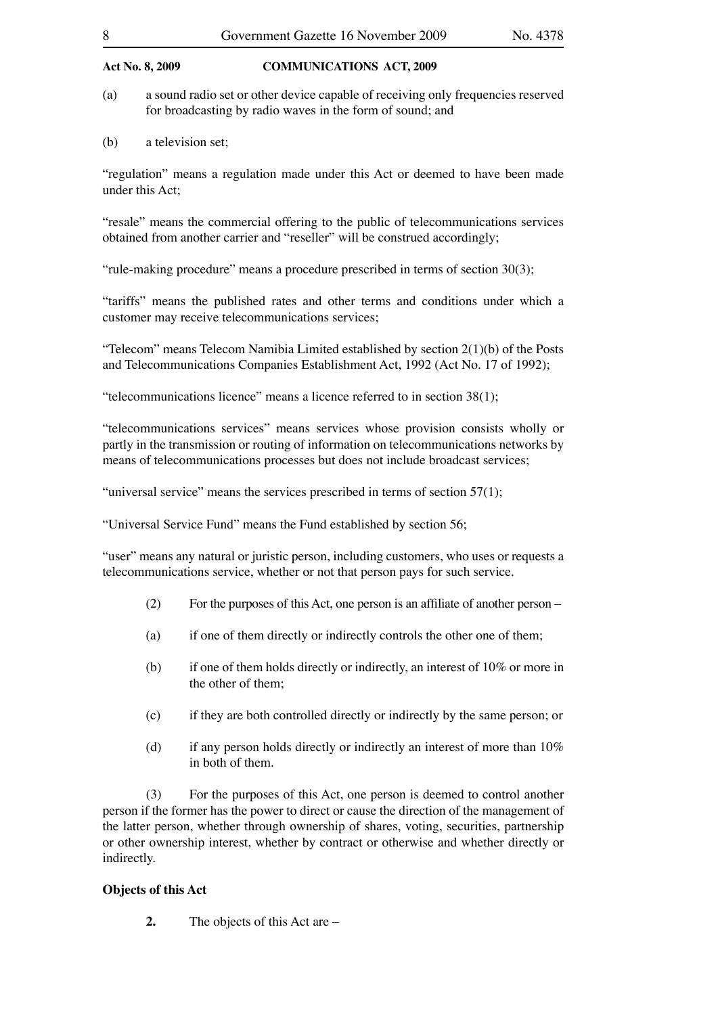- (a) a sound radio set or other device capable of receiving only frequencies reserved for broadcasting by radio waves in the form of sound; and
- (b) a television set;

"regulation" means a regulation made under this Act or deemed to have been made under this Act;

"resale" means the commercial offering to the public of telecommunications services obtained from another carrier and "reseller" will be construed accordingly;

"rule-making procedure" means a procedure prescribed in terms of section 30(3);

"tariffs" means the published rates and other terms and conditions under which a customer may receive telecommunications services;

"Telecom" means Telecom Namibia Limited established by section 2(1)(b) of the Posts and Telecommunications Companies Establishment Act, 1992 (Act No. 17 of 1992);

"telecommunications licence" means a licence referred to in section 38(1);

"telecommunications services" means services whose provision consists wholly or partly in the transmission or routing of information on telecommunications networks by means of telecommunications processes but does not include broadcast services;

"universal service" means the services prescribed in terms of section  $57(1)$ ;

"Universal Service Fund" means the Fund established by section 56;

"user" means any natural or juristic person, including customers, who uses or requests a telecommunications service, whether or not that person pays for such service.

- (2) For the purposes of this Act, one person is an affiliate of another person –
- (a) if one of them directly or indirectly controls the other one of them;
- (b) if one of them holds directly or indirectly, an interest of 10% or more in the other of them;
- (c) if they are both controlled directly or indirectly by the same person; or
- (d) if any person holds directly or indirectly an interest of more than  $10\%$ in both of them.

 (3) For the purposes of this Act, one person is deemed to control another person if the former has the power to direct or cause the direction of the management of the latter person, whether through ownership of shares, voting, securities, partnership or other ownership interest, whether by contract or otherwise and whether directly or indirectly.

### **Objects of this Act**

 **2.** The objects of this Act are –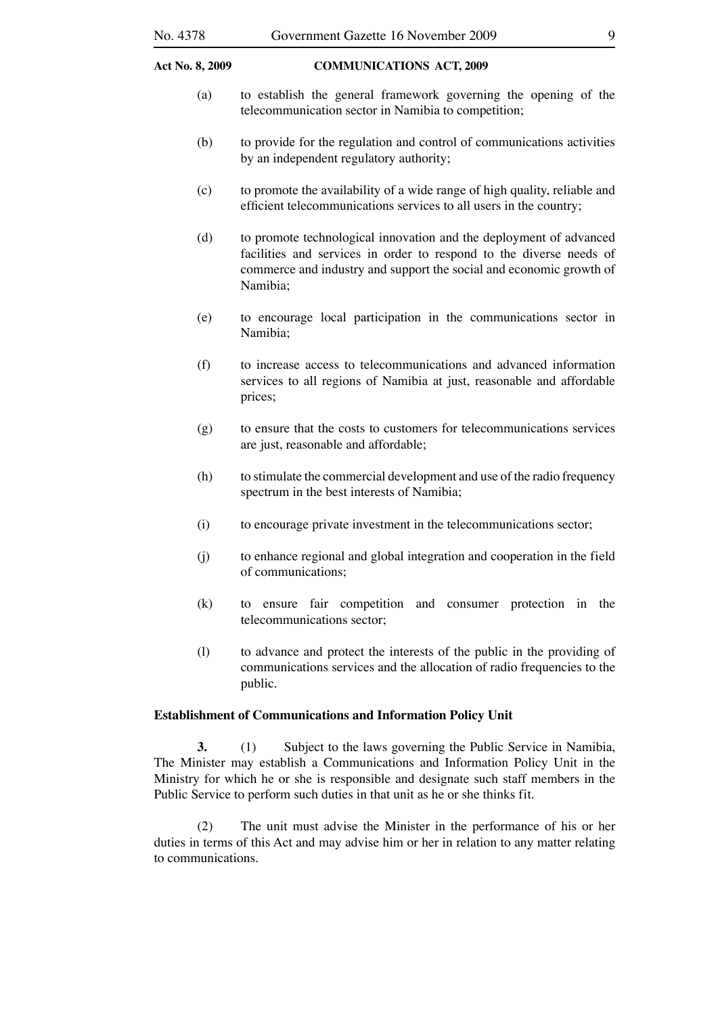- (a) to establish the general framework governing the opening of the telecommunication sector in Namibia to competition;
- (b) to provide for the regulation and control of communications activities by an independent regulatory authority;
- (c) to promote the availability of a wide range of high quality, reliable and efficient telecommunications services to all users in the country;
- (d) to promote technological innovation and the deployment of advanced facilities and services in order to respond to the diverse needs of commerce and industry and support the social and economic growth of Namibia;
- (e) to encourage local participation in the communications sector in Namibia;
- (f) to increase access to telecommunications and advanced information services to all regions of Namibia at just, reasonable and affordable prices;
- (g) to ensure that the costs to customers for telecommunications services are just, reasonable and affordable;
- (h) to stimulate the commercial development and use of the radio frequency spectrum in the best interests of Namibia;
- (i) to encourage private investment in the telecommunications sector;
- (j) to enhance regional and global integration and cooperation in the field of communications;
- (k) to ensure fair competition and consumer protection in the telecommunications sector;
- (l) to advance and protect the interests of the public in the providing of communications services and the allocation of radio frequencies to the public.

#### **Establishment of Communications and Information Policy Unit**

 **3.** (1) Subject to the laws governing the Public Service in Namibia, The Minister may establish a Communications and Information Policy Unit in the Ministry for which he or she is responsible and designate such staff members in the Public Service to perform such duties in that unit as he or she thinks fit.

 (2) The unit must advise the Minister in the performance of his or her duties in terms of this Act and may advise him or her in relation to any matter relating to communications.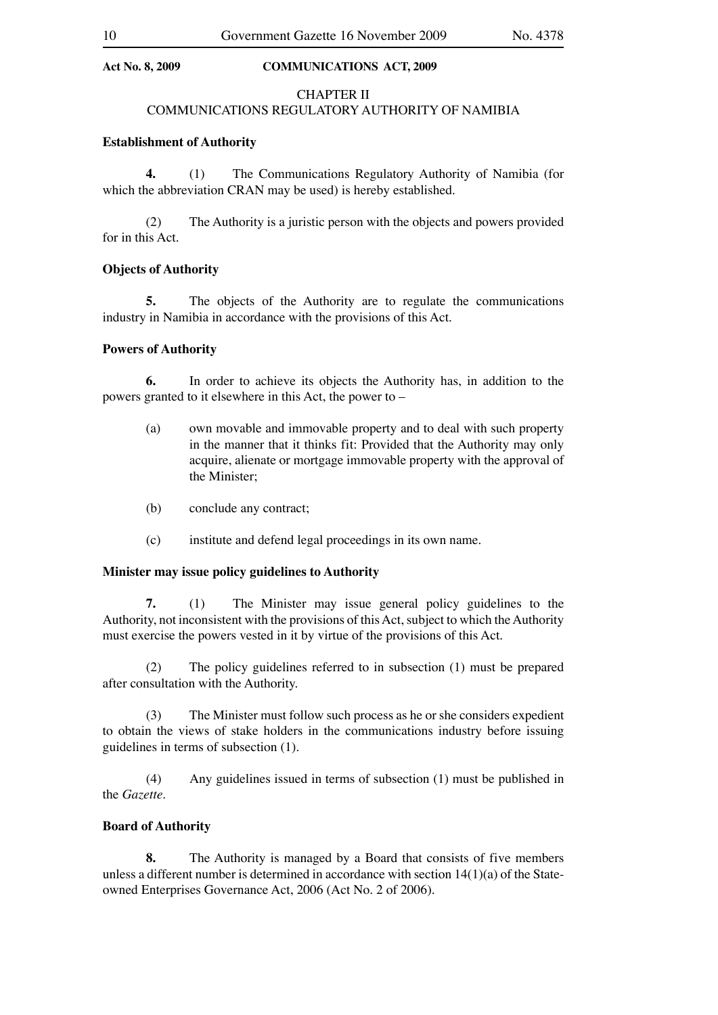#### CHAPTER II

### COMMUNICATIONS REGULATORY AUTHORITY OF NAMIBIA

#### **Establishment of Authority**

 **4.** (1) The Communications Regulatory Authority of Namibia (for which the abbreviation CRAN may be used) is hereby established.

 (2) The Authority is a juristic person with the objects and powers provided for in this Act.

#### **Objects of Authority**

 **5.** The objects of the Authority are to regulate the communications industry in Namibia in accordance with the provisions of this Act.

#### **Powers of Authority**

 **6.** In order to achieve its objects the Authority has, in addition to the powers granted to it elsewhere in this Act, the power to –

- (a) own movable and immovable property and to deal with such property in the manner that it thinks fit: Provided that the Authority may only acquire, alienate or mortgage immovable property with the approval of the Minister;
- (b) conclude any contract;
- (c) institute and defend legal proceedings in its own name.

#### **Minister may issue policy guidelines to Authority**

 **7.** (1) The Minister may issue general policy guidelines to the Authority, not inconsistent with the provisions of this Act, subject to which the Authority must exercise the powers vested in it by virtue of the provisions of this Act.

 (2) The policy guidelines referred to in subsection (1) must be prepared after consultation with the Authority.

 (3) The Minister must follow such process as he or she considers expedient to obtain the views of stake holders in the communications industry before issuing guidelines in terms of subsection (1).

 (4) Any guidelines issued in terms of subsection (1) must be published in the *Gazette*.

#### **Board of Authority**

**8.** The Authority is managed by a Board that consists of five members unless a different number is determined in accordance with section  $14(1)(a)$  of the Stateowned Enterprises Governance Act, 2006 (Act No. 2 of 2006).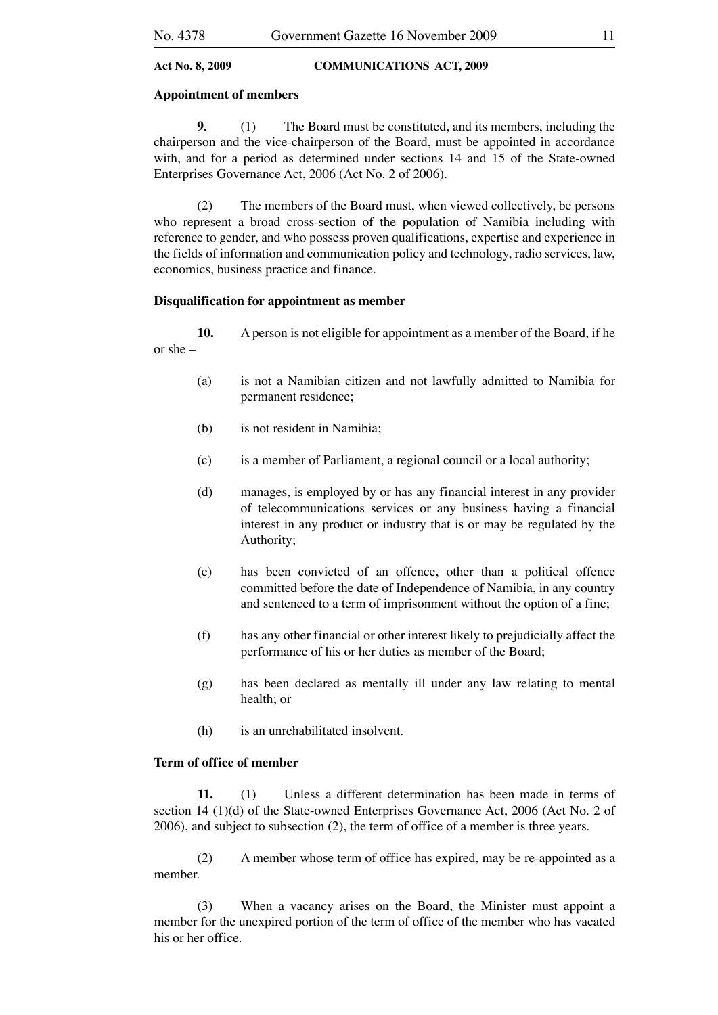#### **Appointment of members**

**9.** (1) The Board must be constituted, and its members, including the chairperson and the vice-chairperson of the Board, must be appointed in accordance with, and for a period as determined under sections 14 and 15 of the State-owned Enterprises Governance Act, 2006 (Act No. 2 of 2006).

 (2) The members of the Board must, when viewed collectively, be persons who represent a broad cross-section of the population of Namibia including with reference to gender, and who possess proven qualifications, expertise and experience in the fields of information and communication policy and technology, radio services, law, economics, business practice and finance.

#### **Disqualification for appointment as member**

 **10.** A person is not eligible for appointment as a member of the Board, if he or she –

- (a) is not a Namibian citizen and not lawfully admitted to Namibia for permanent residence;
- (b) is not resident in Namibia;
- (c) is a member of Parliament, a regional council or a local authority;
- (d) manages, is employed by or has any financial interest in any provider of telecommunications services or any business having a financial interest in any product or industry that is or may be regulated by the Authority;
- (e) has been convicted of an offence, other than a political offence committed before the date of Independence of Namibia, in any country and sentenced to a term of imprisonment without the option of a fine;
- (f) has any other financial or other interest likely to prejudicially affect the performance of his or her duties as member of the Board;
- (g) has been declared as mentally ill under any law relating to mental health; or
- (h) is an unrehabilitated insolvent.

### **Term of office of member**

 **11.** (1) Unless a different determination has been made in terms of section 14 (1)(d) of the State-owned Enterprises Governance Act, 2006 (Act No. 2 of 2006), and subject to subsection (2), the term of office of a member is three years.

 (2) A member whose term of office has expired, may be re-appointed as a member.

 (3) When a vacancy arises on the Board, the Minister must appoint a member for the unexpired portion of the term of office of the member who has vacated his or her office.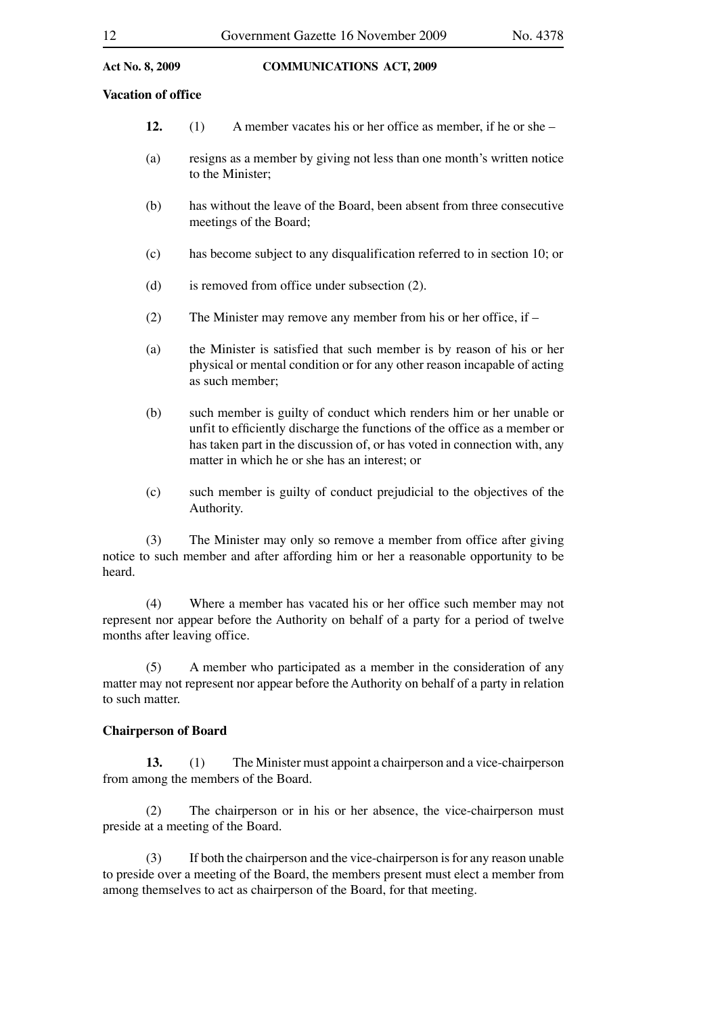# **Vacation of office**

- **12.** (1) A member vacates his or her office as member, if he or she –
- (a) resigns as a member by giving not less than one month's written notice to the Minister;
- (b) has without the leave of the Board, been absent from three consecutive meetings of the Board;
- (c) has become subject to any disqualification referred to in section 10; or
- (d) is removed from office under subsection (2).
- (2) The Minister may remove any member from his or her office, if –
- (a) the Minister is satisfied that such member is by reason of his or her physical or mental condition or for any other reason incapable of acting as such member;
- (b) such member is guilty of conduct which renders him or her unable or unfit to efficiently discharge the functions of the office as a member or has taken part in the discussion of, or has voted in connection with, any matter in which he or she has an interest; or
- (c) such member is guilty of conduct prejudicial to the objectives of the Authority.

 (3) The Minister may only so remove a member from office after giving notice to such member and after affording him or her a reasonable opportunity to be heard.

 (4) Where a member has vacated his or her office such member may not represent nor appear before the Authority on behalf of a party for a period of twelve months after leaving office.

 (5) A member who participated as a member in the consideration of any matter may not represent nor appear before the Authority on behalf of a party in relation to such matter.

#### **Chairperson of Board**

 **13.** (1) The Minister must appoint a chairperson and a vice-chairperson from among the members of the Board.

 (2) The chairperson or in his or her absence, the vice-chairperson must preside at a meeting of the Board.

 (3) If both the chairperson and the vice-chairperson is for any reason unable to preside over a meeting of the Board, the members present must elect a member from among themselves to act as chairperson of the Board, for that meeting.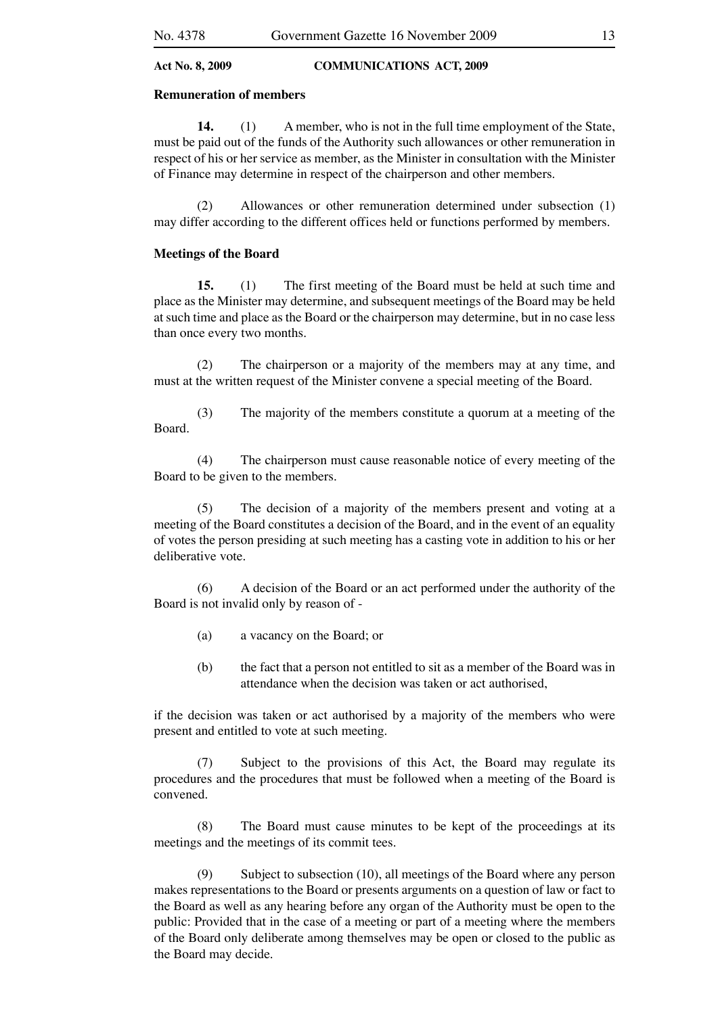#### **Remuneration of members**

 **14.** (1) A member, who is not in the full time employment of the State, must be paid out of the funds of the Authority such allowances or other remuneration in respect of his or her service as member, as the Minister in consultation with the Minister of Finance may determine in respect of the chairperson and other members.

 (2) Allowances or other remuneration determined under subsection (1) may differ according to the different offices held or functions performed by members.

#### **Meetings of the Board**

 **15.** (1) The first meeting of the Board must be held at such time and place as the Minister may determine, and subsequent meetings of the Board may be held at such time and place as the Board or the chairperson may determine, but in no case less than once every two months.

 (2) The chairperson or a majority of the members may at any time, and must at the written request of the Minister convene a special meeting of the Board.

 (3) The majority of the members constitute a quorum at a meeting of the Board.

 (4) The chairperson must cause reasonable notice of every meeting of the Board to be given to the members.

 (5) The decision of a majority of the members present and voting at a meeting of the Board constitutes a decision of the Board, and in the event of an equality of votes the person presiding at such meeting has a casting vote in addition to his or her deliberative vote.

 (6) A decision of the Board or an act performed under the authority of the Board is not invalid only by reason of -

- (a) a vacancy on the Board; or
- (b) the fact that a person not entitled to sit as a member of the Board was in attendance when the decision was taken or act authorised,

if the decision was taken or act authorised by a majority of the members who were present and entitled to vote at such meeting.

 (7) Subject to the provisions of this Act, the Board may regulate its procedures and the procedures that must be followed when a meeting of the Board is convened.

 (8) The Board must cause minutes to be kept of the proceedings at its meetings and the meetings of its commit tees.

 (9) Subject to subsection (10), all meetings of the Board where any person makes representations to the Board or presents arguments on a question of law or fact to the Board as well as any hearing before any organ of the Authority must be open to the public: Provided that in the case of a meeting or part of a meeting where the members of the Board only deliberate among themselves may be open or closed to the public as the Board may decide.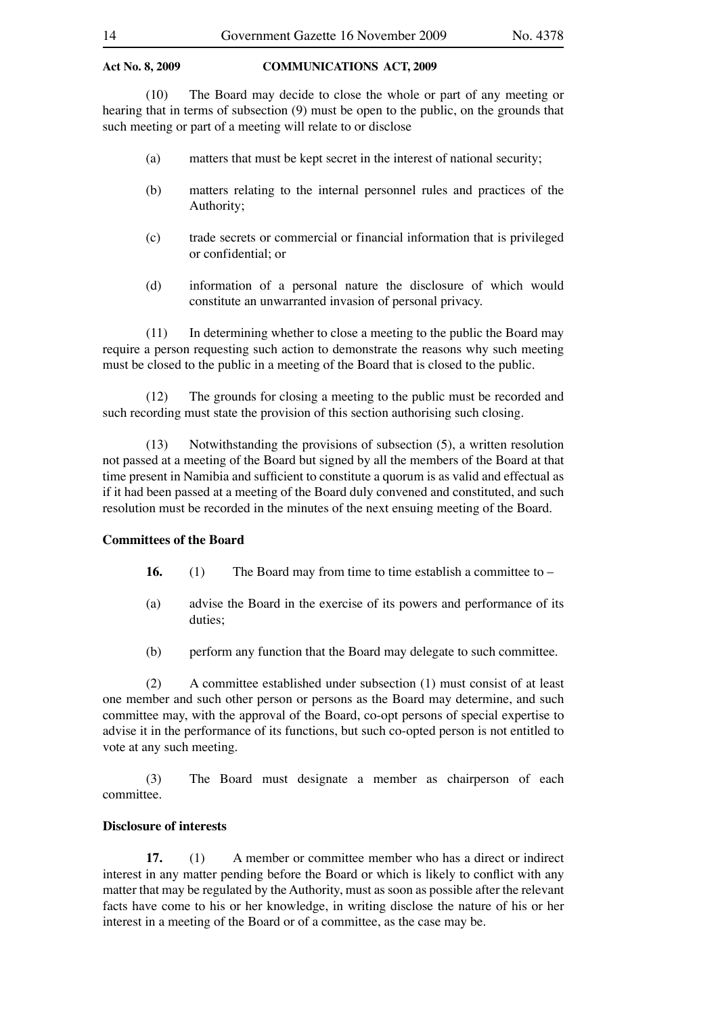(10) The Board may decide to close the whole or part of any meeting or hearing that in terms of subsection (9) must be open to the public, on the grounds that such meeting or part of a meeting will relate to or disclose

- (a) matters that must be kept secret in the interest of national security;
- (b) matters relating to the internal personnel rules and practices of the Authority;
- (c) trade secrets or commercial or financial information that is privileged or confidential; or
- (d) information of a personal nature the disclosure of which would constitute an unwarranted invasion of personal privacy.

 (11) In determining whether to close a meeting to the public the Board may require a person requesting such action to demonstrate the reasons why such meeting must be closed to the public in a meeting of the Board that is closed to the public.

 (12) The grounds for closing a meeting to the public must be recorded and such recording must state the provision of this section authorising such closing.

 (13) Notwithstanding the provisions of subsection (5), a written resolution not passed at a meeting of the Board but signed by all the members of the Board at that time present in Namibia and sufficient to constitute a quorum is as valid and effectual as if it had been passed at a meeting of the Board duly convened and constituted, and such resolution must be recorded in the minutes of the next ensuing meeting of the Board.

#### **Committees of the Board**

- **16.** (1) The Board may from time to time establish a committee to –
- (a) advise the Board in the exercise of its powers and performance of its duties;
- (b) perform any function that the Board may delegate to such committee.

 (2) A committee established under subsection (1) must consist of at least one member and such other person or persons as the Board may determine, and such committee may, with the approval of the Board, co-opt persons of special expertise to advise it in the performance of its functions, but such co-opted person is not entitled to vote at any such meeting.

 (3) The Board must designate a member as chairperson of each committee.

#### **Disclosure of interests**

 **17.** (1) A member or committee member who has a direct or indirect interest in any matter pending before the Board or which is likely to conflict with any matter that may be regulated by the Authority, must as soon as possible after the relevant facts have come to his or her knowledge, in writing disclose the nature of his or her interest in a meeting of the Board or of a committee, as the case may be.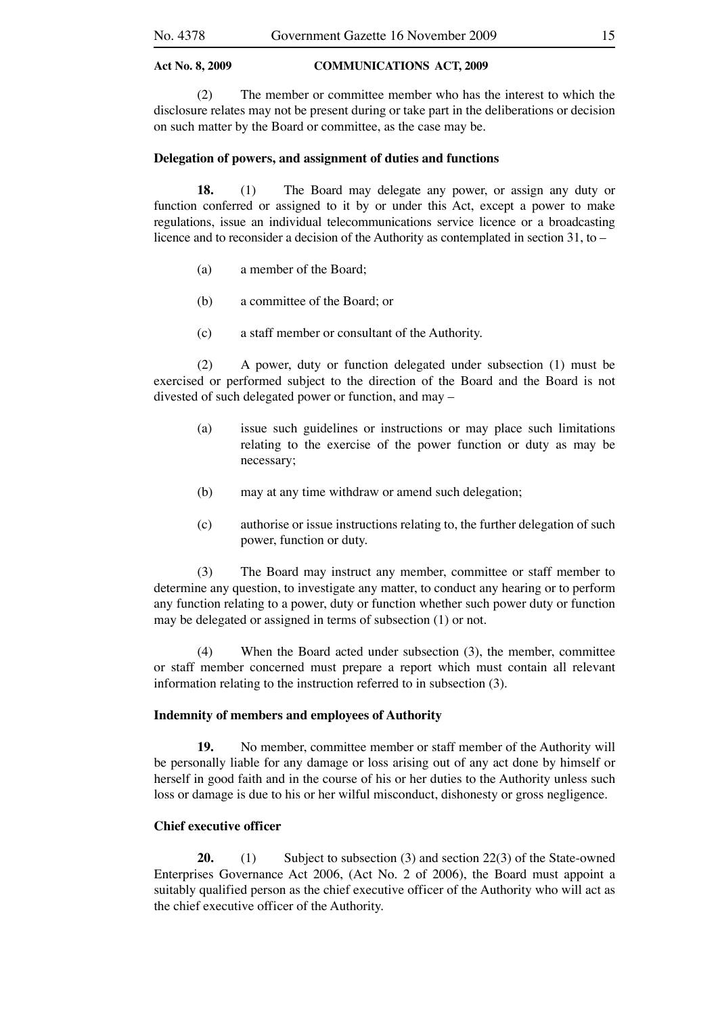(2) The member or committee member who has the interest to which the disclosure relates may not be present during or take part in the deliberations or decision on such matter by the Board or committee, as the case may be.

#### **Delegation of powers, and assignment of duties and functions**

18. (1) The Board may delegate any power, or assign any duty or function conferred or assigned to it by or under this Act, except a power to make regulations, issue an individual telecommunications service licence or a broadcasting licence and to reconsider a decision of the Authority as contemplated in section 31, to –

- (a) a member of the Board;
- (b) a committee of the Board; or
- (c) a staff member or consultant of the Authority.

 (2) A power, duty or function delegated under subsection (1) must be exercised or performed subject to the direction of the Board and the Board is not divested of such delegated power or function, and may –

- (a) issue such guidelines or instructions or may place such limitations relating to the exercise of the power function or duty as may be necessary;
- (b) may at any time withdraw or amend such delegation;
- (c) authorise or issue instructions relating to, the further delegation of such power, function or duty.

 (3) The Board may instruct any member, committee or staff member to determine any question, to investigate any matter, to conduct any hearing or to perform any function relating to a power, duty or function whether such power duty or function may be delegated or assigned in terms of subsection (1) or not.

 (4) When the Board acted under subsection (3), the member, committee or staff member concerned must prepare a report which must contain all relevant information relating to the instruction referred to in subsection (3).

#### **Indemnity of members and employees of Authority**

 **19.** No member, committee member or staff member of the Authority will be personally liable for any damage or loss arising out of any act done by himself or herself in good faith and in the course of his or her duties to the Authority unless such loss or damage is due to his or her wilful misconduct, dishonesty or gross negligence.

#### **Chief executive officer**

20. (1) Subject to subsection (3) and section 22(3) of the State-owned Enterprises Governance Act 2006, (Act No. 2 of 2006), the Board must appoint a suitably qualified person as the chief executive officer of the Authority who will act as the chief executive officer of the Authority.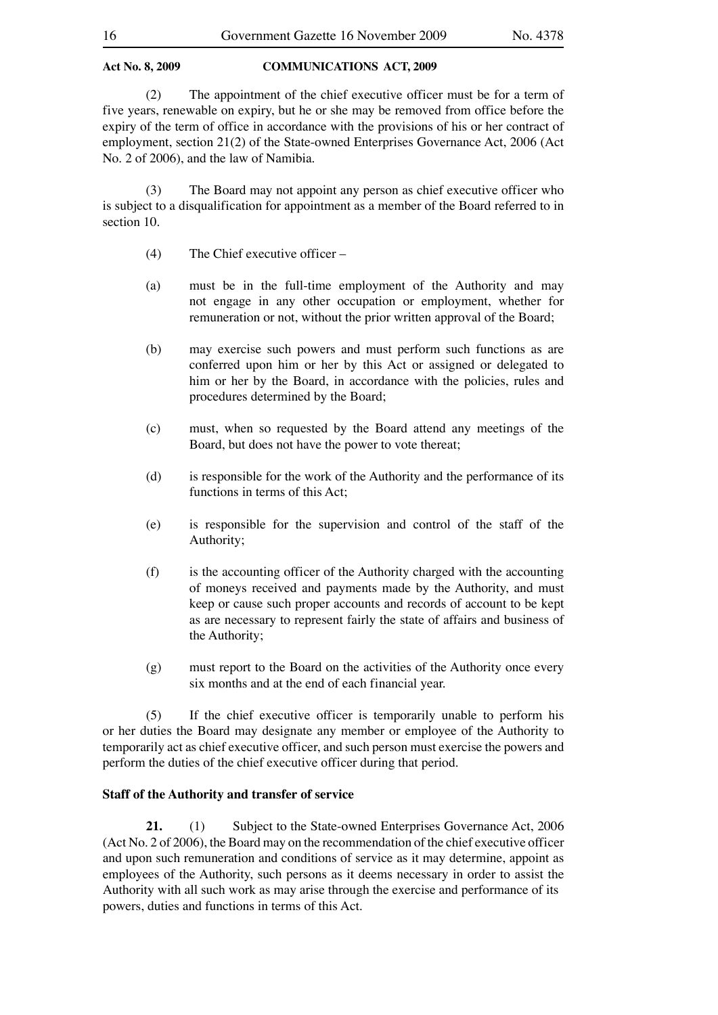(2) The appointment of the chief executive officer must be for a term of five years, renewable on expiry, but he or she may be removed from office before the expiry of the term of office in accordance with the provisions of his or her contract of employment, section 21(2) of the State-owned Enterprises Governance Act, 2006 (Act No. 2 of 2006), and the law of Namibia.

 (3) The Board may not appoint any person as chief executive officer who is subject to a disqualification for appointment as a member of the Board referred to in section 10.

- (4) The Chief executive officer –
- (a) must be in the full-time employment of the Authority and may not engage in any other occupation or employment, whether for remuneration or not, without the prior written approval of the Board;
- (b) may exercise such powers and must perform such functions as are conferred upon him or her by this Act or assigned or delegated to him or her by the Board, in accordance with the policies, rules and procedures determined by the Board;
- (c) must, when so requested by the Board attend any meetings of the Board, but does not have the power to vote thereat;
- (d) is responsible for the work of the Authority and the performance of its functions in terms of this Act;
- (e) is responsible for the supervision and control of the staff of the Authority;
- (f) is the accounting officer of the Authority charged with the accounting of moneys received and payments made by the Authority, and must keep or cause such proper accounts and records of account to be kept as are necessary to represent fairly the state of affairs and business of the Authority;
- (g) must report to the Board on the activities of the Authority once every six months and at the end of each financial year.

 (5) If the chief executive officer is temporarily unable to perform his or her duties the Board may designate any member or employee of the Authority to temporarily act as chief executive officer, and such person must exercise the powers and perform the duties of the chief executive officer during that period.

#### **Staff of the Authority and transfer of service**

 **21.** (1) Subject to the State-owned Enterprises Governance Act, 2006 (Act No. 2 of 2006), the Board may on the recommendation of the chief executive officer and upon such remuneration and conditions of service as it may determine, appoint as employees of the Authority, such persons as it deems necessary in order to assist the Authority with all such work as may arise through the exercise and performance of its powers, duties and functions in terms of this Act.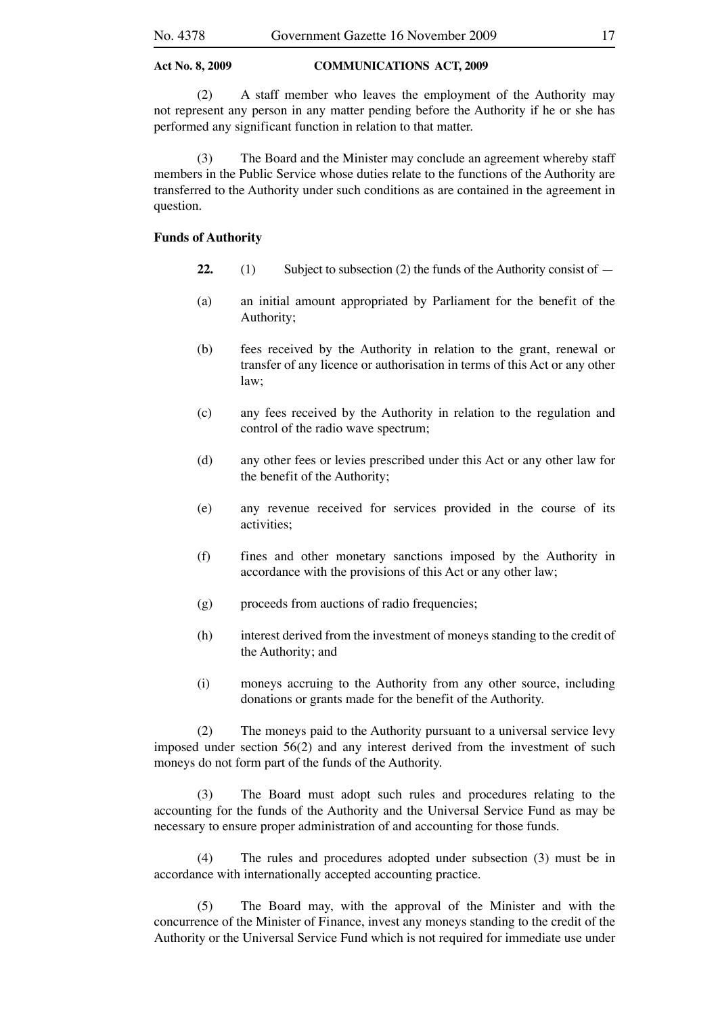(2) A staff member who leaves the employment of the Authority may not represent any person in any matter pending before the Authority if he or she has performed any significant function in relation to that matter.

The Board and the Minister may conclude an agreement whereby staff members in the Public Service whose duties relate to the functions of the Authority are transferred to the Authority under such conditions as are contained in the agreement in question.

#### **Funds of Authority**

- 22. (1) Subject to subsection (2) the funds of the Authority consist of —
- (a) an initial amount appropriated by Parliament for the benefit of the Authority;
- (b) fees received by the Authority in relation to the grant, renewal or transfer of any licence or authorisation in terms of this Act or any other law;
- (c) any fees received by the Authority in relation to the regulation and control of the radio wave spectrum;
- (d) any other fees or levies prescribed under this Act or any other law for the benefit of the Authority;
- (e) any revenue received for services provided in the course of its activities;
- (f) fines and other monetary sanctions imposed by the Authority in accordance with the provisions of this Act or any other law;
- (g) proceeds from auctions of radio frequencies;
- (h) interest derived from the investment of moneys standing to the credit of the Authority; and
- (i) moneys accruing to the Authority from any other source, including donations or grants made for the benefit of the Authority.

 (2) The moneys paid to the Authority pursuant to a universal service levy imposed under section 56(2) and any interest derived from the investment of such moneys do not form part of the funds of the Authority.

 (3) The Board must adopt such rules and procedures relating to the accounting for the funds of the Authority and the Universal Service Fund as may be necessary to ensure proper administration of and accounting for those funds.

 (4) The rules and procedures adopted under subsection (3) must be in accordance with internationally accepted accounting practice.

 (5) The Board may, with the approval of the Minister and with the concurrence of the Minister of Finance, invest any moneys standing to the credit of the Authority or the Universal Service Fund which is not required for immediate use under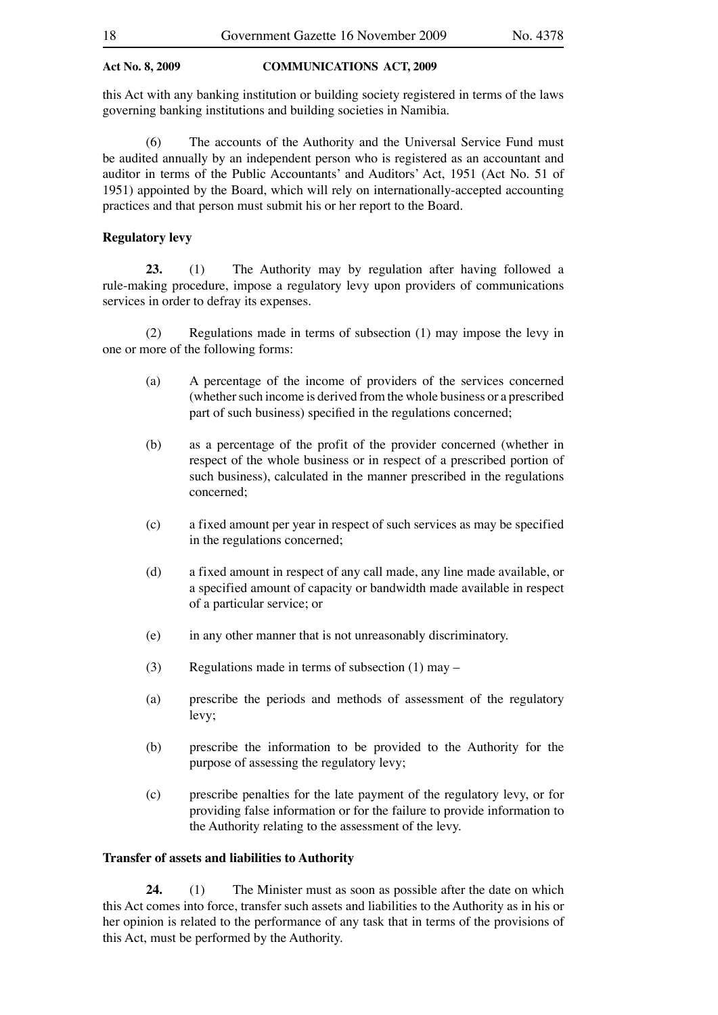this Act with any banking institution or building society registered in terms of the laws governing banking institutions and building societies in Namibia.

 (6) The accounts of the Authority and the Universal Service Fund must be audited annually by an independent person who is registered as an accountant and auditor in terms of the Public Accountants' and Auditors' Act, 1951 (Act No. 51 of 1951) appointed by the Board, which will rely on internationally-accepted accounting practices and that person must submit his or her report to the Board.

#### **Regulatory levy**

 **23.** (1) The Authority may by regulation after having followed a rule-making procedure, impose a regulatory levy upon providers of communications services in order to defray its expenses.

 (2) Regulations made in terms of subsection (1) may impose the levy in one or more of the following forms:

- (a) A percentage of the income of providers of the services concerned (whether such income is derived from the whole business or a prescribed part of such business) specified in the regulations concerned;
- (b) as a percentage of the profit of the provider concerned (whether in respect of the whole business or in respect of a prescribed portion of such business), calculated in the manner prescribed in the regulations concerned;
- (c) a fixed amount per year in respect of such services as may be specified in the regulations concerned;
- (d) a fixed amount in respect of any call made, any line made available, or a specified amount of capacity or bandwidth made available in respect of a particular service; or
- (e) in any other manner that is not unreasonably discriminatory.
- (3) Regulations made in terms of subsection (1) may –
- (a) prescribe the periods and methods of assessment of the regulatory levy;
- (b) prescribe the information to be provided to the Authority for the purpose of assessing the regulatory levy;
- (c) prescribe penalties for the late payment of the regulatory levy, or for providing false information or for the failure to provide information to the Authority relating to the assessment of the levy.

#### **Transfer of assets and liabilities to Authority**

 **24.** (1) The Minister must as soon as possible after the date on which this Act comes into force, transfer such assets and liabilities to the Authority as in his or her opinion is related to the performance of any task that in terms of the provisions of this Act, must be performed by the Authority.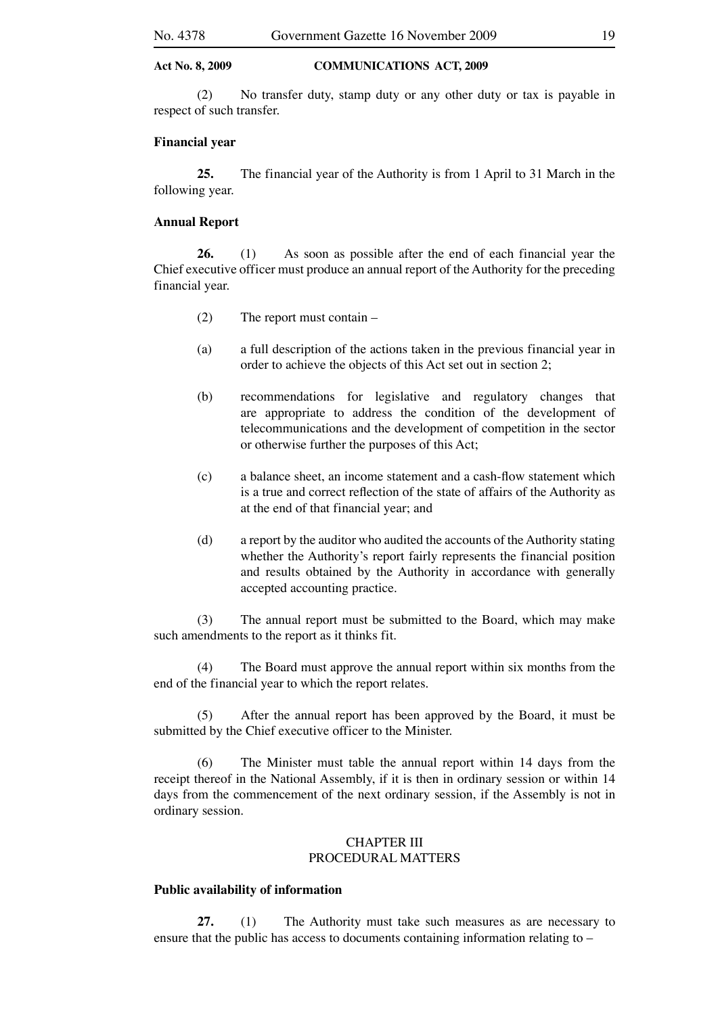(2) No transfer duty, stamp duty or any other duty or tax is payable in respect of such transfer.

#### **Financial year**

 **25.** The financial year of the Authority is from 1 April to 31 March in the following year.

#### **Annual Report**

 **26.** (1) As soon as possible after the end of each financial year the Chief executive officer must produce an annual report of the Authority for the preceding financial year.

- (2) The report must contain –
- (a) a full description of the actions taken in the previous financial year in order to achieve the objects of this Act set out in section 2;
- (b) recommendations for legislative and regulatory changes that are appropriate to address the condition of the development of telecommunications and the development of competition in the sector or otherwise further the purposes of this Act;
- (c) a balance sheet, an income statement and a cash-flow statement which is a true and correct reflection of the state of affairs of the Authority as at the end of that financial year; and
- (d) a report by the auditor who audited the accounts of the Authority stating whether the Authority's report fairly represents the financial position and results obtained by the Authority in accordance with generally accepted accounting practice.

 (3) The annual report must be submitted to the Board, which may make such amendments to the report as it thinks fit.

 (4) The Board must approve the annual report within six months from the end of the financial year to which the report relates.

 (5) After the annual report has been approved by the Board, it must be submitted by the Chief executive officer to the Minister.

 (6) The Minister must table the annual report within 14 days from the receipt thereof in the National Assembly, if it is then in ordinary session or within 14 days from the commencement of the next ordinary session, if the Assembly is not in ordinary session.

#### CHAPTER III PROCEDURAL MATTERS

#### **Public availability of information**

 **27.** (1) The Authority must take such measures as are necessary to ensure that the public has access to documents containing information relating to –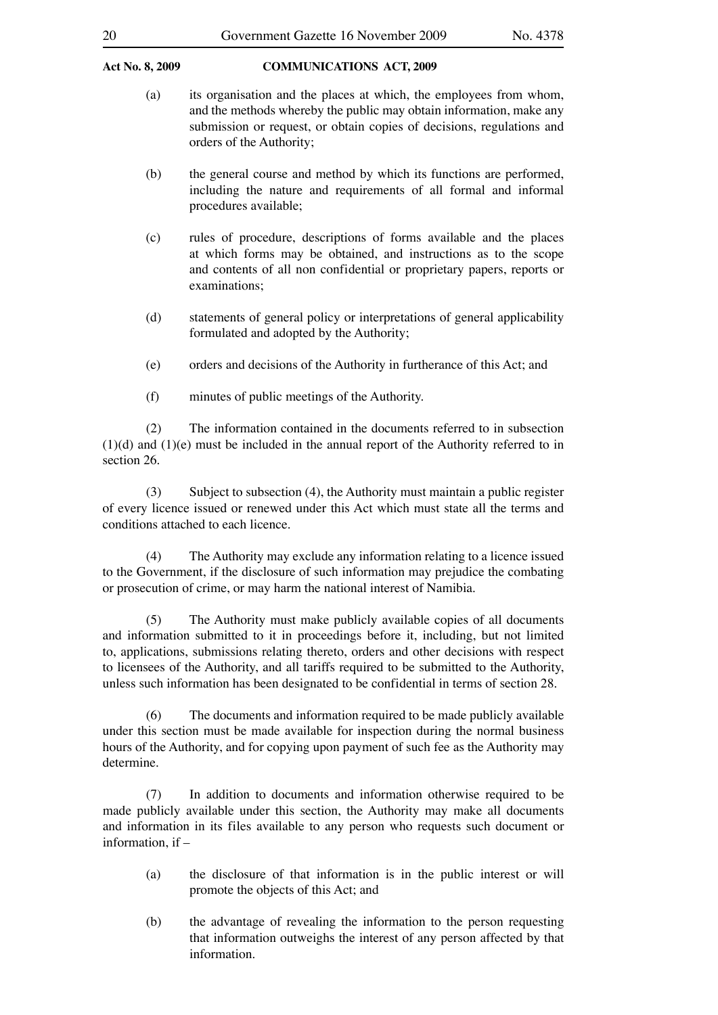- (a) its organisation and the places at which, the employees from whom, and the methods whereby the public may obtain information, make any submission or request, or obtain copies of decisions, regulations and orders of the Authority;
- (b) the general course and method by which its functions are performed, including the nature and requirements of all formal and informal procedures available;
- (c) rules of procedure, descriptions of forms available and the places at which forms may be obtained, and instructions as to the scope and contents of all non confidential or proprietary papers, reports or examinations;
- (d) statements of general policy or interpretations of general applicability formulated and adopted by the Authority;
- (e) orders and decisions of the Authority in furtherance of this Act; and
- (f) minutes of public meetings of the Authority.

 (2) The information contained in the documents referred to in subsection  $(1)(d)$  and  $(1)(e)$  must be included in the annual report of the Authority referred to in section 26.

 (3) Subject to subsection (4), the Authority must maintain a public register of every licence issued or renewed under this Act which must state all the terms and conditions attached to each licence.

 (4) The Authority may exclude any information relating to a licence issued to the Government, if the disclosure of such information may prejudice the combating or prosecution of crime, or may harm the national interest of Namibia.

 (5) The Authority must make publicly available copies of all documents and information submitted to it in proceedings before it, including, but not limited to, applications, submissions relating thereto, orders and other decisions with respect to licensees of the Authority, and all tariffs required to be submitted to the Authority, unless such information has been designated to be confidential in terms of section 28.

 (6) The documents and information required to be made publicly available under this section must be made available for inspection during the normal business hours of the Authority, and for copying upon payment of such fee as the Authority may determine.

 (7) In addition to documents and information otherwise required to be made publicly available under this section, the Authority may make all documents and information in its files available to any person who requests such document or information, if –

- (a) the disclosure of that information is in the public interest or will promote the objects of this Act; and
- (b) the advantage of revealing the information to the person requesting that information outweighs the interest of any person affected by that information.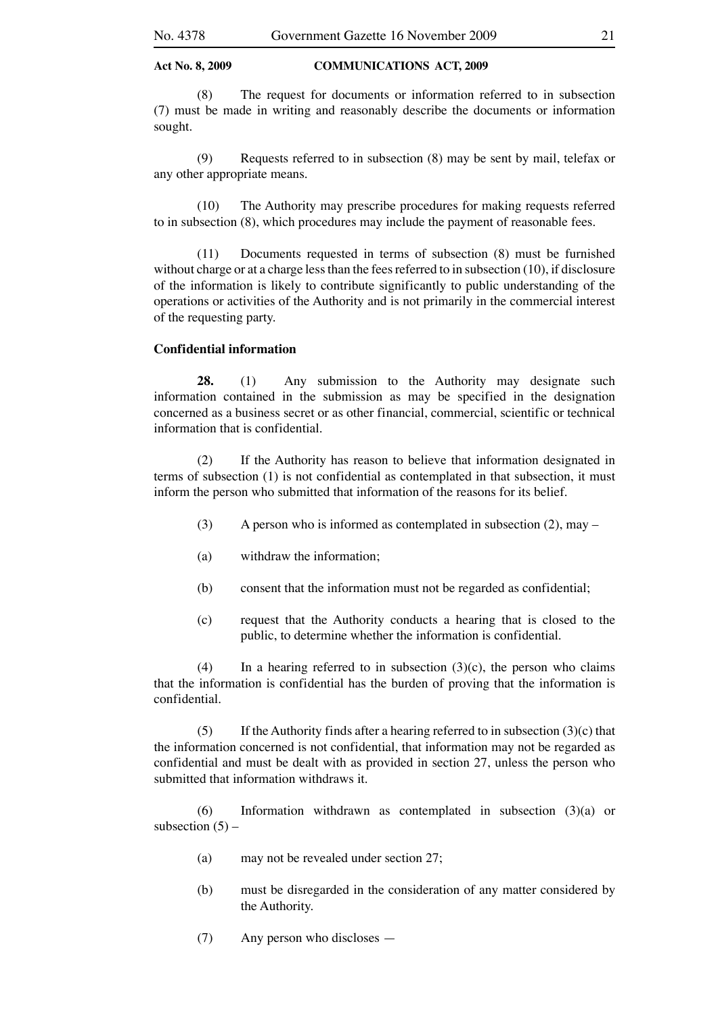(8) The request for documents or information referred to in subsection (7) must be made in writing and reasonably describe the documents or information sought.

 (9) Requests referred to in subsection (8) may be sent by mail, telefax or any other appropriate means.

 (10) The Authority may prescribe procedures for making requests referred to in subsection (8), which procedures may include the payment of reasonable fees.

 (11) Documents requested in terms of subsection (8) must be furnished without charge or at a charge less than the fees referred to in subsection (10), if disclosure of the information is likely to contribute significantly to public understanding of the operations or activities of the Authority and is not primarily in the commercial interest of the requesting party.

#### **Confidential information**

28. (1) Any submission to the Authority may designate such information contained in the submission as may be specified in the designation concerned as a business secret or as other financial, commercial, scientific or technical information that is confidential.

 (2) If the Authority has reason to believe that information designated in terms of subsection (1) is not confidential as contemplated in that subsection, it must inform the person who submitted that information of the reasons for its belief.

- (3) A person who is informed as contemplated in subsection (2), may –
- (a) withdraw the information;
- (b) consent that the information must not be regarded as confidential;
- (c) request that the Authority conducts a hearing that is closed to the public, to determine whether the information is confidential.

(4) In a hearing referred to in subsection  $(3)(c)$ , the person who claims that the information is confidential has the burden of proving that the information is confidential.

(5) If the Authority finds after a hearing referred to in subsection  $(3)(c)$  that the information concerned is not confidential, that information may not be regarded as confidential and must be dealt with as provided in section 27, unless the person who submitted that information withdraws it.

 (6) Information withdrawn as contemplated in subsection (3)(a) or subsection  $(5)$  –

- (a) may not be revealed under section 27;
- (b) must be disregarded in the consideration of any matter considered by the Authority.
- (7) Any person who discloses —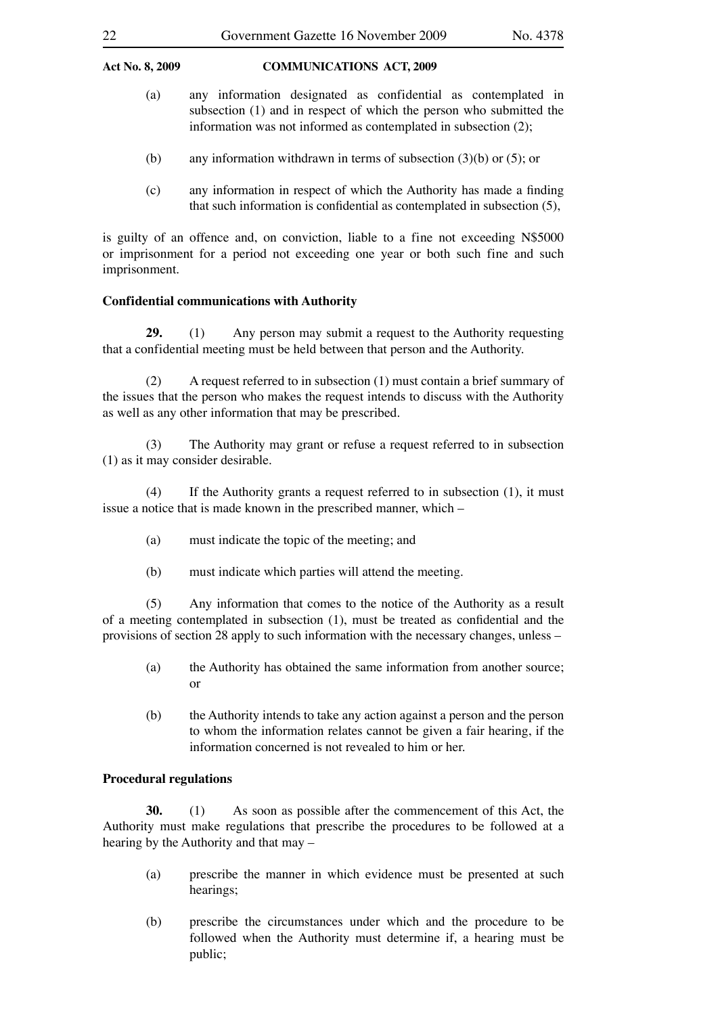- (a) any information designated as confidential as contemplated in subsection (1) and in respect of which the person who submitted the information was not informed as contemplated in subsection (2);
- (b) any information withdrawn in terms of subsection  $(3)(b)$  or  $(5)$ ; or
- (c) any information in respect of which the Authority has made a finding that such information is confidential as contemplated in subsection (5),

is guilty of an offence and, on conviction, liable to a fine not exceeding N\$5000 or imprisonment for a period not exceeding one year or both such fine and such imprisonment.

#### **Confidential communications with Authority**

 **29.** (1) Any person may submit a request to the Authority requesting that a confidential meeting must be held between that person and the Authority.

 (2) A request referred to in subsection (1) must contain a brief summary of the issues that the person who makes the request intends to discuss with the Authority as well as any other information that may be prescribed.

 (3) The Authority may grant or refuse a request referred to in subsection (1) as it may consider desirable.

 (4) If the Authority grants a request referred to in subsection (1), it must issue a notice that is made known in the prescribed manner, which –

- (a) must indicate the topic of the meeting; and
- (b) must indicate which parties will attend the meeting.

 (5) Any information that comes to the notice of the Authority as a result of a meeting contemplated in subsection (1), must be treated as confidential and the provisions of section 28 apply to such information with the necessary changes, unless –

- (a) the Authority has obtained the same information from another source; or
- (b) the Authority intends to take any action against a person and the person to whom the information relates cannot be given a fair hearing, if the information concerned is not revealed to him or her.

#### **Procedural regulations**

 **30.** (1) As soon as possible after the commencement of this Act, the Authority must make regulations that prescribe the procedures to be followed at a hearing by the Authority and that may –

- (a) prescribe the manner in which evidence must be presented at such hearings;
- (b) prescribe the circumstances under which and the procedure to be followed when the Authority must determine if, a hearing must be public;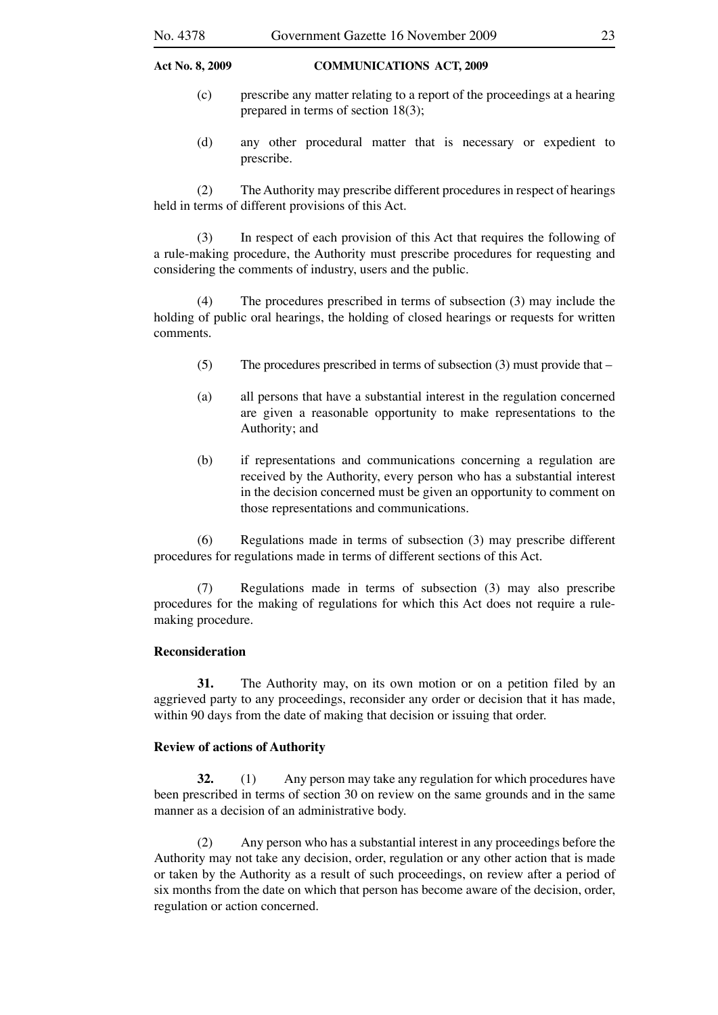- (c) prescribe any matter relating to a report of the proceedings at a hearing prepared in terms of section 18(3);
- (d) any other procedural matter that is necessary or expedient to prescribe.

 (2) The Authority may prescribe different procedures in respect of hearings held in terms of different provisions of this Act.

 (3) In respect of each provision of this Act that requires the following of a rule-making procedure, the Authority must prescribe procedures for requesting and considering the comments of industry, users and the public.

 (4) The procedures prescribed in terms of subsection (3) may include the holding of public oral hearings, the holding of closed hearings or requests for written comments.

- (5) The procedures prescribed in terms of subsection (3) must provide that –
- (a) all persons that have a substantial interest in the regulation concerned are given a reasonable opportunity to make representations to the Authority; and
- (b) if representations and communications concerning a regulation are received by the Authority, every person who has a substantial interest in the decision concerned must be given an opportunity to comment on those representations and communications.

 (6) Regulations made in terms of subsection (3) may prescribe different procedures for regulations made in terms of different sections of this Act.

 (7) Regulations made in terms of subsection (3) may also prescribe procedures for the making of regulations for which this Act does not require a rulemaking procedure.

#### **Reconsideration**

 **31.** The Authority may, on its own motion or on a petition filed by an aggrieved party to any proceedings, reconsider any order or decision that it has made, within 90 days from the date of making that decision or issuing that order.

#### **Review of actions of Authority**

**32.** (1) Any person may take any regulation for which procedures have been prescribed in terms of section 30 on review on the same grounds and in the same manner as a decision of an administrative body.

 (2) Any person who has a substantial interest in any proceedings before the Authority may not take any decision, order, regulation or any other action that is made or taken by the Authority as a result of such proceedings, on review after a period of six months from the date on which that person has become aware of the decision, order, regulation or action concerned.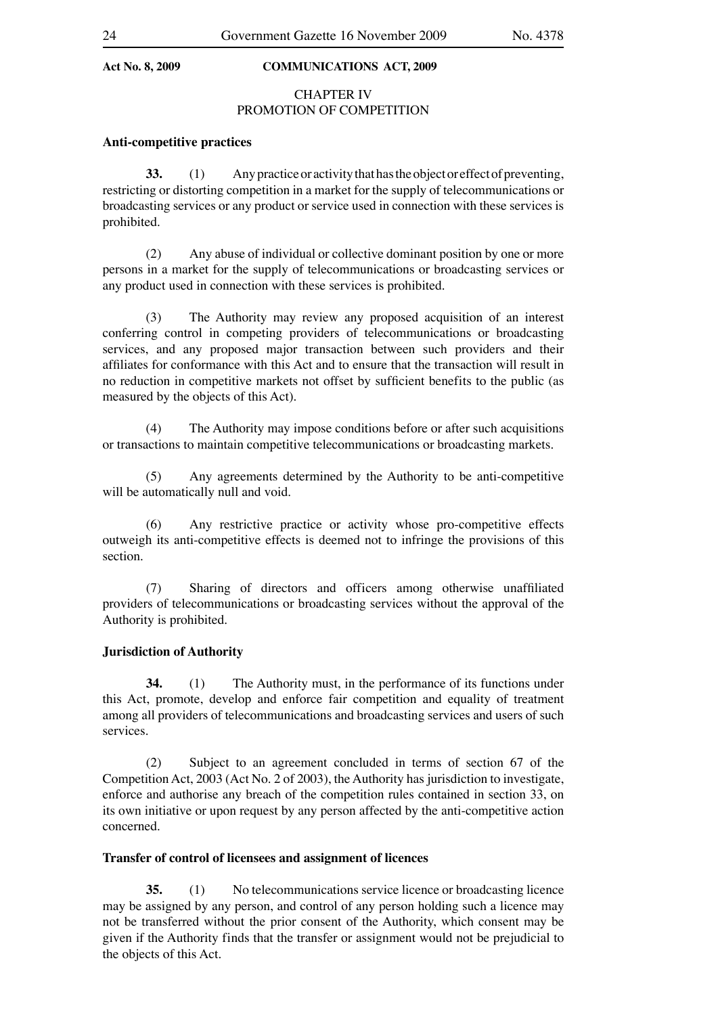#### CHAPTER IV PROMOTION OF COMPETITION

#### **Anti-competitive practices**

 **33.** (1) Any practice or activity that has the object or effect of preventing, restricting or distorting competition in a market for the supply of telecommunications or broadcasting services or any product or service used in connection with these services is prohibited.

 (2) Any abuse of individual or collective dominant position by one or more persons in a market for the supply of telecommunications or broadcasting services or any product used in connection with these services is prohibited.

 (3) The Authority may review any proposed acquisition of an interest conferring control in competing providers of telecommunications or broadcasting services, and any proposed major transaction between such providers and their affiliates for conformance with this Act and to ensure that the transaction will result in no reduction in competitive markets not offset by sufficient benefits to the public (as measured by the objects of this Act).

 (4) The Authority may impose conditions before or after such acquisitions or transactions to maintain competitive telecommunications or broadcasting markets.

 (5) Any agreements determined by the Authority to be anti-competitive will be automatically null and void.

 (6) Any restrictive practice or activity whose pro-competitive effects outweigh its anti-competitive effects is deemed not to infringe the provisions of this section.

 (7) Sharing of directors and officers among otherwise unaffiliated providers of telecommunications or broadcasting services without the approval of the Authority is prohibited.

### **Jurisdiction of Authority**

 **34.** (1) The Authority must, in the performance of its functions under this Act, promote, develop and enforce fair competition and equality of treatment among all providers of telecommunications and broadcasting services and users of such services.

 (2) Subject to an agreement concluded in terms of section 67 of the Competition Act, 2003 (Act No. 2 of 2003), the Authority has jurisdiction to investigate, enforce and authorise any breach of the competition rules contained in section 33, on its own initiative or upon request by any person affected by the anti-competitive action concerned.

#### **Transfer of control of licensees and assignment of licences**

 **35.** (1) No telecommunications service licence or broadcasting licence may be assigned by any person, and control of any person holding such a licence may not be transferred without the prior consent of the Authority, which consent may be given if the Authority finds that the transfer or assignment would not be prejudicial to the objects of this Act.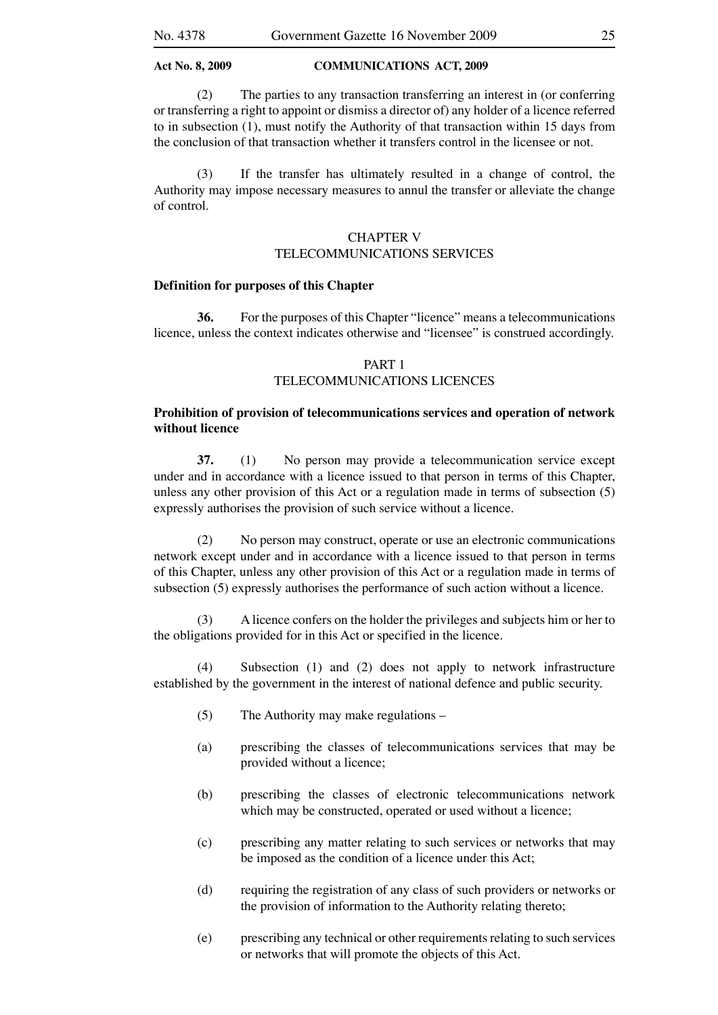(2) The parties to any transaction transferring an interest in (or conferring or transferring a right to appoint or dismiss a director of) any holder of a licence referred to in subsection (1), must notify the Authority of that transaction within 15 days from the conclusion of that transaction whether it transfers control in the licensee or not.

 (3) If the transfer has ultimately resulted in a change of control, the Authority may impose necessary measures to annul the transfer or alleviate the change of control.

#### CHAPTER V TELECOMMUNICATIONS SERVICES

#### **Definition for purposes of this Chapter**

 **36.** For the purposes of this Chapter "licence" means a telecommunications licence, unless the context indicates otherwise and "licensee" is construed accordingly.

#### PART 1 TELECOMMUNICATIONS LICENCES

#### **Prohibition of provision of telecommunications services and operation of network without licence**

 **37.** (1) No person may provide a telecommunication service except under and in accordance with a licence issued to that person in terms of this Chapter, unless any other provision of this Act or a regulation made in terms of subsection (5) expressly authorises the provision of such service without a licence.

 (2) No person may construct, operate or use an electronic communications network except under and in accordance with a licence issued to that person in terms of this Chapter, unless any other provision of this Act or a regulation made in terms of subsection (5) expressly authorises the performance of such action without a licence.

 (3) A licence confers on the holder the privileges and subjects him or her to the obligations provided for in this Act or specified in the licence.

 (4) Subsection (1) and (2) does not apply to network infrastructure established by the government in the interest of national defence and public security.

- (5) The Authority may make regulations –
- (a) prescribing the classes of telecommunications services that may be provided without a licence;
- (b) prescribing the classes of electronic telecommunications network which may be constructed, operated or used without a licence;
- (c) prescribing any matter relating to such services or networks that may be imposed as the condition of a licence under this Act;
- (d) requiring the registration of any class of such providers or networks or the provision of information to the Authority relating thereto;
- (e) prescribing any technical or other requirements relating to such services or networks that will promote the objects of this Act.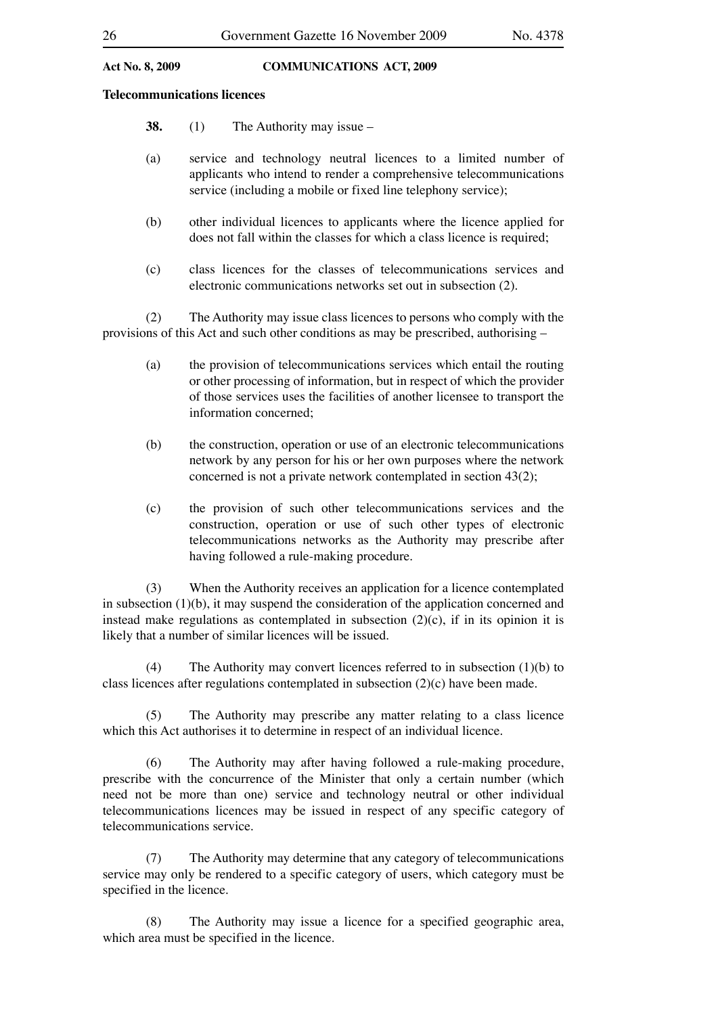#### **Telecommunications licences**

- **38.** (1) The Authority may issue –
- (a) service and technology neutral licences to a limited number of applicants who intend to render a comprehensive telecommunications service (including a mobile or fixed line telephony service);
- (b) other individual licences to applicants where the licence applied for does not fall within the classes for which a class licence is required;
- (c) class licences for the classes of telecommunications services and electronic communications networks set out in subsection (2).

 (2) The Authority may issue class licences to persons who comply with the provisions of this Act and such other conditions as may be prescribed, authorising –

- (a) the provision of telecommunications services which entail the routing or other processing of information, but in respect of which the provider of those services uses the facilities of another licensee to transport the information concerned;
- (b) the construction, operation or use of an electronic telecommunications network by any person for his or her own purposes where the network concerned is not a private network contemplated in section 43(2);
- (c) the provision of such other telecommunications services and the construction, operation or use of such other types of electronic telecommunications networks as the Authority may prescribe after having followed a rule-making procedure.

 (3) When the Authority receives an application for a licence contemplated in subsection (1)(b), it may suspend the consideration of the application concerned and instead make regulations as contemplated in subsection (2)(c), if in its opinion it is likely that a number of similar licences will be issued.

 (4) The Authority may convert licences referred to in subsection (1)(b) to class licences after regulations contemplated in subsection (2)(c) have been made.

 (5) The Authority may prescribe any matter relating to a class licence which this Act authorises it to determine in respect of an individual licence.

 (6) The Authority may after having followed a rule-making procedure, prescribe with the concurrence of the Minister that only a certain number (which need not be more than one) service and technology neutral or other individual telecommunications licences may be issued in respect of any specific category of telecommunications service.

 (7) The Authority may determine that any category of telecommunications service may only be rendered to a specific category of users, which category must be specified in the licence.

 (8) The Authority may issue a licence for a specified geographic area, which area must be specified in the licence.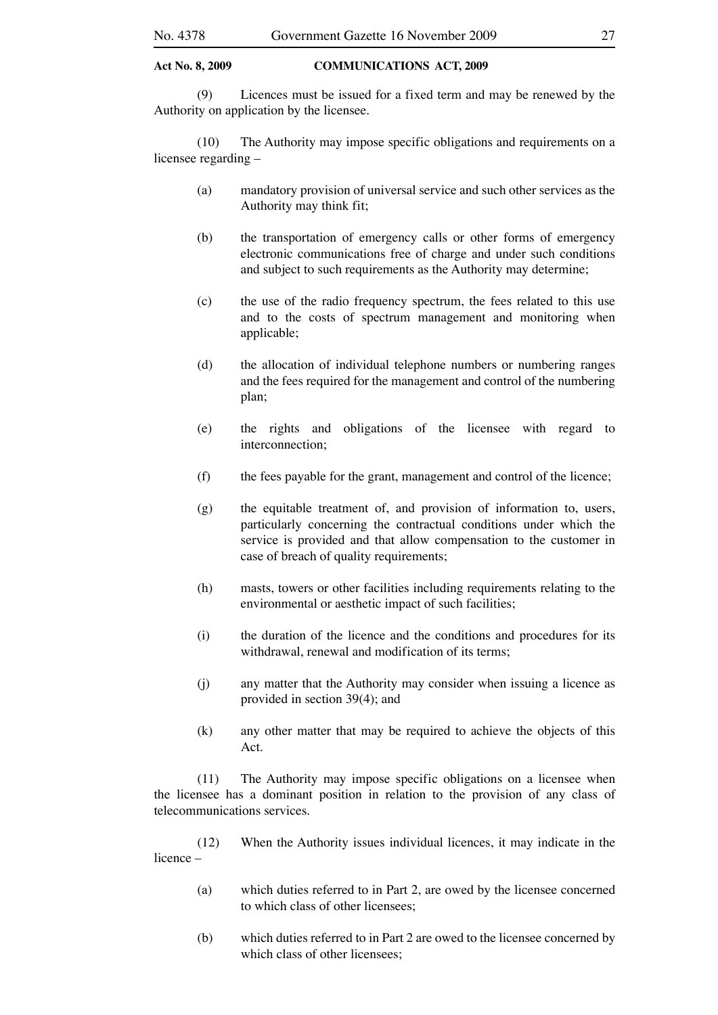(9) Licences must be issued for a fixed term and may be renewed by the Authority on application by the licensee.

 (10) The Authority may impose specific obligations and requirements on a licensee regarding –

- (a) mandatory provision of universal service and such other services as the Authority may think fit;
- (b) the transportation of emergency calls or other forms of emergency electronic communications free of charge and under such conditions and subject to such requirements as the Authority may determine;
- (c) the use of the radio frequency spectrum, the fees related to this use and to the costs of spectrum management and monitoring when applicable;
- (d) the allocation of individual telephone numbers or numbering ranges and the fees required for the management and control of the numbering plan;
- (e) the rights and obligations of the licensee with regard to interconnection;
- (f) the fees payable for the grant, management and control of the licence;
- (g) the equitable treatment of, and provision of information to, users, particularly concerning the contractual conditions under which the service is provided and that allow compensation to the customer in case of breach of quality requirements;
- (h) masts, towers or other facilities including requirements relating to the environmental or aesthetic impact of such facilities;
- (i) the duration of the licence and the conditions and procedures for its withdrawal, renewal and modification of its terms;
- (j) any matter that the Authority may consider when issuing a licence as provided in section 39(4); and
- (k) any other matter that may be required to achieve the objects of this Act.

 (11) The Authority may impose specific obligations on a licensee when the licensee has a dominant position in relation to the provision of any class of telecommunications services.

 (12) When the Authority issues individual licences, it may indicate in the licence –

- (a) which duties referred to in Part 2, are owed by the licensee concerned to which class of other licensees;
- (b) which duties referred to in Part 2 are owed to the licensee concerned by which class of other licensees;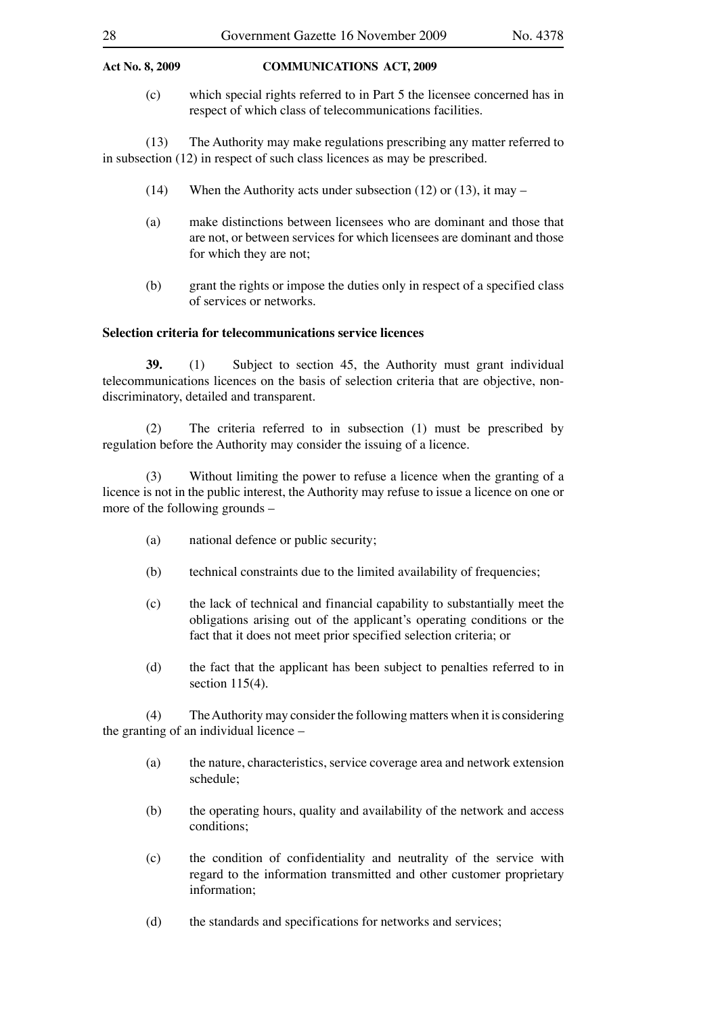(c) which special rights referred to in Part 5 the licensee concerned has in respect of which class of telecommunications facilities.

 (13) The Authority may make regulations prescribing any matter referred to in subsection (12) in respect of such class licences as may be prescribed.

- (14) When the Authority acts under subsection (12) or (13), it may  $-$
- (a) make distinctions between licensees who are dominant and those that are not, or between services for which licensees are dominant and those for which they are not;
- (b) grant the rights or impose the duties only in respect of a specified class of services or networks.

#### **Selection criteria for telecommunications service licences**

 **39.** (1) Subject to section 45, the Authority must grant individual telecommunications licences on the basis of selection criteria that are objective, nondiscriminatory, detailed and transparent.

 (2) The criteria referred to in subsection (1) must be prescribed by regulation before the Authority may consider the issuing of a licence.

 (3) Without limiting the power to refuse a licence when the granting of a licence is not in the public interest, the Authority may refuse to issue a licence on one or more of the following grounds –

- (a) national defence or public security;
- (b) technical constraints due to the limited availability of frequencies;
- (c) the lack of technical and financial capability to substantially meet the obligations arising out of the applicant's operating conditions or the fact that it does not meet prior specified selection criteria; or
- (d) the fact that the applicant has been subject to penalties referred to in section 115(4).

 (4) The Authority may consider the following matters when it is considering the granting of an individual licence –

- (a) the nature, characteristics, service coverage area and network extension schedule;
- (b) the operating hours, quality and availability of the network and access conditions;
- (c) the condition of confidentiality and neutrality of the service with regard to the information transmitted and other customer proprietary information;
- (d) the standards and specifications for networks and services;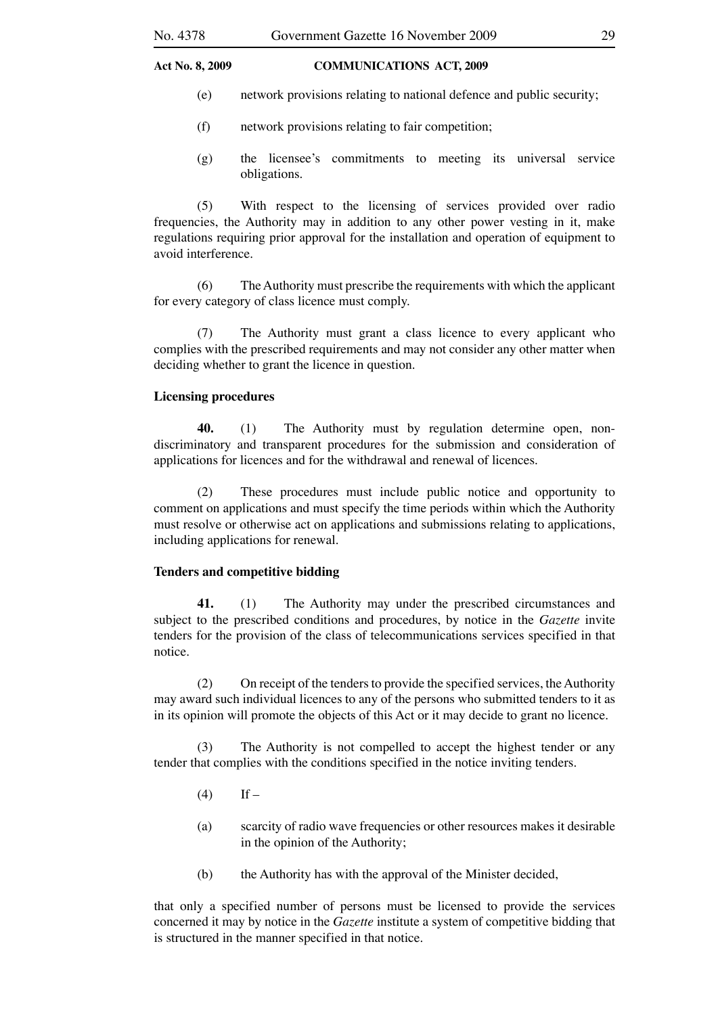- (e) network provisions relating to national defence and public security;
- (f) network provisions relating to fair competition;
- (g) the licensee's commitments to meeting its universal service obligations.

 (5) With respect to the licensing of services provided over radio frequencies, the Authority may in addition to any other power vesting in it, make regulations requiring prior approval for the installation and operation of equipment to avoid interference.

 (6) The Authority must prescribe the requirements with which the applicant for every category of class licence must comply.

 (7) The Authority must grant a class licence to every applicant who complies with the prescribed requirements and may not consider any other matter when deciding whether to grant the licence in question.

#### **Licensing procedures**

 **40.** (1) The Authority must by regulation determine open, nondiscriminatory and transparent procedures for the submission and consideration of applications for licences and for the withdrawal and renewal of licences.

 (2) These procedures must include public notice and opportunity to comment on applications and must specify the time periods within which the Authority must resolve or otherwise act on applications and submissions relating to applications, including applications for renewal.

#### **Tenders and competitive bidding**

 **41.** (1) The Authority may under the prescribed circumstances and subject to the prescribed conditions and procedures, by notice in the *Gazette* invite tenders for the provision of the class of telecommunications services specified in that notice.

 (2) On receipt of the tenders to provide the specified services, the Authority may award such individual licences to any of the persons who submitted tenders to it as in its opinion will promote the objects of this Act or it may decide to grant no licence.

 (3) The Authority is not compelled to accept the highest tender or any tender that complies with the conditions specified in the notice inviting tenders.

- $(4)$  If –
- (a) scarcity of radio wave frequencies or other resources makes it desirable in the opinion of the Authority;
- (b) the Authority has with the approval of the Minister decided,

that only a specified number of persons must be licensed to provide the services concerned it may by notice in the *Gazette* institute a system of competitive bidding that is structured in the manner specified in that notice.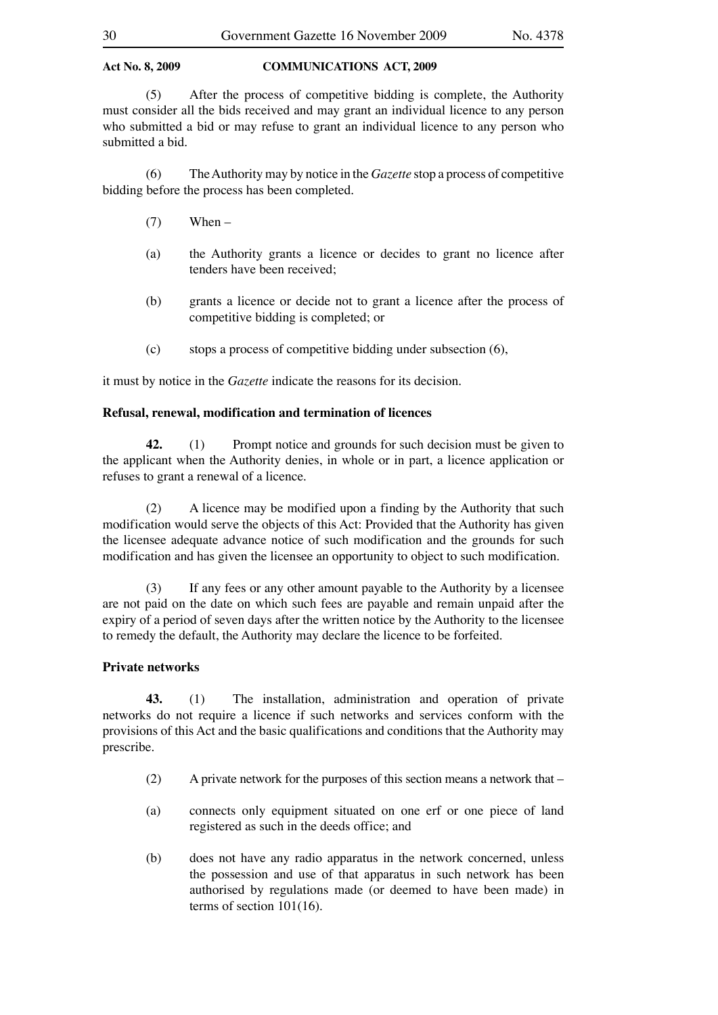(5) After the process of competitive bidding is complete, the Authority must consider all the bids received and may grant an individual licence to any person who submitted a bid or may refuse to grant an individual licence to any person who submitted a bid.

 (6) The Authority may by notice in the *Gazette* stop a process of competitive bidding before the process has been completed.

- $(7)$  When –
- (a) the Authority grants a licence or decides to grant no licence after tenders have been received;
- (b) grants a licence or decide not to grant a licence after the process of competitive bidding is completed; or
- (c) stops a process of competitive bidding under subsection (6),

it must by notice in the *Gazette* indicate the reasons for its decision.

### **Refusal, renewal, modification and termination of licences**

 **42.** (1) Prompt notice and grounds for such decision must be given to the applicant when the Authority denies, in whole or in part, a licence application or refuses to grant a renewal of a licence.

 (2) A licence may be modified upon a finding by the Authority that such modification would serve the objects of this Act: Provided that the Authority has given the licensee adequate advance notice of such modification and the grounds for such modification and has given the licensee an opportunity to object to such modification.

 (3) If any fees or any other amount payable to the Authority by a licensee are not paid on the date on which such fees are payable and remain unpaid after the expiry of a period of seven days after the written notice by the Authority to the licensee to remedy the default, the Authority may declare the licence to be forfeited.

### **Private networks**

 **43.** (1) The installation, administration and operation of private networks do not require a licence if such networks and services conform with the provisions of this Act and the basic qualifications and conditions that the Authority may prescribe.

- (2) A private network for the purposes of this section means a network that –
- (a) connects only equipment situated on one erf or one piece of land registered as such in the deeds office; and
- (b) does not have any radio apparatus in the network concerned, unless the possession and use of that apparatus in such network has been authorised by regulations made (or deemed to have been made) in terms of section 101(16).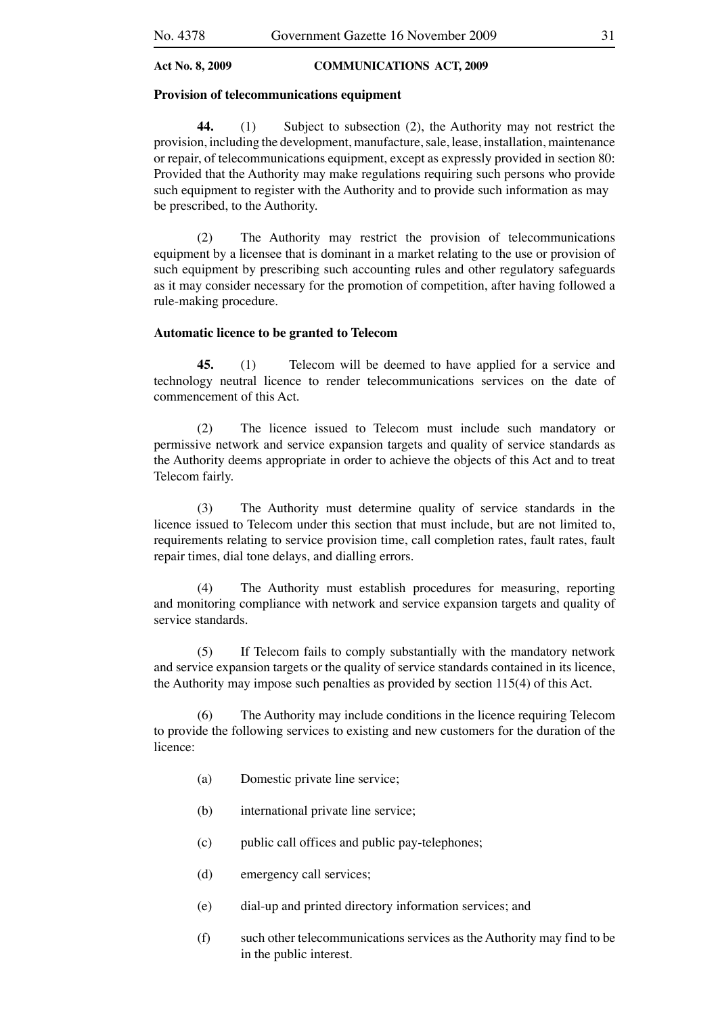#### **Provision of telecommunications equipment**

 **44.** (1) Subject to subsection (2), the Authority may not restrict the provision, including the development, manufacture, sale, lease, installation, maintenance or repair, of telecommunications equipment, except as expressly provided in section 80: Provided that the Authority may make regulations requiring such persons who provide such equipment to register with the Authority and to provide such information as may be prescribed, to the Authority.

 (2) The Authority may restrict the provision of telecommunications equipment by a licensee that is dominant in a market relating to the use or provision of such equipment by prescribing such accounting rules and other regulatory safeguards as it may consider necessary for the promotion of competition, after having followed a rule-making procedure.

#### **Automatic licence to be granted to Telecom**

 **45.** (1) Telecom will be deemed to have applied for a service and technology neutral licence to render telecommunications services on the date of commencement of this Act.

 (2) The licence issued to Telecom must include such mandatory or permissive network and service expansion targets and quality of service standards as the Authority deems appropriate in order to achieve the objects of this Act and to treat Telecom fairly.

 (3) The Authority must determine quality of service standards in the licence issued to Telecom under this section that must include, but are not limited to, requirements relating to service provision time, call completion rates, fault rates, fault repair times, dial tone delays, and dialling errors.

 (4) The Authority must establish procedures for measuring, reporting and monitoring compliance with network and service expansion targets and quality of service standards.

 (5) If Telecom fails to comply substantially with the mandatory network and service expansion targets or the quality of service standards contained in its licence, the Authority may impose such penalties as provided by section 115(4) of this Act.

 (6) The Authority may include conditions in the licence requiring Telecom to provide the following services to existing and new customers for the duration of the licence:

- (a) Domestic private line service;
- (b) international private line service;
- (c) public call offices and public pay-telephones;
- (d) emergency call services;
- (e) dial-up and printed directory information services; and
- (f) such other telecommunications services as the Authority may find to be in the public interest.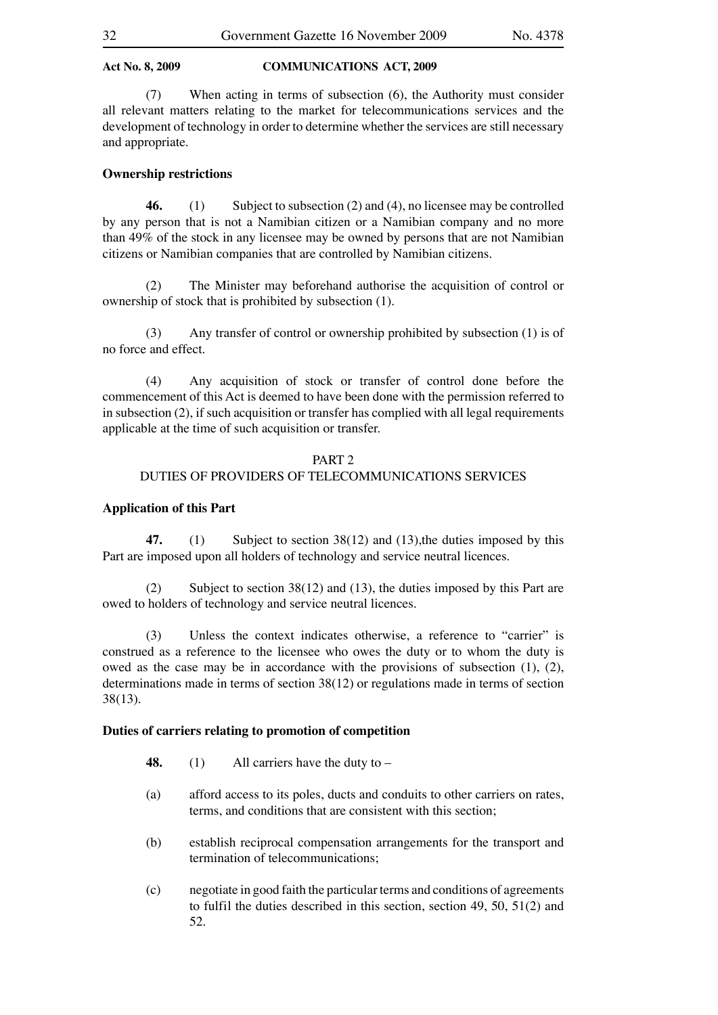(7) When acting in terms of subsection (6), the Authority must consider all relevant matters relating to the market for telecommunications services and the development of technology in order to determine whether the services are still necessary and appropriate.

#### **Ownership restrictions**

**46.** (1) Subject to subsection (2) and (4), no licensee may be controlled by any person that is not a Namibian citizen or a Namibian company and no more than 49% of the stock in any licensee may be owned by persons that are not Namibian citizens or Namibian companies that are controlled by Namibian citizens.

 (2) The Minister may beforehand authorise the acquisition of control or ownership of stock that is prohibited by subsection (1).

 (3) Any transfer of control or ownership prohibited by subsection (1) is of no force and effect.

 (4) Any acquisition of stock or transfer of control done before the commencement of this Act is deemed to have been done with the permission referred to in subsection (2), if such acquisition or transfer has complied with all legal requirements applicable at the time of such acquisition or transfer.

#### PART 2

#### DUTIES OF PROVIDERS OF TELECOMMUNICATIONS SERVICES

#### **Application of this Part**

 **47.** (1) Subject to section 38(12) and (13),the duties imposed by this Part are imposed upon all holders of technology and service neutral licences.

 (2) Subject to section 38(12) and (13), the duties imposed by this Part are owed to holders of technology and service neutral licences.

 (3) Unless the context indicates otherwise, a reference to "carrier" is construed as a reference to the licensee who owes the duty or to whom the duty is owed as the case may be in accordance with the provisions of subsection (1), (2), determinations made in terms of section 38(12) or regulations made in terms of section 38(13).

#### **Duties of carriers relating to promotion of competition**

- **48.** (1) All carriers have the duty to –
- (a) afford access to its poles, ducts and conduits to other carriers on rates, terms, and conditions that are consistent with this section;
- (b) establish reciprocal compensation arrangements for the transport and termination of telecommunications;
- (c) negotiate in good faith the particular terms and conditions of agreements to fulfil the duties described in this section, section 49, 50, 51(2) and 52.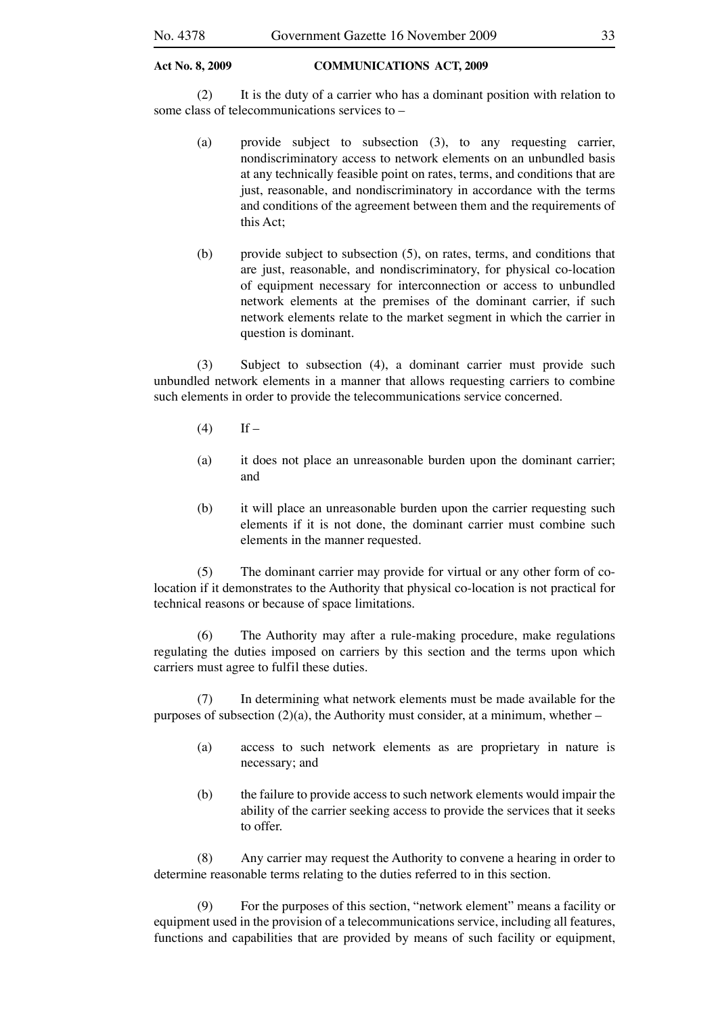(2) It is the duty of a carrier who has a dominant position with relation to some class of telecommunications services to –

- (a) provide subject to subsection (3), to any requesting carrier, nondiscriminatory access to network elements on an unbundled basis at any technically feasible point on rates, terms, and conditions that are just, reasonable, and nondiscriminatory in accordance with the terms and conditions of the agreement between them and the requirements of this Act;
- (b) provide subject to subsection (5), on rates, terms, and conditions that are just, reasonable, and nondiscriminatory, for physical co-location of equipment necessary for interconnection or access to unbundled network elements at the premises of the dominant carrier, if such network elements relate to the market segment in which the carrier in question is dominant.

 (3) Subject to subsection (4), a dominant carrier must provide such unbundled network elements in a manner that allows requesting carriers to combine such elements in order to provide the telecommunications service concerned.

- $(4)$  If –
- (a) it does not place an unreasonable burden upon the dominant carrier; and
- (b) it will place an unreasonable burden upon the carrier requesting such elements if it is not done, the dominant carrier must combine such elements in the manner requested.

 (5) The dominant carrier may provide for virtual or any other form of colocation if it demonstrates to the Authority that physical co-location is not practical for technical reasons or because of space limitations.

 (6) The Authority may after a rule-making procedure, make regulations regulating the duties imposed on carriers by this section and the terms upon which carriers must agree to fulfil these duties.

 (7) In determining what network elements must be made available for the purposes of subsection (2)(a), the Authority must consider, at a minimum, whether –

- (a) access to such network elements as are proprietary in nature is necessary; and
- (b) the failure to provide access to such network elements would impair the ability of the carrier seeking access to provide the services that it seeks to offer.

 (8) Any carrier may request the Authority to convene a hearing in order to determine reasonable terms relating to the duties referred to in this section.

 (9) For the purposes of this section, "network element" means a facility or equipment used in the provision of a telecommunications service, including all features, functions and capabilities that are provided by means of such facility or equipment,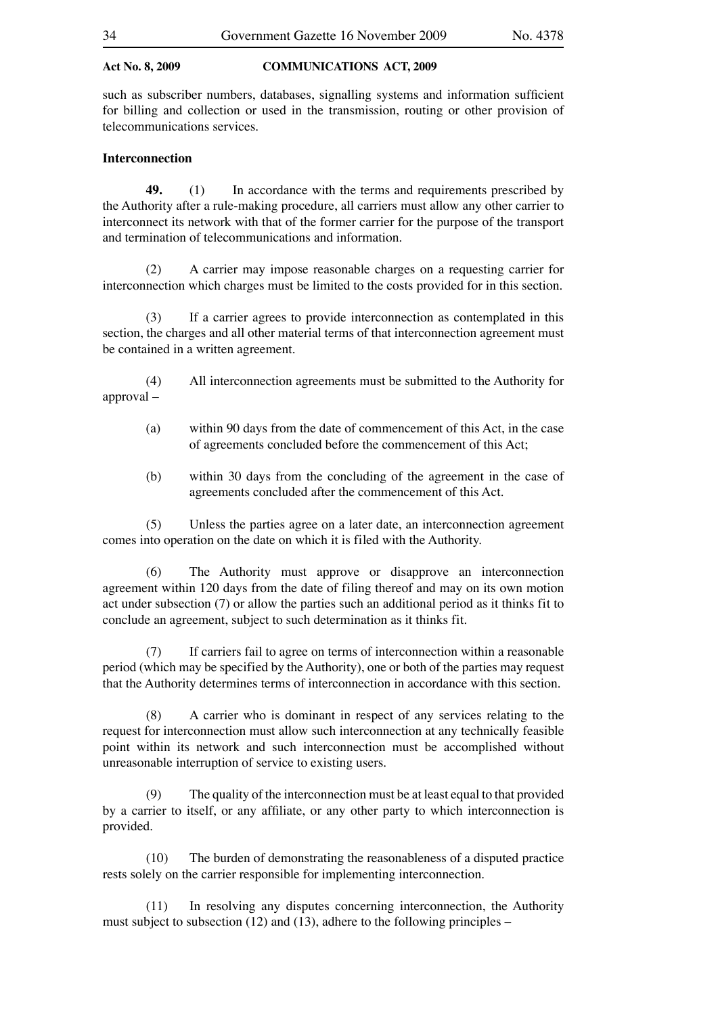such as subscriber numbers, databases, signalling systems and information sufficient for billing and collection or used in the transmission, routing or other provision of telecommunications services.

#### **Interconnection**

 **49.** (1) In accordance with the terms and requirements prescribed by the Authority after a rule-making procedure, all carriers must allow any other carrier to interconnect its network with that of the former carrier for the purpose of the transport and termination of telecommunications and information.

 (2) A carrier may impose reasonable charges on a requesting carrier for interconnection which charges must be limited to the costs provided for in this section.

 (3) If a carrier agrees to provide interconnection as contemplated in this section, the charges and all other material terms of that interconnection agreement must be contained in a written agreement.

 (4) All interconnection agreements must be submitted to the Authority for approval –

- (a) within 90 days from the date of commencement of this Act, in the case of agreements concluded before the commencement of this Act;
- (b) within 30 days from the concluding of the agreement in the case of agreements concluded after the commencement of this Act.

 (5) Unless the parties agree on a later date, an interconnection agreement comes into operation on the date on which it is filed with the Authority.

 (6) The Authority must approve or disapprove an interconnection agreement within 120 days from the date of filing thereof and may on its own motion act under subsection (7) or allow the parties such an additional period as it thinks fit to conclude an agreement, subject to such determination as it thinks fit.

 (7) If carriers fail to agree on terms of interconnection within a reasonable period (which may be specified by the Authority), one or both of the parties may request that the Authority determines terms of interconnection in accordance with this section.

 (8) A carrier who is dominant in respect of any services relating to the request for interconnection must allow such interconnection at any technically feasible point within its network and such interconnection must be accomplished without unreasonable interruption of service to existing users.

 (9) The quality of the interconnection must be at least equal to that provided by a carrier to itself, or any affiliate, or any other party to which interconnection is provided.

 (10) The burden of demonstrating the reasonableness of a disputed practice rests solely on the carrier responsible for implementing interconnection.

 (11) In resolving any disputes concerning interconnection, the Authority must subject to subsection (12) and (13), adhere to the following principles –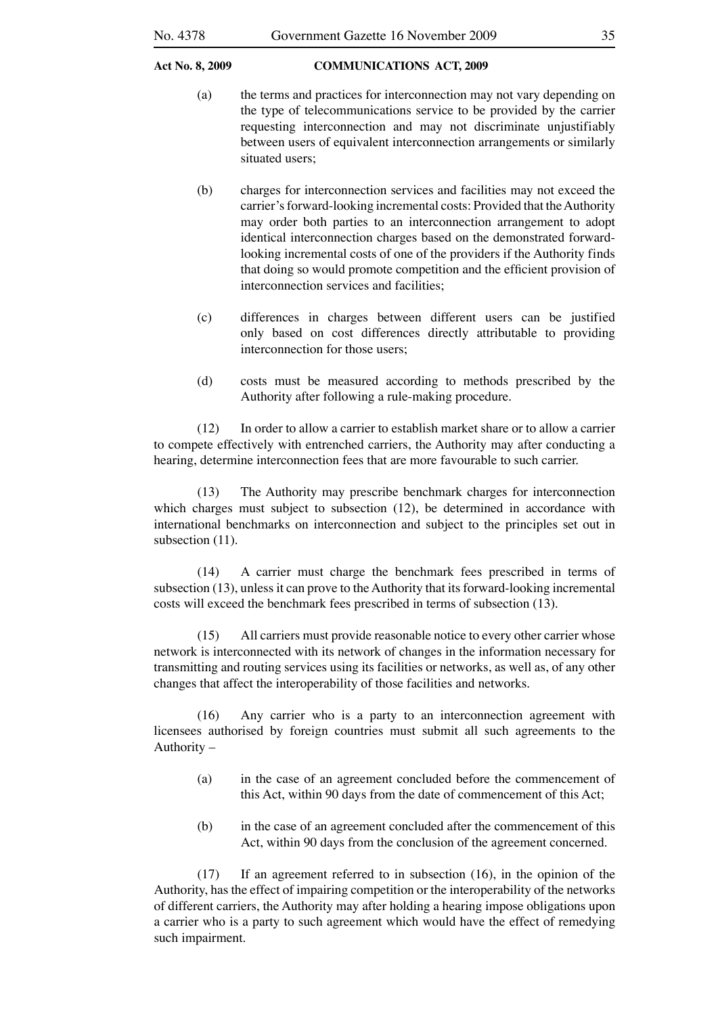- (a) the terms and practices for interconnection may not vary depending on the type of telecommunications service to be provided by the carrier requesting interconnection and may not discriminate unjustifiably between users of equivalent interconnection arrangements or similarly situated users;
- (b) charges for interconnection services and facilities may not exceed the carrier's forward-looking incremental costs: Provided that the Authority may order both parties to an interconnection arrangement to adopt identical interconnection charges based on the demonstrated forwardlooking incremental costs of one of the providers if the Authority finds that doing so would promote competition and the efficient provision of interconnection services and facilities;
- (c) differences in charges between different users can be justified only based on cost differences directly attributable to providing interconnection for those users;
- (d) costs must be measured according to methods prescribed by the Authority after following a rule-making procedure.

 (12) In order to allow a carrier to establish market share or to allow a carrier to compete effectively with entrenched carriers, the Authority may after conducting a hearing, determine interconnection fees that are more favourable to such carrier.

 (13) The Authority may prescribe benchmark charges for interconnection which charges must subject to subsection (12), be determined in accordance with international benchmarks on interconnection and subject to the principles set out in subsection  $(11)$ .

 (14) A carrier must charge the benchmark fees prescribed in terms of subsection (13), unless it can prove to the Authority that its forward-looking incremental costs will exceed the benchmark fees prescribed in terms of subsection (13).

 (15) All carriers must provide reasonable notice to every other carrier whose network is interconnected with its network of changes in the information necessary for transmitting and routing services using its facilities or networks, as well as, of any other changes that affect the interoperability of those facilities and networks.

 (16) Any carrier who is a party to an interconnection agreement with licensees authorised by foreign countries must submit all such agreements to the Authority –

- (a) in the case of an agreement concluded before the commencement of this Act, within 90 days from the date of commencement of this Act;
- (b) in the case of an agreement concluded after the commencement of this Act, within 90 days from the conclusion of the agreement concerned.

 (17) If an agreement referred to in subsection (16), in the opinion of the Authority, has the effect of impairing competition or the interoperability of the networks of different carriers, the Authority may after holding a hearing impose obligations upon a carrier who is a party to such agreement which would have the effect of remedying such impairment.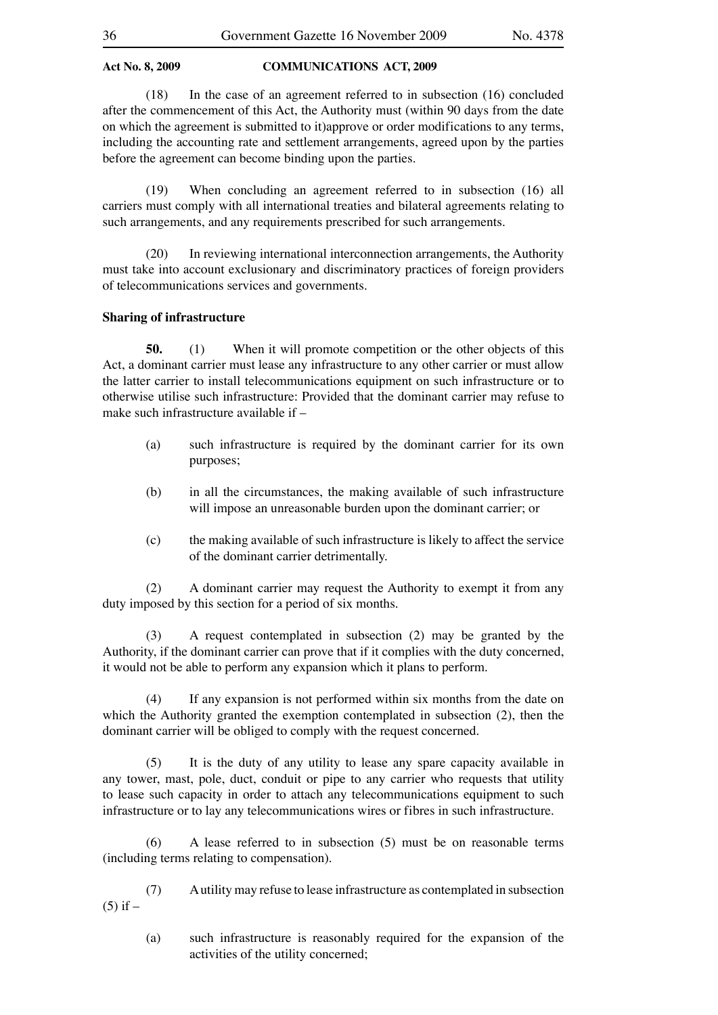(18) In the case of an agreement referred to in subsection (16) concluded after the commencement of this Act, the Authority must (within 90 days from the date on which the agreement is submitted to it)approve or order modifications to any terms, including the accounting rate and settlement arrangements, agreed upon by the parties before the agreement can become binding upon the parties.

 (19) When concluding an agreement referred to in subsection (16) all carriers must comply with all international treaties and bilateral agreements relating to such arrangements, and any requirements prescribed for such arrangements.

 (20) In reviewing international interconnection arrangements, the Authority must take into account exclusionary and discriminatory practices of foreign providers of telecommunications services and governments.

#### **Sharing of infrastructure**

**50.** (1) When it will promote competition or the other objects of this Act, a dominant carrier must lease any infrastructure to any other carrier or must allow the latter carrier to install telecommunications equipment on such infrastructure or to otherwise utilise such infrastructure: Provided that the dominant carrier may refuse to make such infrastructure available if –

- (a) such infrastructure is required by the dominant carrier for its own purposes;
- (b) in all the circumstances, the making available of such infrastructure will impose an unreasonable burden upon the dominant carrier; or
- (c) the making available of such infrastructure is likely to affect the service of the dominant carrier detrimentally.

 (2) A dominant carrier may request the Authority to exempt it from any duty imposed by this section for a period of six months.

 (3) A request contemplated in subsection (2) may be granted by the Authority, if the dominant carrier can prove that if it complies with the duty concerned, it would not be able to perform any expansion which it plans to perform.

 (4) If any expansion is not performed within six months from the date on which the Authority granted the exemption contemplated in subsection (2), then the dominant carrier will be obliged to comply with the request concerned.

 (5) It is the duty of any utility to lease any spare capacity available in any tower, mast, pole, duct, conduit or pipe to any carrier who requests that utility to lease such capacity in order to attach any telecommunications equipment to such infrastructure or to lay any telecommunications wires or fibres in such infrastructure.

 (6) A lease referred to in subsection (5) must be on reasonable terms (including terms relating to compensation).

 (7) A utility may refuse to lease infrastructure as contemplated in subsection  $(5)$  if  $-$ 

 (a) such infrastructure is reasonably required for the expansion of the activities of the utility concerned;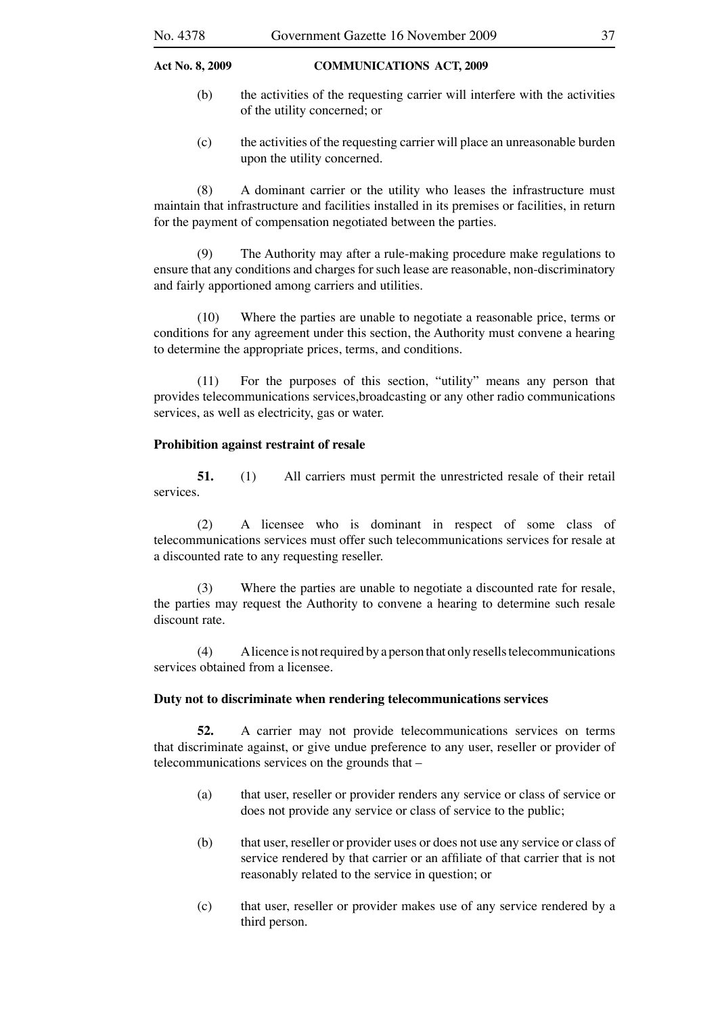- (b) the activities of the requesting carrier will interfere with the activities of the utility concerned; or
- (c) the activities of the requesting carrier will place an unreasonable burden upon the utility concerned.

 (8) A dominant carrier or the utility who leases the infrastructure must maintain that infrastructure and facilities installed in its premises or facilities, in return for the payment of compensation negotiated between the parties.

 (9) The Authority may after a rule-making procedure make regulations to ensure that any conditions and charges for such lease are reasonable, non-discriminatory and fairly apportioned among carriers and utilities.

 (10) Where the parties are unable to negotiate a reasonable price, terms or conditions for any agreement under this section, the Authority must convene a hearing to determine the appropriate prices, terms, and conditions.

 (11) For the purposes of this section, "utility" means any person that provides telecommunications services,broadcasting or any other radio communications services, as well as electricity, gas or water.

# **Prohibition against restraint of resale**

**51.** (1) All carriers must permit the unrestricted resale of their retail services.

 (2) A licensee who is dominant in respect of some class of telecommunications services must offer such telecommunications services for resale at a discounted rate to any requesting reseller.

 (3) Where the parties are unable to negotiate a discounted rate for resale, the parties may request the Authority to convene a hearing to determine such resale discount rate.

 (4) A licence is not required by a person that only resells telecommunications services obtained from a licensee.

### **Duty not to discriminate when rendering telecommunications services**

 **52.** A carrier may not provide telecommunications services on terms that discriminate against, or give undue preference to any user, reseller or provider of telecommunications services on the grounds that –

- (a) that user, reseller or provider renders any service or class of service or does not provide any service or class of service to the public;
- (b) that user, reseller or provider uses or does not use any service or class of service rendered by that carrier or an affiliate of that carrier that is not reasonably related to the service in question; or
- (c) that user, reseller or provider makes use of any service rendered by a third person.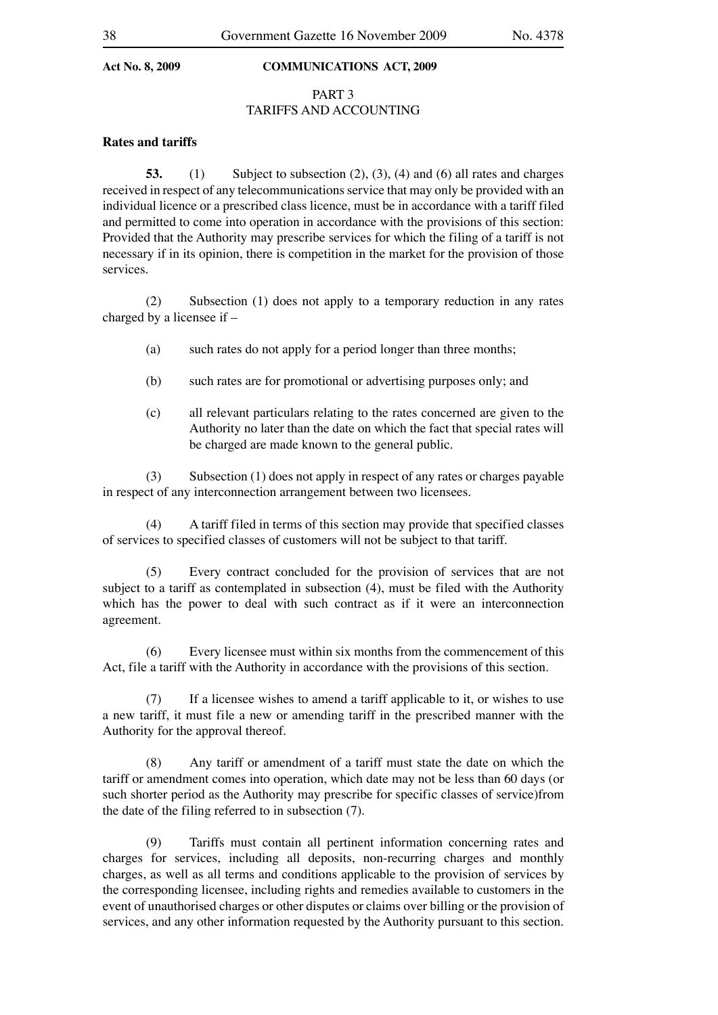# PART 3 TARIFFS AND ACCOUNTING

# **Rates and tariffs**

 **53.** (1) Subject to subsection (2), (3), (4) and (6) all rates and charges received in respect of any telecommunications service that may only be provided with an individual licence or a prescribed class licence, must be in accordance with a tariff filed and permitted to come into operation in accordance with the provisions of this section: Provided that the Authority may prescribe services for which the filing of a tariff is not necessary if in its opinion, there is competition in the market for the provision of those services.

 (2) Subsection (1) does not apply to a temporary reduction in any rates charged by a licensee if –

- (a) such rates do not apply for a period longer than three months;
- (b) such rates are for promotional or advertising purposes only; and
- (c) all relevant particulars relating to the rates concerned are given to the Authority no later than the date on which the fact that special rates will be charged are made known to the general public.

 (3) Subsection (1) does not apply in respect of any rates or charges payable in respect of any interconnection arrangement between two licensees.

 (4) A tariff filed in terms of this section may provide that specified classes of services to specified classes of customers will not be subject to that tariff.

 (5) Every contract concluded for the provision of services that are not subject to a tariff as contemplated in subsection (4), must be filed with the Authority which has the power to deal with such contract as if it were an interconnection agreement.

 (6) Every licensee must within six months from the commencement of this Act, file a tariff with the Authority in accordance with the provisions of this section.

 (7) If a licensee wishes to amend a tariff applicable to it, or wishes to use a new tariff, it must file a new or amending tariff in the prescribed manner with the Authority for the approval thereof.

 (8) Any tariff or amendment of a tariff must state the date on which the tariff or amendment comes into operation, which date may not be less than 60 days (or such shorter period as the Authority may prescribe for specific classes of service)from the date of the filing referred to in subsection (7).

 (9) Tariffs must contain all pertinent information concerning rates and charges for services, including all deposits, non-recurring charges and monthly charges, as well as all terms and conditions applicable to the provision of services by the corresponding licensee, including rights and remedies available to customers in the event of unauthorised charges or other disputes or claims over billing or the provision of services, and any other information requested by the Authority pursuant to this section.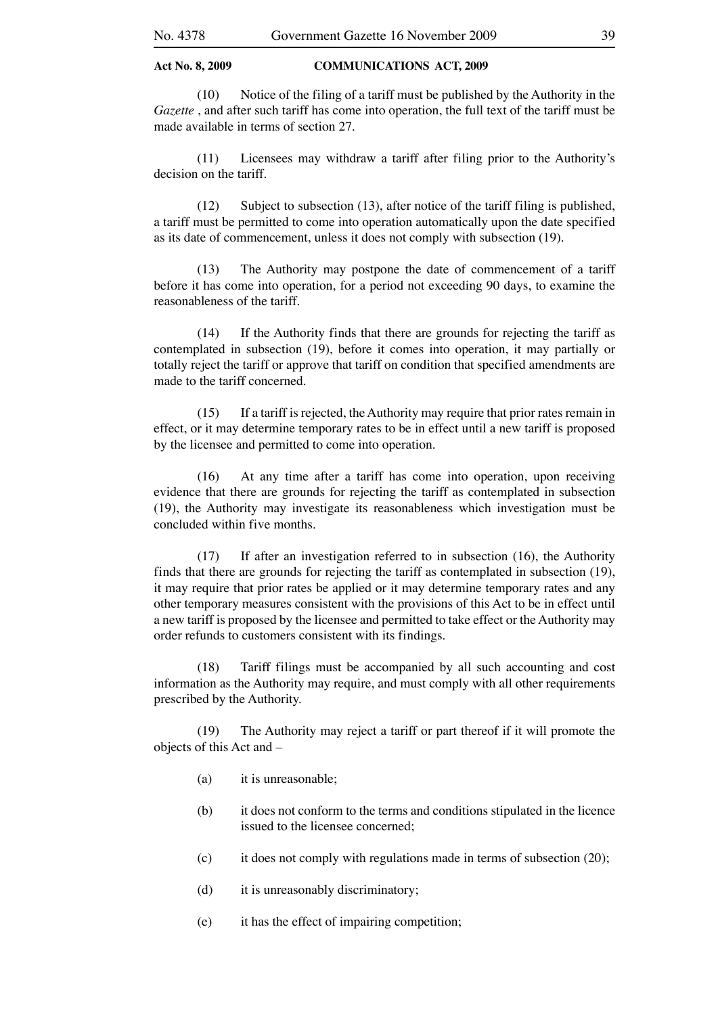(10) Notice of the filing of a tariff must be published by the Authority in the *Gazette* , and after such tariff has come into operation, the full text of the tariff must be made available in terms of section 27.

 (11) Licensees may withdraw a tariff after filing prior to the Authority's decision on the tariff.

 (12) Subject to subsection (13), after notice of the tariff filing is published, a tariff must be permitted to come into operation automatically upon the date specified as its date of commencement, unless it does not comply with subsection (19).

 (13) The Authority may postpone the date of commencement of a tariff before it has come into operation, for a period not exceeding 90 days, to examine the reasonableness of the tariff.

 (14) If the Authority finds that there are grounds for rejecting the tariff as contemplated in subsection (19), before it comes into operation, it may partially or totally reject the tariff or approve that tariff on condition that specified amendments are made to the tariff concerned.

 (15) If a tariff is rejected, the Authority may require that prior rates remain in effect, or it may determine temporary rates to be in effect until a new tariff is proposed by the licensee and permitted to come into operation.

 (16) At any time after a tariff has come into operation, upon receiving evidence that there are grounds for rejecting the tariff as contemplated in subsection (19), the Authority may investigate its reasonableness which investigation must be concluded within five months.

 (17) If after an investigation referred to in subsection (16), the Authority finds that there are grounds for rejecting the tariff as contemplated in subsection (19), it may require that prior rates be applied or it may determine temporary rates and any other temporary measures consistent with the provisions of this Act to be in effect until a new tariff is proposed by the licensee and permitted to take effect or the Authority may order refunds to customers consistent with its findings.

 (18) Tariff filings must be accompanied by all such accounting and cost information as the Authority may require, and must comply with all other requirements prescribed by the Authority.

 (19) The Authority may reject a tariff or part thereof if it will promote the objects of this Act and –

- (a) it is unreasonable;
- (b) it does not conform to the terms and conditions stipulated in the licence issued to the licensee concerned;
- (c) it does not comply with regulations made in terms of subsection (20);
- (d) it is unreasonably discriminatory;
- (e) it has the effect of impairing competition;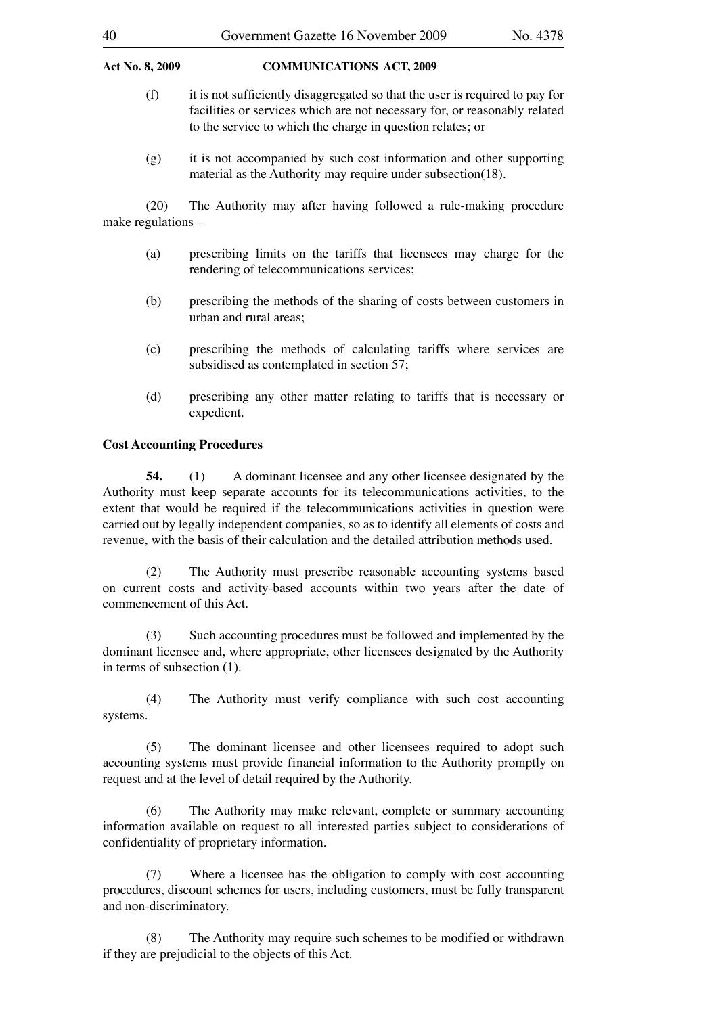- (f) it is not sufficiently disaggregated so that the user is required to pay for facilities or services which are not necessary for, or reasonably related to the service to which the charge in question relates; or
- (g) it is not accompanied by such cost information and other supporting material as the Authority may require under subsection(18).

 (20) The Authority may after having followed a rule-making procedure make regulations –

- (a) prescribing limits on the tariffs that licensees may charge for the rendering of telecommunications services;
- (b) prescribing the methods of the sharing of costs between customers in urban and rural areas;
- (c) prescribing the methods of calculating tariffs where services are subsidised as contemplated in section 57;
- (d) prescribing any other matter relating to tariffs that is necessary or expedient.

# **Cost Accounting Procedures**

 **54.** (1) A dominant licensee and any other licensee designated by the Authority must keep separate accounts for its telecommunications activities, to the extent that would be required if the telecommunications activities in question were carried out by legally independent companies, so as to identify all elements of costs and revenue, with the basis of their calculation and the detailed attribution methods used.

 (2) The Authority must prescribe reasonable accounting systems based on current costs and activity-based accounts within two years after the date of commencement of this Act.

 (3) Such accounting procedures must be followed and implemented by the dominant licensee and, where appropriate, other licensees designated by the Authority in terms of subsection (1).

 (4) The Authority must verify compliance with such cost accounting systems.

 (5) The dominant licensee and other licensees required to adopt such accounting systems must provide financial information to the Authority promptly on request and at the level of detail required by the Authority.

 (6) The Authority may make relevant, complete or summary accounting information available on request to all interested parties subject to considerations of confidentiality of proprietary information.

 (7) Where a licensee has the obligation to comply with cost accounting procedures, discount schemes for users, including customers, must be fully transparent and non-discriminatory.

 (8) The Authority may require such schemes to be modified or withdrawn if they are prejudicial to the objects of this Act.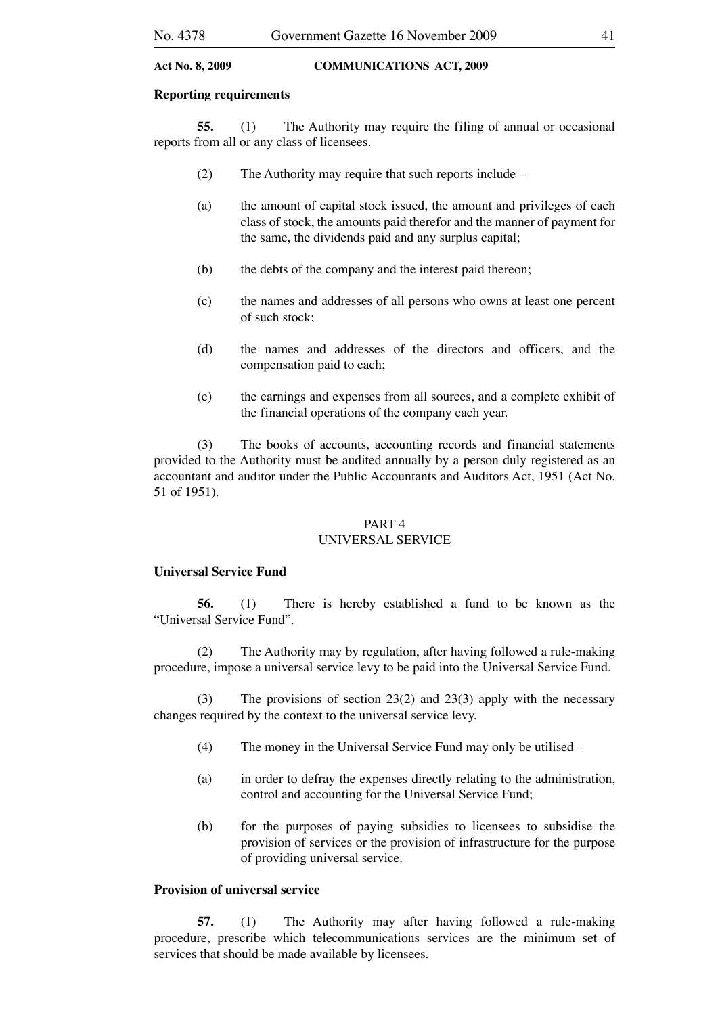### **Reporting requirements**

 **55.** (1) The Authority may require the filing of annual or occasional reports from all or any class of licensees.

- (2) The Authority may require that such reports include –
- (a) the amount of capital stock issued, the amount and privileges of each class of stock, the amounts paid therefor and the manner of payment for the same, the dividends paid and any surplus capital;
- (b) the debts of the company and the interest paid thereon;
- (c) the names and addresses of all persons who owns at least one percent of such stock;
- (d) the names and addresses of the directors and officers, and the compensation paid to each;
- (e) the earnings and expenses from all sources, and a complete exhibit of the financial operations of the company each year.

 (3) The books of accounts, accounting records and financial statements provided to the Authority must be audited annually by a person duly registered as an accountant and auditor under the Public Accountants and Auditors Act, 1951 (Act No. 51 of 1951).

### PART 4 UNIVERSAL SERVICE

### **Universal Service Fund**

 **56.** (1) There is hereby established a fund to be known as the "Universal Service Fund".

 (2) The Authority may by regulation, after having followed a rule-making procedure, impose a universal service levy to be paid into the Universal Service Fund.

 (3) The provisions of section 23(2) and 23(3) apply with the necessary changes required by the context to the universal service levy.

- (4) The money in the Universal Service Fund may only be utilised –
- (a) in order to defray the expenses directly relating to the administration, control and accounting for the Universal Service Fund;
- (b) for the purposes of paying subsidies to licensees to subsidise the provision of services or the provision of infrastructure for the purpose of providing universal service.

## **Provision of universal service**

 **57.** (1) The Authority may after having followed a rule-making procedure, prescribe which telecommunications services are the minimum set of services that should be made available by licensees.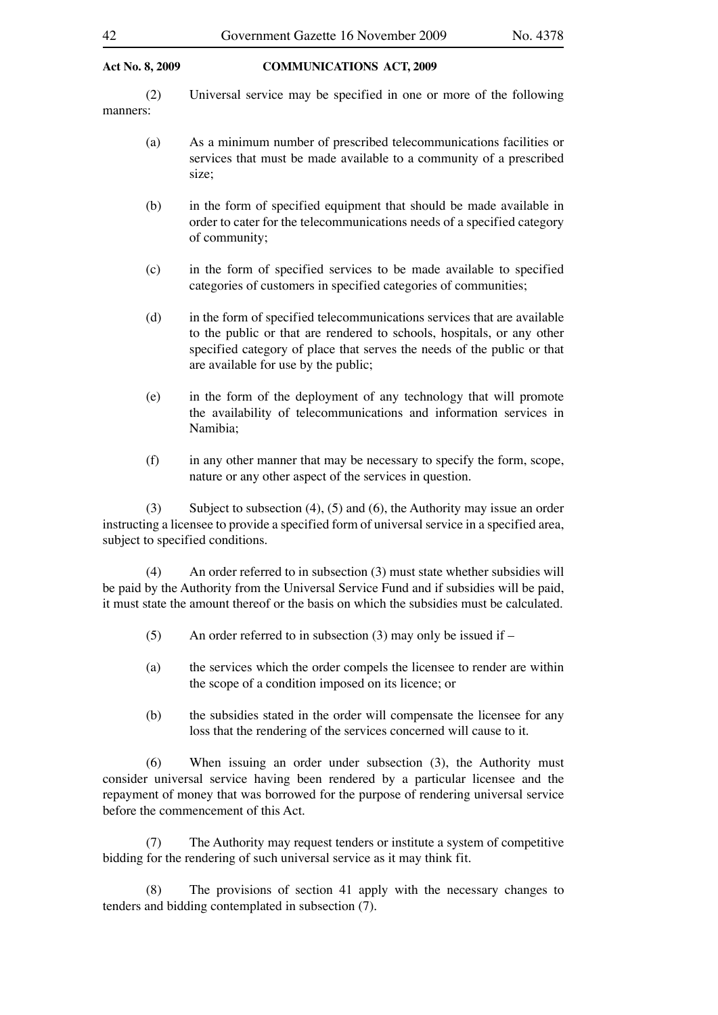(2) Universal service may be specified in one or more of the following manners:

- (a) As a minimum number of prescribed telecommunications facilities or services that must be made available to a community of a prescribed size;
- (b) in the form of specified equipment that should be made available in order to cater for the telecommunications needs of a specified category of community;
- (c) in the form of specified services to be made available to specified categories of customers in specified categories of communities;
- (d) in the form of specified telecommunications services that are available to the public or that are rendered to schools, hospitals, or any other specified category of place that serves the needs of the public or that are available for use by the public;
- (e) in the form of the deployment of any technology that will promote the availability of telecommunications and information services in Namibia;
- (f) in any other manner that may be necessary to specify the form, scope, nature or any other aspect of the services in question.

 (3) Subject to subsection (4), (5) and (6), the Authority may issue an order instructing a licensee to provide a specified form of universal service in a specified area, subject to specified conditions.

 (4) An order referred to in subsection (3) must state whether subsidies will be paid by the Authority from the Universal Service Fund and if subsidies will be paid, it must state the amount thereof or the basis on which the subsidies must be calculated.

- (5) An order referred to in subsection (3) may only be issued if  $-$
- (a) the services which the order compels the licensee to render are within the scope of a condition imposed on its licence; or
- (b) the subsidies stated in the order will compensate the licensee for any loss that the rendering of the services concerned will cause to it.

 (6) When issuing an order under subsection (3), the Authority must consider universal service having been rendered by a particular licensee and the repayment of money that was borrowed for the purpose of rendering universal service before the commencement of this Act.

 (7) The Authority may request tenders or institute a system of competitive bidding for the rendering of such universal service as it may think fit.

 (8) The provisions of section 41 apply with the necessary changes to tenders and bidding contemplated in subsection (7).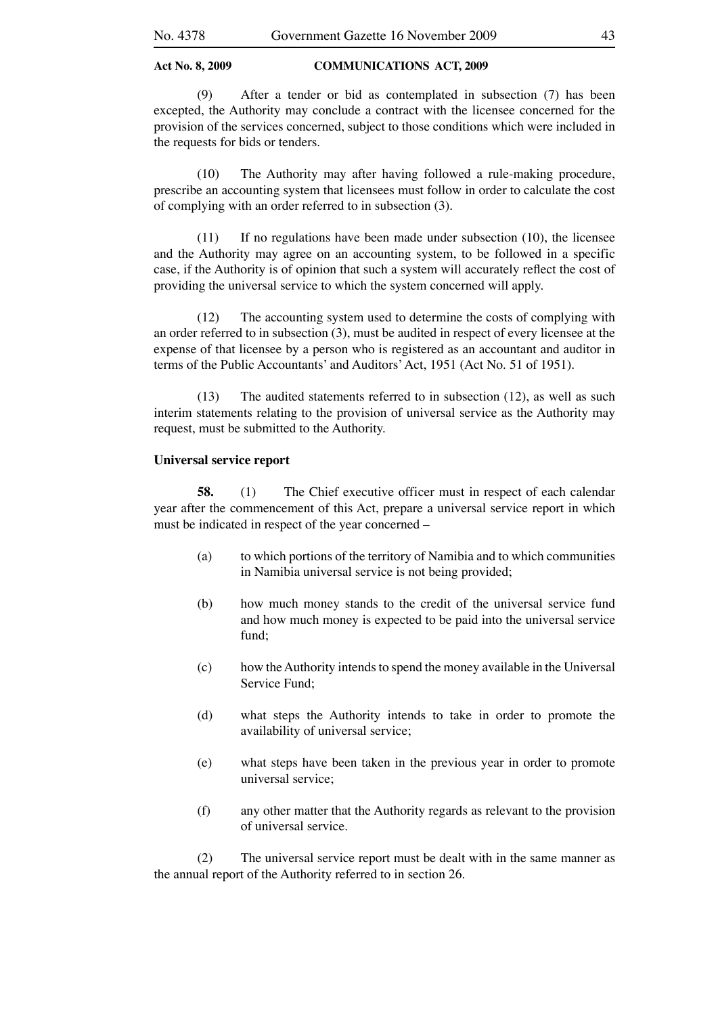(9) After a tender or bid as contemplated in subsection (7) has been excepted, the Authority may conclude a contract with the licensee concerned for the provision of the services concerned, subject to those conditions which were included in the requests for bids or tenders.

 (10) The Authority may after having followed a rule-making procedure, prescribe an accounting system that licensees must follow in order to calculate the cost of complying with an order referred to in subsection (3).

 (11) If no regulations have been made under subsection (10), the licensee and the Authority may agree on an accounting system, to be followed in a specific case, if the Authority is of opinion that such a system will accurately reflect the cost of providing the universal service to which the system concerned will apply.

 (12) The accounting system used to determine the costs of complying with an order referred to in subsection (3), must be audited in respect of every licensee at the expense of that licensee by a person who is registered as an accountant and auditor in terms of the Public Accountants' and Auditors' Act, 1951 (Act No. 51 of 1951).

 (13) The audited statements referred to in subsection (12), as well as such interim statements relating to the provision of universal service as the Authority may request, must be submitted to the Authority.

### **Universal service report**

**58.** (1) The Chief executive officer must in respect of each calendar year after the commencement of this Act, prepare a universal service report in which must be indicated in respect of the year concerned –

- (a) to which portions of the territory of Namibia and to which communities in Namibia universal service is not being provided;
- (b) how much money stands to the credit of the universal service fund and how much money is expected to be paid into the universal service fund;
- (c) how the Authority intends to spend the money available in the Universal Service Fund;
- (d) what steps the Authority intends to take in order to promote the availability of universal service;
- (e) what steps have been taken in the previous year in order to promote universal service;
- (f) any other matter that the Authority regards as relevant to the provision of universal service.

 (2) The universal service report must be dealt with in the same manner as the annual report of the Authority referred to in section 26.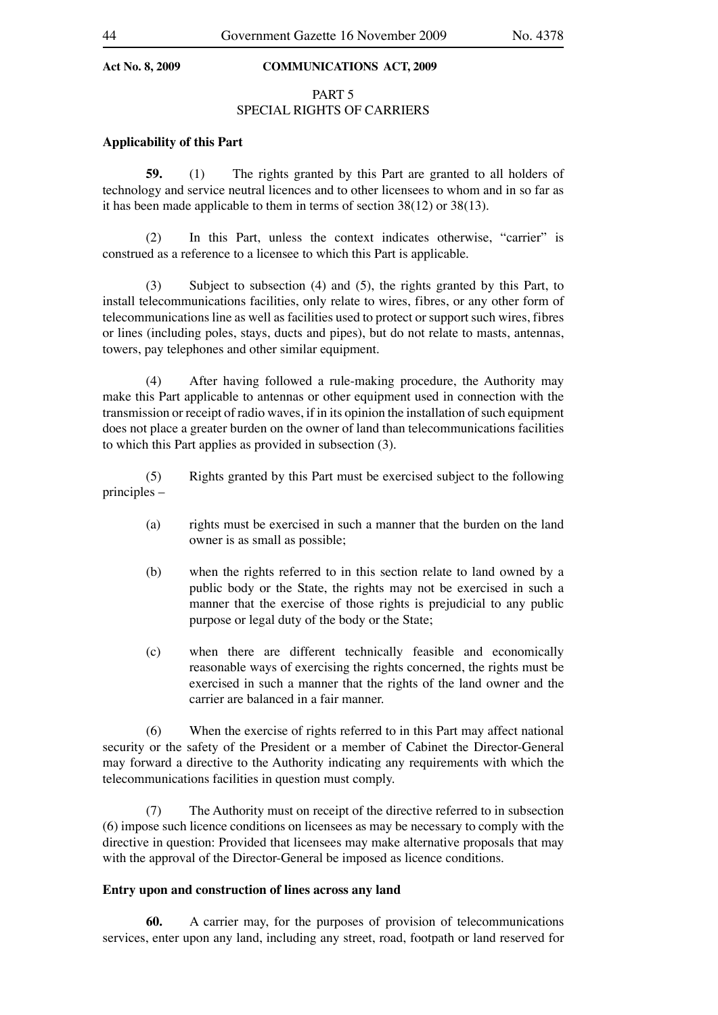# PART 5

# SPECIAL RIGHTS OF CARRIERS

# **Applicability of this Part**

 **59.** (1) The rights granted by this Part are granted to all holders of technology and service neutral licences and to other licensees to whom and in so far as it has been made applicable to them in terms of section 38(12) or 38(13).

 (2) In this Part, unless the context indicates otherwise, "carrier" is construed as a reference to a licensee to which this Part is applicable.

 (3) Subject to subsection (4) and (5), the rights granted by this Part, to install telecommunications facilities, only relate to wires, fibres, or any other form of telecommunications line as well as facilities used to protect or support such wires, fibres or lines (including poles, stays, ducts and pipes), but do not relate to masts, antennas, towers, pay telephones and other similar equipment.

 (4) After having followed a rule-making procedure, the Authority may make this Part applicable to antennas or other equipment used in connection with the transmission or receipt of radio waves, if in its opinion the installation of such equipment does not place a greater burden on the owner of land than telecommunications facilities to which this Part applies as provided in subsection (3).

 (5) Rights granted by this Part must be exercised subject to the following principles –

- (a) rights must be exercised in such a manner that the burden on the land owner is as small as possible;
- (b) when the rights referred to in this section relate to land owned by a public body or the State, the rights may not be exercised in such a manner that the exercise of those rights is prejudicial to any public purpose or legal duty of the body or the State;
- (c) when there are different technically feasible and economically reasonable ways of exercising the rights concerned, the rights must be exercised in such a manner that the rights of the land owner and the carrier are balanced in a fair manner.

 (6) When the exercise of rights referred to in this Part may affect national security or the safety of the President or a member of Cabinet the Director-General may forward a directive to the Authority indicating any requirements with which the telecommunications facilities in question must comply.

 (7) The Authority must on receipt of the directive referred to in subsection (6) impose such licence conditions on licensees as may be necessary to comply with the directive in question: Provided that licensees may make alternative proposals that may with the approval of the Director-General be imposed as licence conditions.

## **Entry upon and construction of lines across any land**

 **60.** A carrier may, for the purposes of provision of telecommunications services, enter upon any land, including any street, road, footpath or land reserved for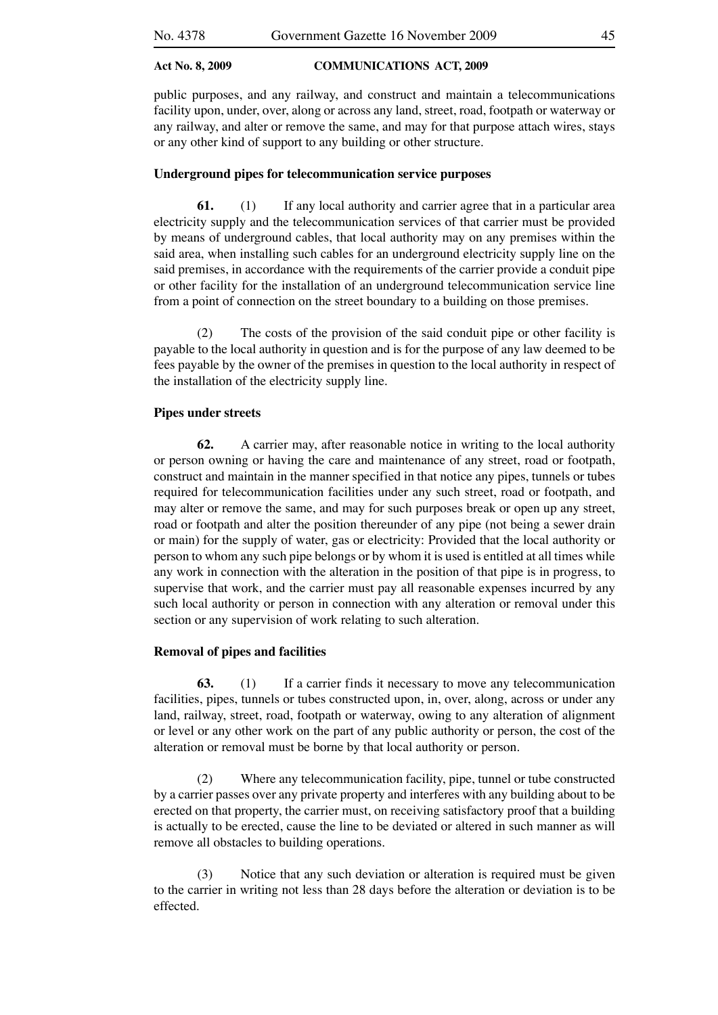public purposes, and any railway, and construct and maintain a telecommunications facility upon, under, over, along or across any land, street, road, footpath or waterway or any railway, and alter or remove the same, and may for that purpose attach wires, stays or any other kind of support to any building or other structure.

### **Underground pipes for telecommunication service purposes**

 **61.** (1) If any local authority and carrier agree that in a particular area electricity supply and the telecommunication services of that carrier must be provided by means of underground cables, that local authority may on any premises within the said area, when installing such cables for an underground electricity supply line on the said premises, in accordance with the requirements of the carrier provide a conduit pipe or other facility for the installation of an underground telecommunication service line from a point of connection on the street boundary to a building on those premises.

 (2) The costs of the provision of the said conduit pipe or other facility is payable to the local authority in question and is for the purpose of any law deemed to be fees payable by the owner of the premises in question to the local authority in respect of the installation of the electricity supply line.

### **Pipes under streets**

 **62.** A carrier may, after reasonable notice in writing to the local authority or person owning or having the care and maintenance of any street, road or footpath, construct and maintain in the manner specified in that notice any pipes, tunnels or tubes required for telecommunication facilities under any such street, road or footpath, and may alter or remove the same, and may for such purposes break or open up any street, road or footpath and alter the position thereunder of any pipe (not being a sewer drain or main) for the supply of water, gas or electricity: Provided that the local authority or person to whom any such pipe belongs or by whom it is used is entitled at all times while any work in connection with the alteration in the position of that pipe is in progress, to supervise that work, and the carrier must pay all reasonable expenses incurred by any such local authority or person in connection with any alteration or removal under this section or any supervision of work relating to such alteration.

## **Removal of pipes and facilities**

**63.** (1) If a carrier finds it necessary to move any telecommunication facilities, pipes, tunnels or tubes constructed upon, in, over, along, across or under any land, railway, street, road, footpath or waterway, owing to any alteration of alignment or level or any other work on the part of any public authority or person, the cost of the alteration or removal must be borne by that local authority or person.

 (2) Where any telecommunication facility, pipe, tunnel or tube constructed by a carrier passes over any private property and interferes with any building about to be erected on that property, the carrier must, on receiving satisfactory proof that a building is actually to be erected, cause the line to be deviated or altered in such manner as will remove all obstacles to building operations.

 (3) Notice that any such deviation or alteration is required must be given to the carrier in writing not less than 28 days before the alteration or deviation is to be effected.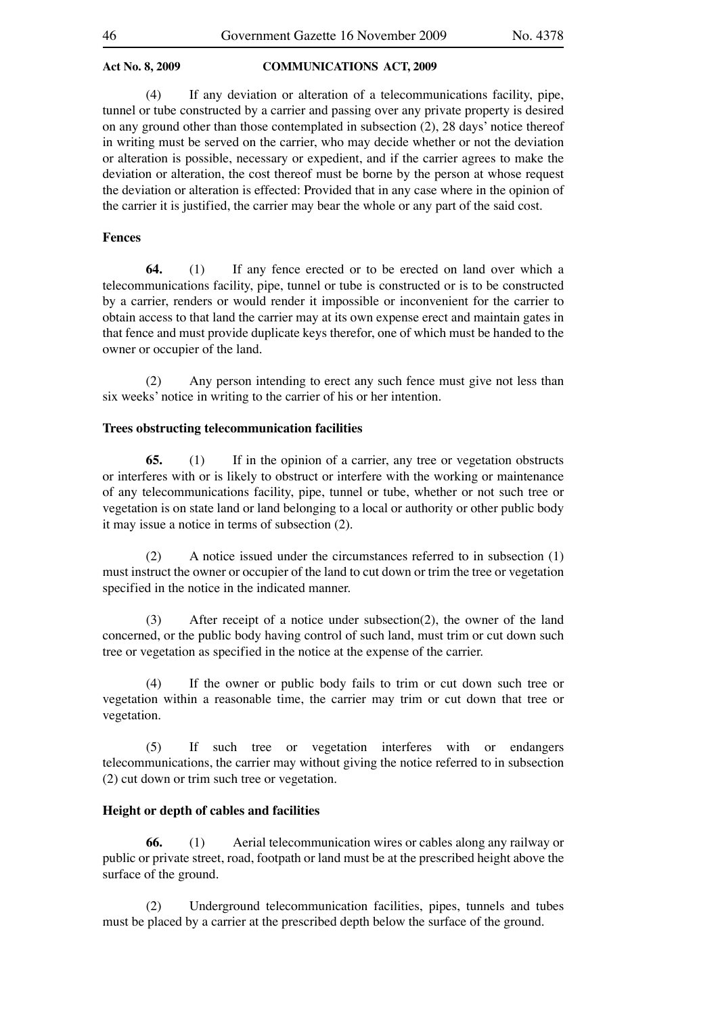(4) If any deviation or alteration of a telecommunications facility, pipe, tunnel or tube constructed by a carrier and passing over any private property is desired on any ground other than those contemplated in subsection (2), 28 days' notice thereof in writing must be served on the carrier, who may decide whether or not the deviation or alteration is possible, necessary or expedient, and if the carrier agrees to make the deviation or alteration, the cost thereof must be borne by the person at whose request the deviation or alteration is effected: Provided that in any case where in the opinion of the carrier it is justified, the carrier may bear the whole or any part of the said cost.

# **Fences**

 **64.** (1) If any fence erected or to be erected on land over which a telecommunications facility, pipe, tunnel or tube is constructed or is to be constructed by a carrier, renders or would render it impossible or inconvenient for the carrier to obtain access to that land the carrier may at its own expense erect and maintain gates in that fence and must provide duplicate keys therefor, one of which must be handed to the owner or occupier of the land.

 (2) Any person intending to erect any such fence must give not less than six weeks' notice in writing to the carrier of his or her intention.

# **Trees obstructing telecommunication facilities**

 **65.** (1) If in the opinion of a carrier, any tree or vegetation obstructs or interferes with or is likely to obstruct or interfere with the working or maintenance of any telecommunications facility, pipe, tunnel or tube, whether or not such tree or vegetation is on state land or land belonging to a local or authority or other public body it may issue a notice in terms of subsection (2).

 (2) A notice issued under the circumstances referred to in subsection (1) must instruct the owner or occupier of the land to cut down or trim the tree or vegetation specified in the notice in the indicated manner.

 (3) After receipt of a notice under subsection(2), the owner of the land concerned, or the public body having control of such land, must trim or cut down such tree or vegetation as specified in the notice at the expense of the carrier.

 (4) If the owner or public body fails to trim or cut down such tree or vegetation within a reasonable time, the carrier may trim or cut down that tree or vegetation.

 (5) If such tree or vegetation interferes with or endangers telecommunications, the carrier may without giving the notice referred to in subsection (2) cut down or trim such tree or vegetation.

# **Height or depth of cables and facilities**

 **66.** (1) Aerial telecommunication wires or cables along any railway or public or private street, road, footpath or land must be at the prescribed height above the surface of the ground.

 (2) Underground telecommunication facilities, pipes, tunnels and tubes must be placed by a carrier at the prescribed depth below the surface of the ground.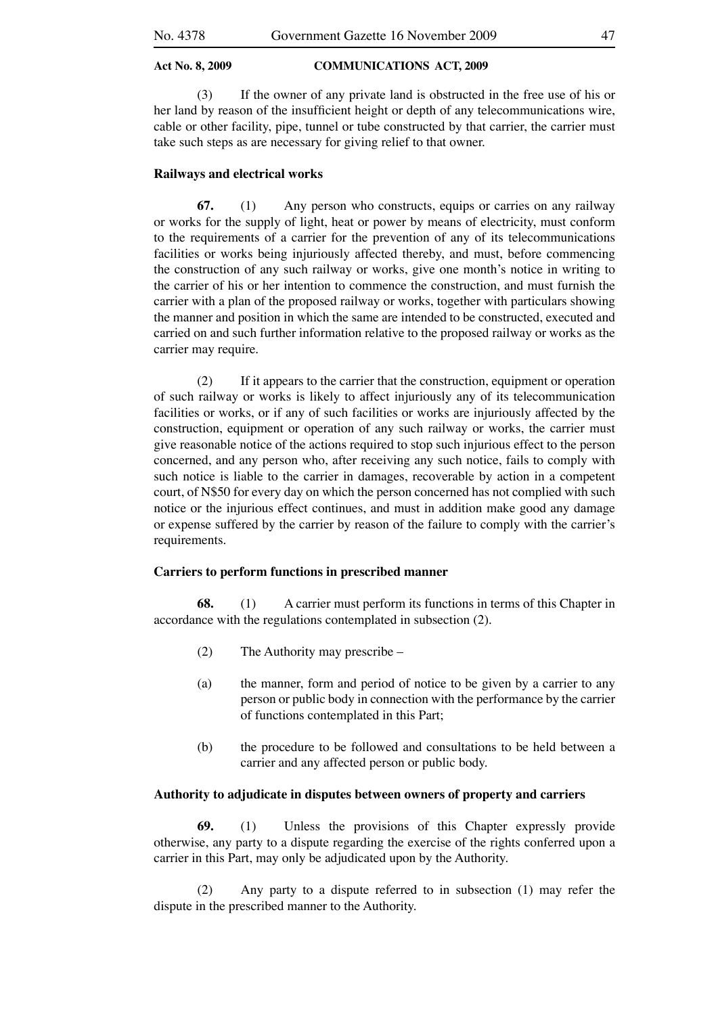(3) If the owner of any private land is obstructed in the free use of his or her land by reason of the insufficient height or depth of any telecommunications wire, cable or other facility, pipe, tunnel or tube constructed by that carrier, the carrier must take such steps as are necessary for giving relief to that owner.

### **Railways and electrical works**

 **67.** (1) Any person who constructs, equips or carries on any railway or works for the supply of light, heat or power by means of electricity, must conform to the requirements of a carrier for the prevention of any of its telecommunications facilities or works being injuriously affected thereby, and must, before commencing the construction of any such railway or works, give one month's notice in writing to the carrier of his or her intention to commence the construction, and must furnish the carrier with a plan of the proposed railway or works, together with particulars showing the manner and position in which the same are intended to be constructed, executed and carried on and such further information relative to the proposed railway or works as the carrier may require.

 (2) If it appears to the carrier that the construction, equipment or operation of such railway or works is likely to affect injuriously any of its telecommunication facilities or works, or if any of such facilities or works are injuriously affected by the construction, equipment or operation of any such railway or works, the carrier must give reasonable notice of the actions required to stop such injurious effect to the person concerned, and any person who, after receiving any such notice, fails to comply with such notice is liable to the carrier in damages, recoverable by action in a competent court, of N\$50 for every day on which the person concerned has not complied with such notice or the injurious effect continues, and must in addition make good any damage or expense suffered by the carrier by reason of the failure to comply with the carrier's requirements.

### **Carriers to perform functions in prescribed manner**

 **68.** (1) A carrier must perform its functions in terms of this Chapter in accordance with the regulations contemplated in subsection (2).

- (2) The Authority may prescribe –
- (a) the manner, form and period of notice to be given by a carrier to any person or public body in connection with the performance by the carrier of functions contemplated in this Part;
- (b) the procedure to be followed and consultations to be held between a carrier and any affected person or public body.

### **Authority to adjudicate in disputes between owners of property and carriers**

 **69.** (1) Unless the provisions of this Chapter expressly provide otherwise, any party to a dispute regarding the exercise of the rights conferred upon a carrier in this Part, may only be adjudicated upon by the Authority.

 (2) Any party to a dispute referred to in subsection (1) may refer the dispute in the prescribed manner to the Authority.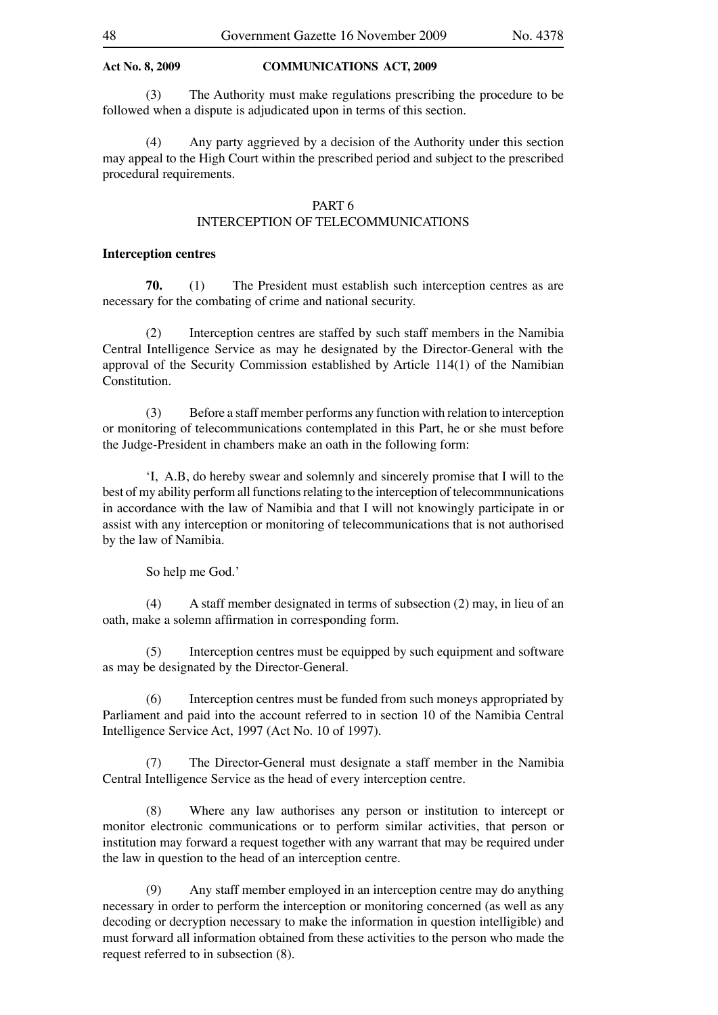(3) The Authority must make regulations prescribing the procedure to be followed when a dispute is adjudicated upon in terms of this section.

 (4) Any party aggrieved by a decision of the Authority under this section may appeal to the High Court within the prescribed period and subject to the prescribed procedural requirements.

### PART 6

# INTERCEPTION OF TELECOMMUNICATIONS

# **Interception centres**

 **70.** (1) The President must establish such interception centres as are necessary for the combating of crime and national security.

 (2) Interception centres are staffed by such staff members in the Namibia Central Intelligence Service as may he designated by the Director-General with the approval of the Security Commission established by Article 114(1) of the Namibian Constitution.

 (3) Before a staff member performs any function with relation to interception or monitoring of telecommunications contemplated in this Part, he or she must before the Judge-President in chambers make an oath in the following form:

 'I, A.B, do hereby swear and solemnly and sincerely promise that I will to the best of my ability perform all functions relating to the interception of telecommnunications in accordance with the law of Namibia and that I will not knowingly participate in or assist with any interception or monitoring of telecommunications that is not authorised by the law of Namibia.

So help me God.'

 (4) A staff member designated in terms of subsection (2) may, in lieu of an oath, make a solemn affirmation in corresponding form.

 (5) Interception centres must be equipped by such equipment and software as may be designated by the Director-General.

 (6) Interception centres must be funded from such moneys appropriated by Parliament and paid into the account referred to in section 10 of the Namibia Central Intelligence Service Act, 1997 (Act No. 10 of 1997).

 (7) The Director-General must designate a staff member in the Namibia Central Intelligence Service as the head of every interception centre.

 (8) Where any law authorises any person or institution to intercept or monitor electronic communications or to perform similar activities, that person or institution may forward a request together with any warrant that may be required under the law in question to the head of an interception centre.

 (9) Any staff member employed in an interception centre may do anything necessary in order to perform the interception or monitoring concerned (as well as any decoding or decryption necessary to make the information in question intelligible) and must forward all information obtained from these activities to the person who made the request referred to in subsection (8).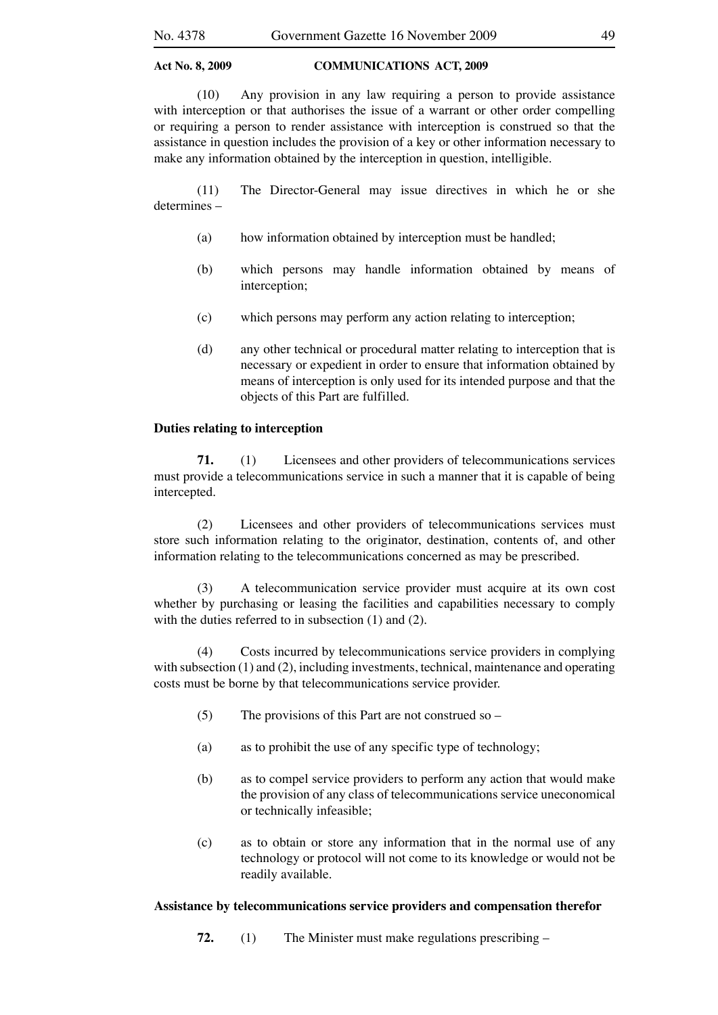(10) Any provision in any law requiring a person to provide assistance with interception or that authorises the issue of a warrant or other order compelling or requiring a person to render assistance with interception is construed so that the assistance in question includes the provision of a key or other information necessary to make any information obtained by the interception in question, intelligible.

 (11) The Director-General may issue directives in which he or she determines –

- (a) how information obtained by interception must be handled;
- (b) which persons may handle information obtained by means of interception;
- (c) which persons may perform any action relating to interception;
- (d) any other technical or procedural matter relating to interception that is necessary or expedient in order to ensure that information obtained by means of interception is only used for its intended purpose and that the objects of this Part are fulfilled.

# **Duties relating to interception**

 **71.** (1) Licensees and other providers of telecommunications services must provide a telecommunications service in such a manner that it is capable of being intercepted.

 (2) Licensees and other providers of telecommunications services must store such information relating to the originator, destination, contents of, and other information relating to the telecommunications concerned as may be prescribed.

 (3) A telecommunication service provider must acquire at its own cost whether by purchasing or leasing the facilities and capabilities necessary to comply with the duties referred to in subsection (1) and (2).

 (4) Costs incurred by telecommunications service providers in complying with subsection (1) and (2), including investments, technical, maintenance and operating costs must be borne by that telecommunications service provider.

- (5) The provisions of this Part are not construed so –
- (a) as to prohibit the use of any specific type of technology;
- (b) as to compel service providers to perform any action that would make the provision of any class of telecommunications service uneconomical or technically infeasible;
- (c) as to obtain or store any information that in the normal use of any technology or protocol will not come to its knowledge or would not be readily available.

### **Assistance by telecommunications service providers and compensation therefor**

 **72.** (1) The Minister must make regulations prescribing –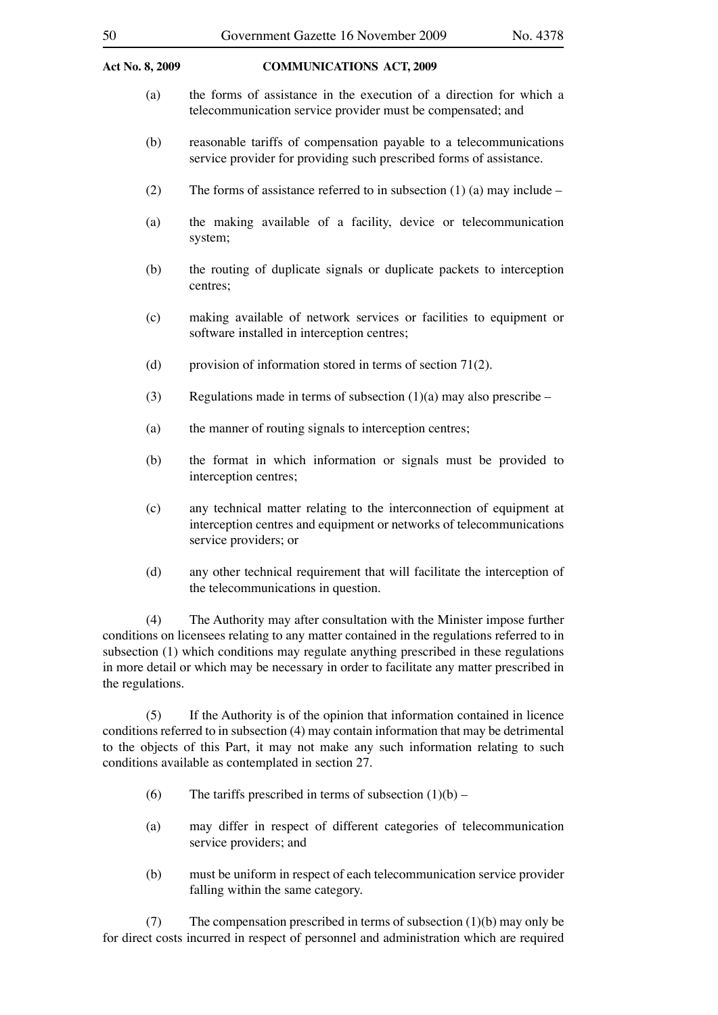# 50 Government Gazette 16 November 2009 No. 4378

### **Act No. 8, 2009 COMMUNICATIONS ACT, 2009**

- (a) the forms of assistance in the execution of a direction for which a telecommunication service provider must be compensated; and
- (b) reasonable tariffs of compensation payable to a telecommunications service provider for providing such prescribed forms of assistance.
- (2) The forms of assistance referred to in subsection  $(1)$  (a) may include –
- (a) the making available of a facility, device or telecommunication system;
- (b) the routing of duplicate signals or duplicate packets to interception centres;
- (c) making available of network services or facilities to equipment or software installed in interception centres;
- (d) provision of information stored in terms of section 71(2).
- (3) Regulations made in terms of subsection  $(1)(a)$  may also prescribe –
- (a) the manner of routing signals to interception centres;
- (b) the format in which information or signals must be provided to interception centres;
- (c) any technical matter relating to the interconnection of equipment at interception centres and equipment or networks of telecommunications service providers; or
- (d) any other technical requirement that will facilitate the interception of the telecommunications in question.

 (4) The Authority may after consultation with the Minister impose further conditions on licensees relating to any matter contained in the regulations referred to in subsection (1) which conditions may regulate anything prescribed in these regulations in more detail or which may be necessary in order to facilitate any matter prescribed in the regulations.

 (5) If the Authority is of the opinion that information contained in licence conditions referred to in subsection (4) may contain information that may be detrimental to the objects of this Part, it may not make any such information relating to such conditions available as contemplated in section 27.

- (6) The tariffs prescribed in terms of subsection  $(1)(b)$  –
- (a) may differ in respect of different categories of telecommunication service providers; and
- (b) must be uniform in respect of each telecommunication service provider falling within the same category.

 (7) The compensation prescribed in terms of subsection (1)(b) may only be for direct costs incurred in respect of personnel and administration which are required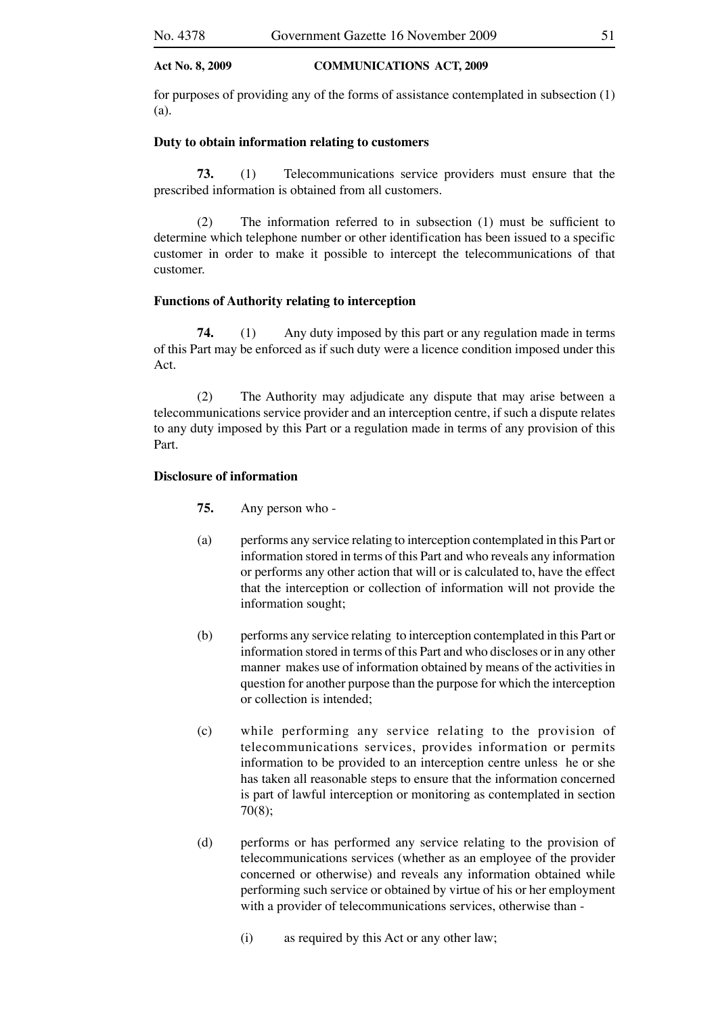for purposes of providing any of the forms of assistance contemplated in subsection (1) (a).

## **Duty to obtain information relating to customers**

 **73.** (1) Telecommunications service providers must ensure that the prescribed information is obtained from all customers.

 (2) The information referred to in subsection (1) must be sufficient to determine which telephone number or other identification has been issued to a specific customer in order to make it possible to intercept the telecommunications of that customer.

### **Functions of Authority relating to interception**

 **74.** (1) Any duty imposed by this part or any regulation made in terms of this Part may be enforced as if such duty were a licence condition imposed under this Act.

 (2) The Authority may adjudicate any dispute that may arise between a telecommunications service provider and an interception centre, if such a dispute relates to any duty imposed by this Part or a regulation made in terms of any provision of this Part.

### **Disclosure of information**

- **75.** Any person who -
- (a) performs any service relating to interception contemplated in this Part or information stored in terms of this Part and who reveals any information or performs any other action that will or is calculated to, have the effect that the interception or collection of information will not provide the information sought;
- (b) performs any service relating to interception contemplated in this Part or information stored in terms of this Part and who discloses or in any other manner makes use of information obtained by means of the activities in question for another purpose than the purpose for which the interception or collection is intended;
- (c) while performing any service relating to the provision of telecommunications services, provides information or permits information to be provided to an interception centre unless he or she has taken all reasonable steps to ensure that the information concerned is part of lawful interception or monitoring as contemplated in section 70(8);
- (d) performs or has performed any service relating to the provision of telecommunications services (whether as an employee of the provider concerned or otherwise) and reveals any information obtained while performing such service or obtained by virtue of his or her employment with a provider of telecommunications services, otherwise than -
	- (i) as required by this Act or any other law;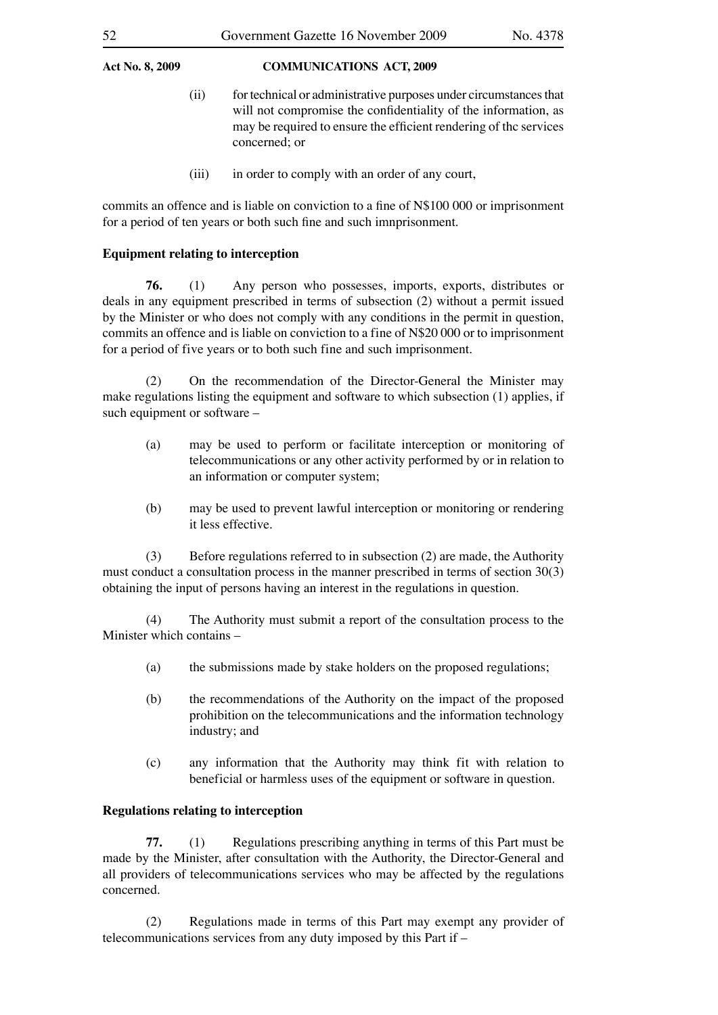- **Act No. 8, 2009 COMMUNICATIONS ACT, 2009**
	- (ii) for technical or administrative purposes under circumstances that will not compromise the confidentiality of the information, as may be required to ensure the efficient rendering of thc services concerned; or
	- (iii) in order to comply with an order of any court,

commits an offence and is liable on conviction to a fine of N\$100 000 or imprisonment for a period of ten years or both such fine and such imnprisonment.

# **Equipment relating to interception**

 **76.** (1) Any person who possesses, imports, exports, distributes or deals in any equipment prescribed in terms of subsection (2) without a permit issued by the Minister or who does not comply with any conditions in the permit in question, commits an offence and is liable on conviction to a fine of N\$20 000 or to imprisonment for a period of five years or to both such fine and such imprisonment.

 (2) On the recommendation of the Director-General the Minister may make regulations listing the equipment and software to which subsection (1) applies, if such equipment or software –

- (a) may be used to perform or facilitate interception or monitoring of telecommunications or any other activity performed by or in relation to an information or computer system;
- (b) may be used to prevent lawful interception or monitoring or rendering it less effective.

 (3) Before regulations referred to in subsection (2) are made, the Authority must conduct a consultation process in the manner prescribed in terms of section 30(3) obtaining the input of persons having an interest in the regulations in question.

 (4) The Authority must submit a report of the consultation process to the Minister which contains –

- (a) the submissions made by stake holders on the proposed regulations;
- (b) the recommendations of the Authority on the impact of the proposed prohibition on the telecommunications and the information technology industry; and
- (c) any information that the Authority may think fit with relation to beneficial or harmless uses of the equipment or software in question.

# **Regulations relating to interception**

 **77.** (1) Regulations prescribing anything in terms of this Part must be made by the Minister, after consultation with the Authority, the Director-General and all providers of telecommunications services who may be affected by the regulations concerned.

 (2) Regulations made in terms of this Part may exempt any provider of telecommunications services from any duty imposed by this Part if –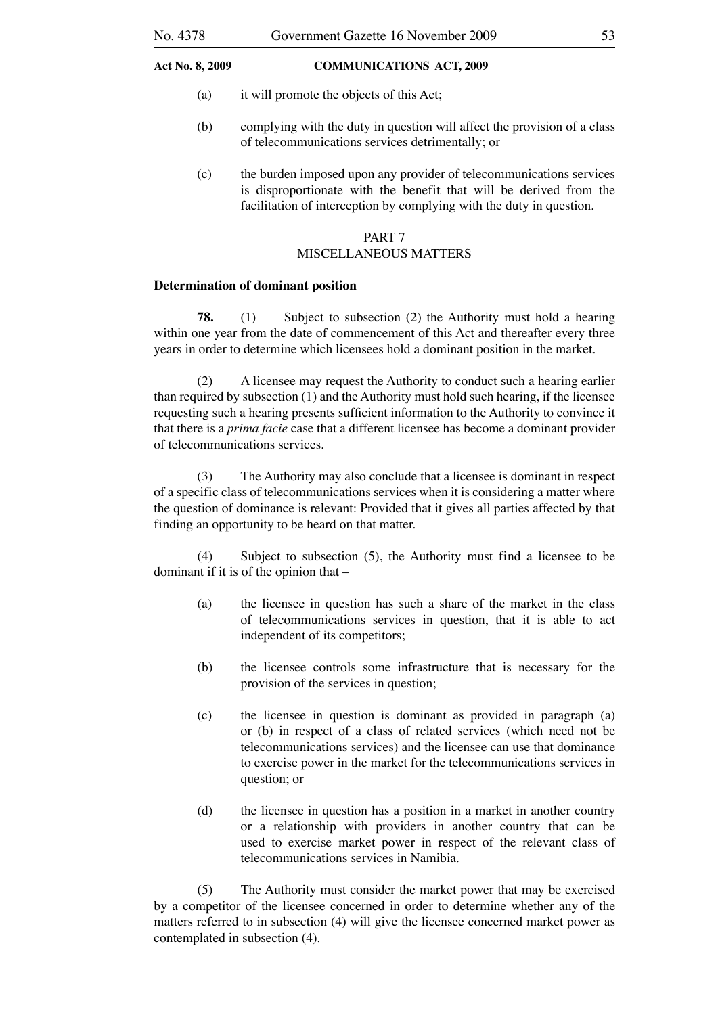- (a) it will promote the objects of this Act;
- (b) complying with the duty in question will affect the provision of a class of telecommunications services detrimentally; or
- (c) the burden imposed upon any provider of telecommunications services is disproportionate with the benefit that will be derived from the facilitation of interception by complying with the duty in question.

# PART 7 MISCELLANEOUS MATTERS

# **Determination of dominant position**

 **78.** (1) Subject to subsection (2) the Authority must hold a hearing within one year from the date of commencement of this Act and thereafter every three years in order to determine which licensees hold a dominant position in the market.

 (2) A licensee may request the Authority to conduct such a hearing earlier than required by subsection (1) and the Authority must hold such hearing, if the licensee requesting such a hearing presents sufficient information to the Authority to convince it that there is a *prima facie* case that a different licensee has become a dominant provider of telecommunications services.

 (3) The Authority may also conclude that a licensee is dominant in respect of a specific class of telecommunications services when it is considering a matter where the question of dominance is relevant: Provided that it gives all parties affected by that finding an opportunity to be heard on that matter.

 (4) Subject to subsection (5), the Authority must find a licensee to be dominant if it is of the opinion that –

- (a) the licensee in question has such a share of the market in the class of telecommunications services in question, that it is able to act independent of its competitors;
- (b) the licensee controls some infrastructure that is necessary for the provision of the services in question;
- (c) the licensee in question is dominant as provided in paragraph (a) or (b) in respect of a class of related services (which need not be telecommunications services) and the licensee can use that dominance to exercise power in the market for the telecommunications services in question; or
- (d) the licensee in question has a position in a market in another country or a relationship with providers in another country that can be used to exercise market power in respect of the relevant class of telecommunications services in Namibia.

 (5) The Authority must consider the market power that may be exercised by a competitor of the licensee concerned in order to determine whether any of the matters referred to in subsection (4) will give the licensee concerned market power as contemplated in subsection (4).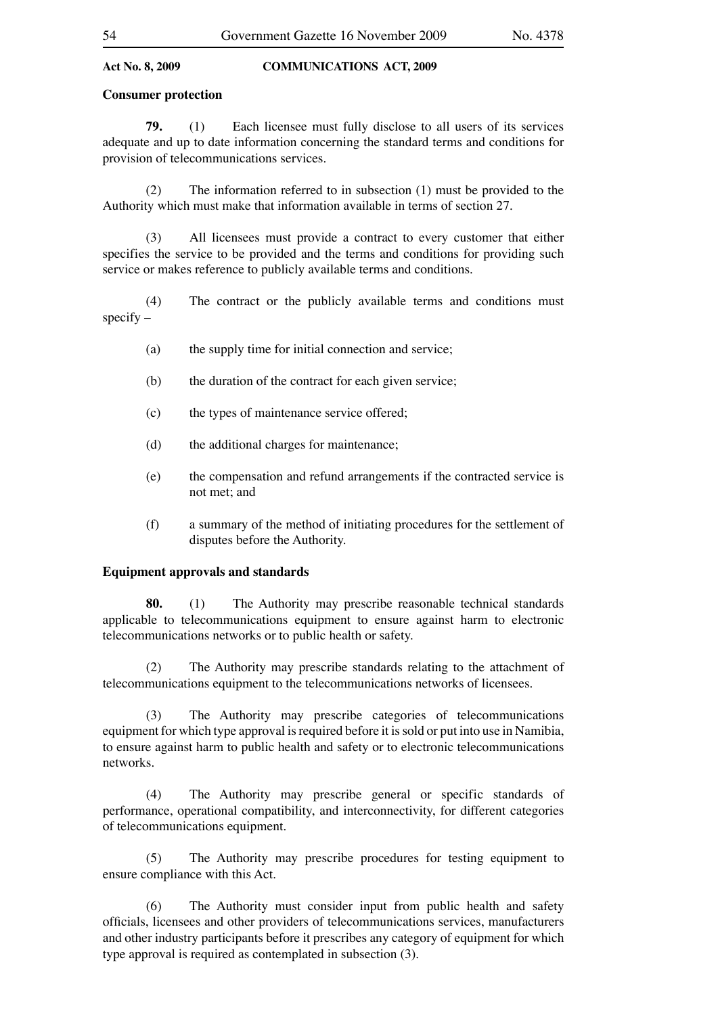# **Consumer protection**

 **79.** (1) Each licensee must fully disclose to all users of its services adequate and up to date information concerning the standard terms and conditions for provision of telecommunications services.

 (2) The information referred to in subsection (1) must be provided to the Authority which must make that information available in terms of section 27.

 (3) All licensees must provide a contract to every customer that either specifies the service to be provided and the terms and conditions for providing such service or makes reference to publicly available terms and conditions.

 (4) The contract or the publicly available terms and conditions must  $specify -$ 

- (a) the supply time for initial connection and service;
- (b) the duration of the contract for each given service;
- (c) the types of maintenance service offered;
- (d) the additional charges for maintenance;
- (e) the compensation and refund arrangements if the contracted service is not met; and
- (f) a summary of the method of initiating procedures for the settlement of disputes before the Authority.

## **Equipment approvals and standards**

 **80.** (1) The Authority may prescribe reasonable technical standards applicable to telecommunications equipment to ensure against harm to electronic telecommunications networks or to public health or safety.

 (2) The Authority may prescribe standards relating to the attachment of telecommunications equipment to the telecommunications networks of licensees.

 (3) The Authority may prescribe categories of telecommunications equipment for which type approval is required before it is sold or put into use in Namibia, to ensure against harm to public health and safety or to electronic telecommunications networks.

 (4) The Authority may prescribe general or specific standards of performance, operational compatibility, and interconnectivity, for different categories of telecommunications equipment.

 (5) The Authority may prescribe procedures for testing equipment to ensure compliance with this Act.

 (6) The Authority must consider input from public health and safety officials, licensees and other providers of telecommunications services, manufacturers and other industry participants before it prescribes any category of equipment for which type approval is required as contemplated in subsection (3).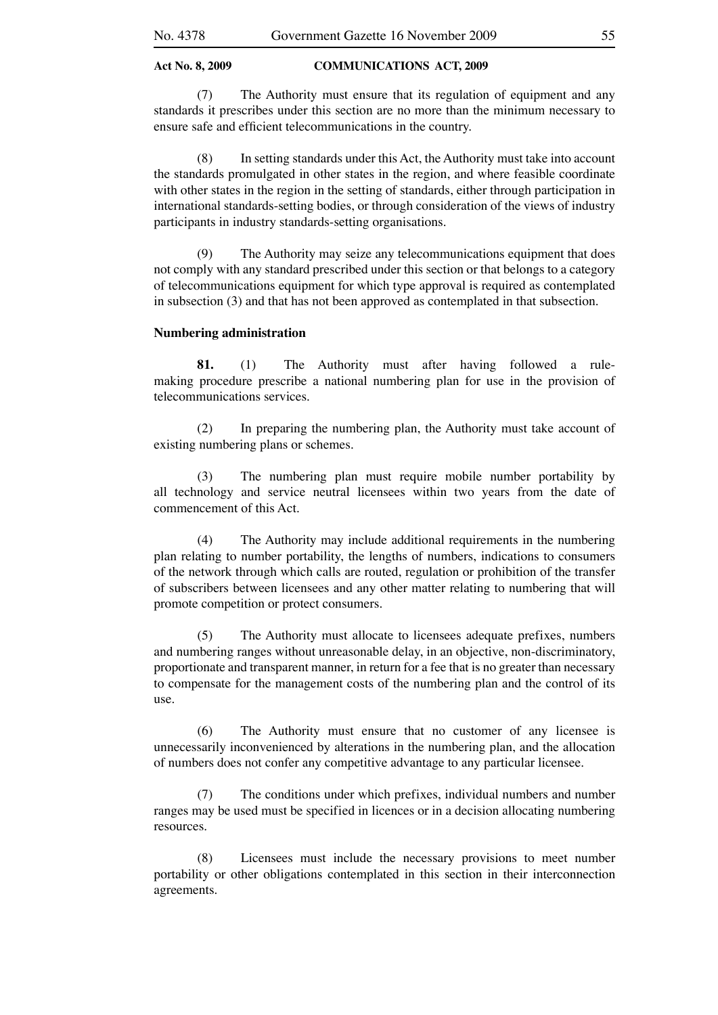(7) The Authority must ensure that its regulation of equipment and any standards it prescribes under this section are no more than the minimum necessary to ensure safe and efficient telecommunications in the country.

 (8) In setting standards under this Act, the Authority must take into account the standards promulgated in other states in the region, and where feasible coordinate with other states in the region in the setting of standards, either through participation in international standards-setting bodies, or through consideration of the views of industry participants in industry standards-setting organisations.

 (9) The Authority may seize any telecommunications equipment that does not comply with any standard prescribed under this section or that belongs to a category of telecommunications equipment for which type approval is required as contemplated in subsection (3) and that has not been approved as contemplated in that subsection.

### **Numbering administration**

 **81.** (1) The Authority must after having followed a rulemaking procedure prescribe a national numbering plan for use in the provision of telecommunications services.

 (2) In preparing the numbering plan, the Authority must take account of existing numbering plans or schemes.

 (3) The numbering plan must require mobile number portability by all technology and service neutral licensees within two years from the date of commencement of this Act.

 (4) The Authority may include additional requirements in the numbering plan relating to number portability, the lengths of numbers, indications to consumers of the network through which calls are routed, regulation or prohibition of the transfer of subscribers between licensees and any other matter relating to numbering that will promote competition or protect consumers.

 (5) The Authority must allocate to licensees adequate prefixes, numbers and numbering ranges without unreasonable delay, in an objective, non-discriminatory, proportionate and transparent manner, in return for a fee that is no greater than necessary to compensate for the management costs of the numbering plan and the control of its use.

 (6) The Authority must ensure that no customer of any licensee is unnecessarily inconvenienced by alterations in the numbering plan, and the allocation of numbers does not confer any competitive advantage to any particular licensee.

 (7) The conditions under which prefixes, individual numbers and number ranges may be used must be specified in licences or in a decision allocating numbering resources.

 (8) Licensees must include the necessary provisions to meet number portability or other obligations contemplated in this section in their interconnection agreements.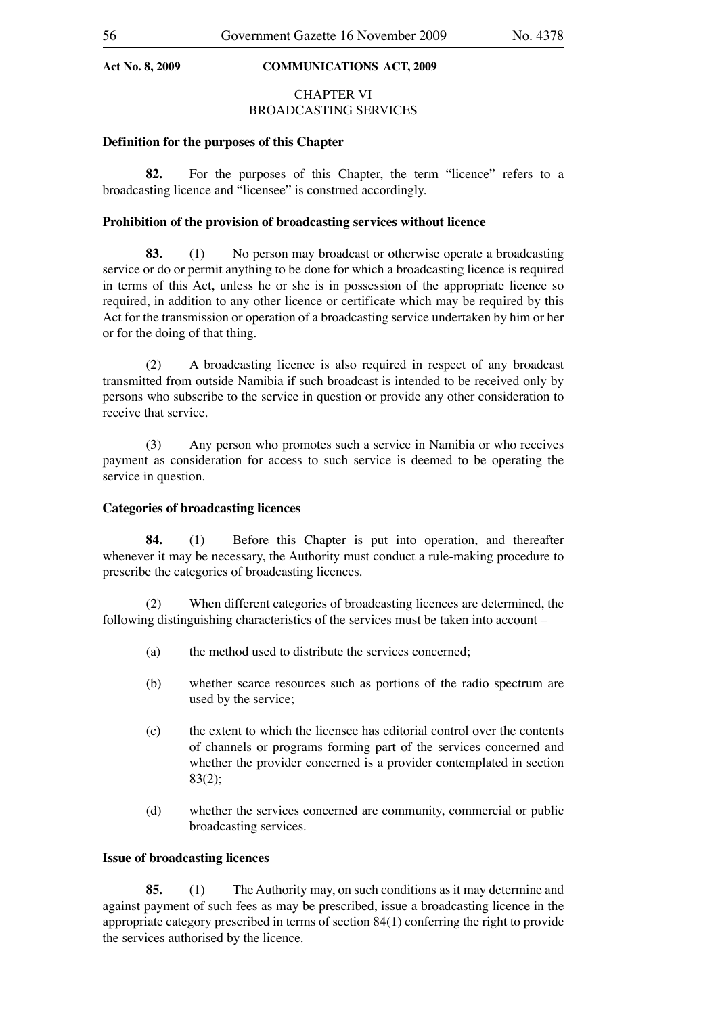# CHAPTER VI BROADCASTING SERVICES

# **Definition for the purposes of this Chapter**

 **82.** For the purposes of this Chapter, the term "licence" refers to a broadcasting licence and "licensee" is construed accordingly.

# **Prohibition of the provision of broadcasting services without licence**

 **83.** (1) No person may broadcast or otherwise operate a broadcasting service or do or permit anything to be done for which a broadcasting licence is required in terms of this Act, unless he or she is in possession of the appropriate licence so required, in addition to any other licence or certificate which may be required by this Act for the transmission or operation of a broadcasting service undertaken by him or her or for the doing of that thing.

 (2) A broadcasting licence is also required in respect of any broadcast transmitted from outside Namibia if such broadcast is intended to be received only by persons who subscribe to the service in question or provide any other consideration to receive that service.

 (3) Any person who promotes such a service in Namibia or who receives payment as consideration for access to such service is deemed to be operating the service in question.

# **Categories of broadcasting licences**

 **84.** (1) Before this Chapter is put into operation, and thereafter whenever it may be necessary, the Authority must conduct a rule-making procedure to prescribe the categories of broadcasting licences.

 (2) When different categories of broadcasting licences are determined, the following distinguishing characteristics of the services must be taken into account –

- (a) the method used to distribute the services concerned;
- (b) whether scarce resources such as portions of the radio spectrum are used by the service;
- (c) the extent to which the licensee has editorial control over the contents of channels or programs forming part of the services concerned and whether the provider concerned is a provider contemplated in section 83(2);
- (d) whether the services concerned are community, commercial or public broadcasting services.

# **Issue of broadcasting licences**

 **85.** (1) The Authority may, on such conditions as it may determine and against payment of such fees as may be prescribed, issue a broadcasting licence in the appropriate category prescribed in terms of section 84(1) conferring the right to provide the services authorised by the licence.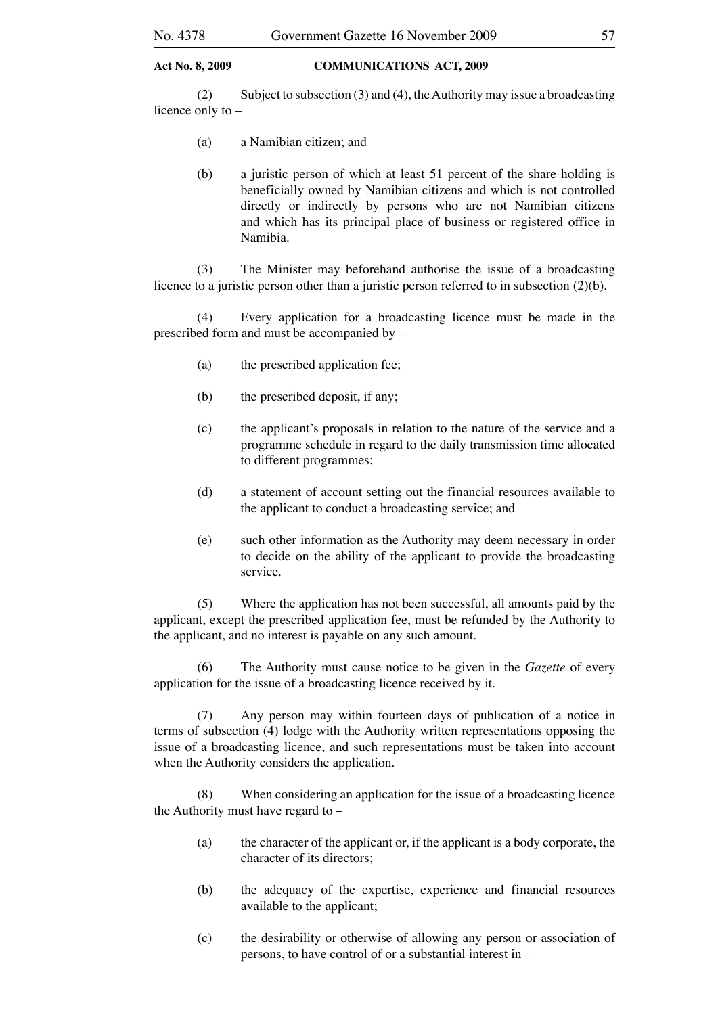(2) Subject to subsection (3) and (4), the Authority may issue a broadcasting licence only to –

- (a) a Namibian citizen; and
- (b) a juristic person of which at least 51 percent of the share holding is beneficially owned by Namibian citizens and which is not controlled directly or indirectly by persons who are not Namibian citizens and which has its principal place of business or registered office in Namibia.

 (3) The Minister may beforehand authorise the issue of a broadcasting licence to a juristic person other than a juristic person referred to in subsection (2)(b).

 (4) Every application for a broadcasting licence must be made in the prescribed form and must be accompanied by –

- (a) the prescribed application fee;
- (b) the prescribed deposit, if any;
- (c) the applicant's proposals in relation to the nature of the service and a programme schedule in regard to the daily transmission time allocated to different programmes;
- (d) a statement of account setting out the financial resources available to the applicant to conduct a broadcasting service; and
- (e) such other information as the Authority may deem necessary in order to decide on the ability of the applicant to provide the broadcasting service.

 (5) Where the application has not been successful, all amounts paid by the applicant, except the prescribed application fee, must be refunded by the Authority to the applicant, and no interest is payable on any such amount.

 (6) The Authority must cause notice to be given in the *Gazette* of every application for the issue of a broadcasting licence received by it.

 (7) Any person may within fourteen days of publication of a notice in terms of subsection (4) lodge with the Authority written representations opposing the issue of a broadcasting licence, and such representations must be taken into account when the Authority considers the application.

 (8) When considering an application for the issue of a broadcasting licence the Authority must have regard to –

- (a) the character of the applicant or, if the applicant is a body corporate, the character of its directors;
- (b) the adequacy of the expertise, experience and financial resources available to the applicant;
- (c) the desirability or otherwise of allowing any person or association of persons, to have control of or a substantial interest in –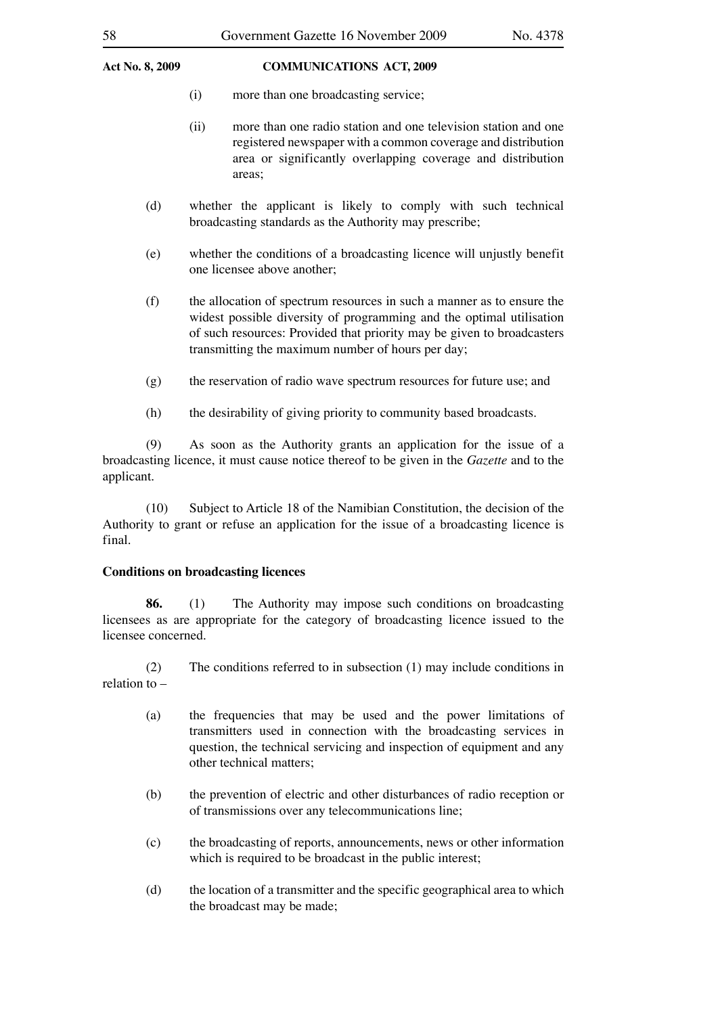- (i) more than one broadcasting service;
- (ii) more than one radio station and one television station and one registered newspaper with a common coverage and distribution area or significantly overlapping coverage and distribution areas;
- (d) whether the applicant is likely to comply with such technical broadcasting standards as the Authority may prescribe;
- (e) whether the conditions of a broadcasting licence will unjustly benefit one licensee above another;
- (f) the allocation of spectrum resources in such a manner as to ensure the widest possible diversity of programming and the optimal utilisation of such resources: Provided that priority may be given to broadcasters transmitting the maximum number of hours per day;
- (g) the reservation of radio wave spectrum resources for future use; and
- (h) the desirability of giving priority to community based broadcasts.

 (9) As soon as the Authority grants an application for the issue of a broadcasting licence, it must cause notice thereof to be given in the *Gazette* and to the applicant.

 (10) Subject to Article 18 of the Namibian Constitution, the decision of the Authority to grant or refuse an application for the issue of a broadcasting licence is final.

## **Conditions on broadcasting licences**

 **86.** (1) The Authority may impose such conditions on broadcasting licensees as are appropriate for the category of broadcasting licence issued to the licensee concerned.

 (2) The conditions referred to in subsection (1) may include conditions in relation to –

- (a) the frequencies that may be used and the power limitations of transmitters used in connection with the broadcasting services in question, the technical servicing and inspection of equipment and any other technical matters;
- (b) the prevention of electric and other disturbances of radio reception or of transmissions over any telecommunications line;
- (c) the broadcasting of reports, announcements, news or other information which is required to be broadcast in the public interest;
- (d) the location of a transmitter and the specific geographical area to which the broadcast may be made;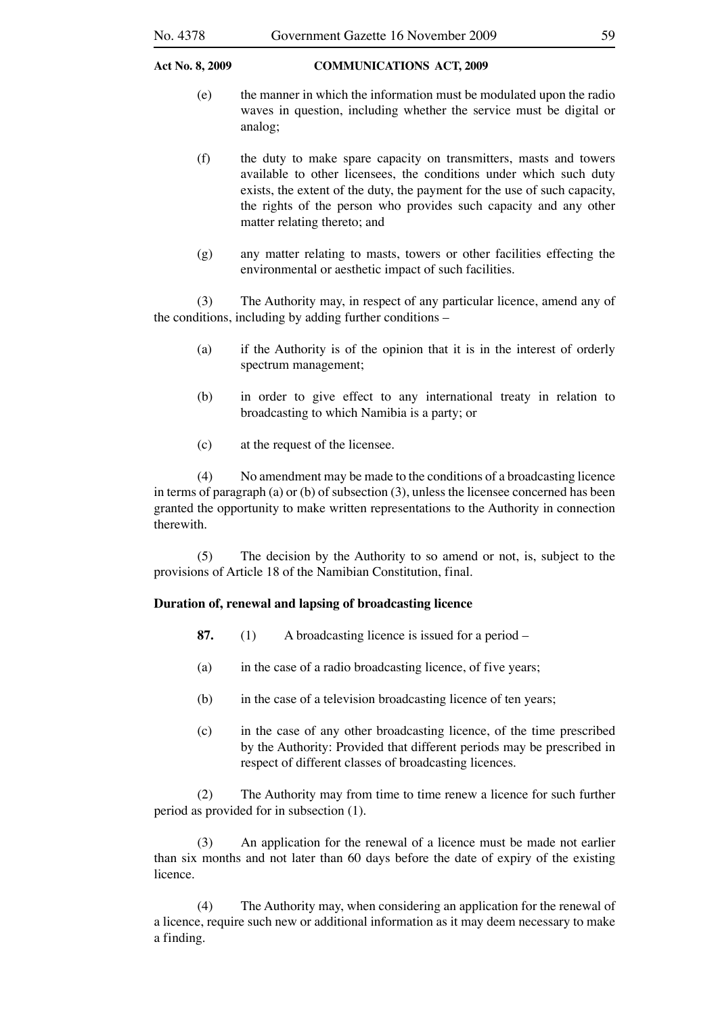- (e) the manner in which the information must be modulated upon the radio waves in question, including whether the service must be digital or analog;
- (f) the duty to make spare capacity on transmitters, masts and towers available to other licensees, the conditions under which such duty exists, the extent of the duty, the payment for the use of such capacity, the rights of the person who provides such capacity and any other matter relating thereto; and
- (g) any matter relating to masts, towers or other facilities effecting the environmental or aesthetic impact of such facilities.

 (3) The Authority may, in respect of any particular licence, amend any of the conditions, including by adding further conditions –

- (a) if the Authority is of the opinion that it is in the interest of orderly spectrum management;
- (b) in order to give effect to any international treaty in relation to broadcasting to which Namibia is a party; or
- (c) at the request of the licensee.

 (4) No amendment may be made to the conditions of a broadcasting licence in terms of paragraph (a) or (b) of subsection (3), unless the licensee concerned has been granted the opportunity to make written representations to the Authority in connection therewith.

 (5) The decision by the Authority to so amend or not, is, subject to the provisions of Article 18 of the Namibian Constitution, final.

# **Duration of, renewal and lapsing of broadcasting licence**

- **87.** (1) A broadcasting licence is issued for a period –
- (a) in the case of a radio broadcasting licence, of five years;
- (b) in the case of a television broadcasting licence of ten years;
- (c) in the case of any other broadcasting licence, of the time prescribed by the Authority: Provided that different periods may be prescribed in respect of different classes of broadcasting licences.

 (2) The Authority may from time to time renew a licence for such further period as provided for in subsection (1).

 (3) An application for the renewal of a licence must be made not earlier than six months and not later than 60 days before the date of expiry of the existing licence.

 (4) The Authority may, when considering an application for the renewal of a licence, require such new or additional information as it may deem necessary to make a finding.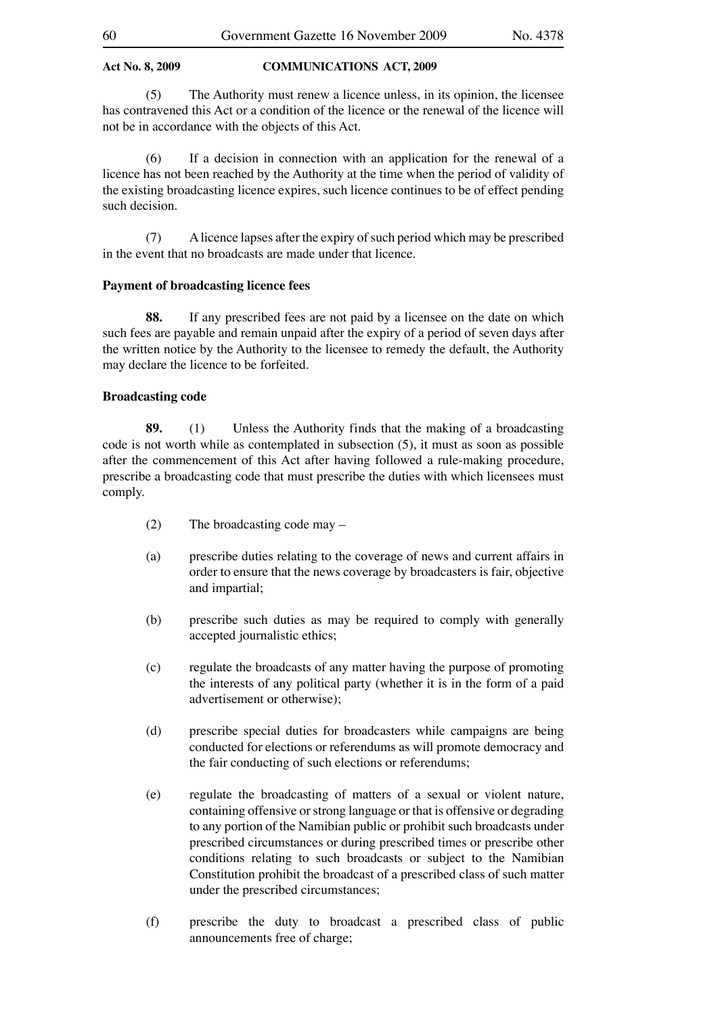(5) The Authority must renew a licence unless, in its opinion, the licensee has contravened this Act or a condition of the licence or the renewal of the licence will not be in accordance with the objects of this Act.

 (6) If a decision in connection with an application for the renewal of a licence has not been reached by the Authority at the time when the period of validity of the existing broadcasting licence expires, such licence continues to be of effect pending such decision.

 (7) A licence lapses after the expiry of such period which may be prescribed in the event that no broadcasts are made under that licence.

## **Payment of broadcasting licence fees**

 **88.** If any prescribed fees are not paid by a licensee on the date on which such fees are payable and remain unpaid after the expiry of a period of seven days after the written notice by the Authority to the licensee to remedy the default, the Authority may declare the licence to be forfeited.

# **Broadcasting code**

 **89.** (1) Unless the Authority finds that the making of a broadcasting code is not worth while as contemplated in subsection (5), it must as soon as possible after the commencement of this Act after having followed a rule-making procedure, prescribe a broadcasting code that must prescribe the duties with which licensees must comply.

- (2) The broadcasting code may –
- (a) prescribe duties relating to the coverage of news and current affairs in order to ensure that the news coverage by broadcasters is fair, objective and impartial;
- (b) prescribe such duties as may be required to comply with generally accepted journalistic ethics;
- (c) regulate the broadcasts of any matter having the purpose of promoting the interests of any political party (whether it is in the form of a paid advertisement or otherwise);
- (d) prescribe special duties for broadcasters while campaigns are being conducted for elections or referendums as will promote democracy and the fair conducting of such elections or referendums;
- (e) regulate the broadcasting of matters of a sexual or violent nature, containing offensive or strong language or that is offensive or degrading to any portion of the Namibian public or prohibit such broadcasts under prescribed circumstances or during prescribed times or prescribe other conditions relating to such broadcasts or subject to the Namibian Constitution prohibit the broadcast of a prescribed class of such matter under the prescribed circumstances;
- (f) prescribe the duty to broadcast a prescribed class of public announcements free of charge;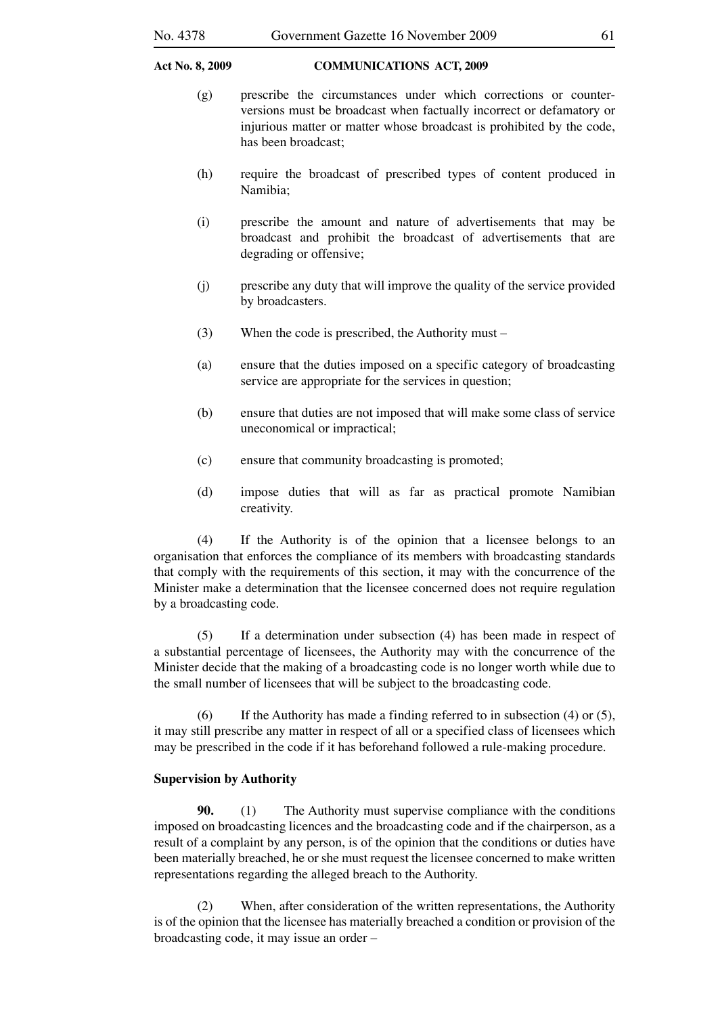- (g) prescribe the circumstances under which corrections or counterversions must be broadcast when factually incorrect or defamatory or injurious matter or matter whose broadcast is prohibited by the code, has been broadcast;
- (h) require the broadcast of prescribed types of content produced in Namibia;
- (i) prescribe the amount and nature of advertisements that may be broadcast and prohibit the broadcast of advertisements that are degrading or offensive;
- (j) prescribe any duty that will improve the quality of the service provided by broadcasters.
- (3) When the code is prescribed, the Authority must –
- (a) ensure that the duties imposed on a specific category of broadcasting service are appropriate for the services in question;
- (b) ensure that duties are not imposed that will make some class of service uneconomical or impractical;
- (c) ensure that community broadcasting is promoted;
- (d) impose duties that will as far as practical promote Namibian creativity.

 (4) If the Authority is of the opinion that a licensee belongs to an organisation that enforces the compliance of its members with broadcasting standards that comply with the requirements of this section, it may with the concurrence of the Minister make a determination that the licensee concerned does not require regulation by a broadcasting code.

 (5) If a determination under subsection (4) has been made in respect of a substantial percentage of licensees, the Authority may with the concurrence of the Minister decide that the making of a broadcasting code is no longer worth while due to the small number of licensees that will be subject to the broadcasting code.

 (6) If the Authority has made a finding referred to in subsection (4) or (5), it may still prescribe any matter in respect of all or a specified class of licensees which may be prescribed in the code if it has beforehand followed a rule-making procedure.

# **Supervision by Authority**

**90.** (1) The Authority must supervise compliance with the conditions imposed on broadcasting licences and the broadcasting code and if the chairperson, as a result of a complaint by any person, is of the opinion that the conditions or duties have been materially breached, he or she must request the licensee concerned to make written representations regarding the alleged breach to the Authority.

 (2) When, after consideration of the written representations, the Authority is of the opinion that the licensee has materially breached a condition or provision of the broadcasting code, it may issue an order –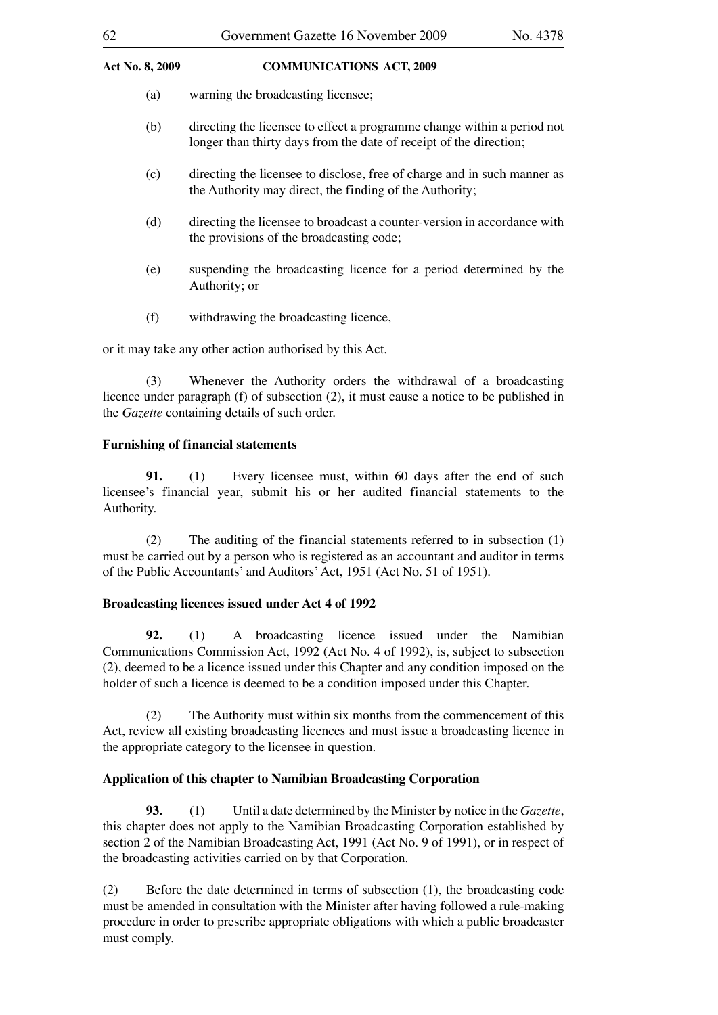- (a) warning the broadcasting licensee;
- (b) directing the licensee to effect a programme change within a period not longer than thirty days from the date of receipt of the direction;
- (c) directing the licensee to disclose, free of charge and in such manner as the Authority may direct, the finding of the Authority;
- (d) directing the licensee to broadcast a counter-version in accordance with the provisions of the broadcasting code;
- (e) suspending the broadcasting licence for a period determined by the Authority; or
- (f) withdrawing the broadcasting licence,

or it may take any other action authorised by this Act.

 (3) Whenever the Authority orders the withdrawal of a broadcasting licence under paragraph (f) of subsection (2), it must cause a notice to be published in the *Gazette* containing details of such order.

# **Furnishing of financial statements**

**91.** (1) Every licensee must, within 60 days after the end of such licensee's financial year, submit his or her audited financial statements to the Authority.

 (2) The auditing of the financial statements referred to in subsection (1) must be carried out by a person who is registered as an accountant and auditor in terms of the Public Accountants' and Auditors' Act, 1951 (Act No. 51 of 1951).

# **Broadcasting licences issued under Act 4 of 1992**

 **92.** (1) A broadcasting licence issued under the Namibian Communications Commission Act, 1992 (Act No. 4 of 1992), is, subject to subsection (2), deemed to be a licence issued under this Chapter and any condition imposed on the holder of such a licence is deemed to be a condition imposed under this Chapter.

 (2) The Authority must within six months from the commencement of this Act, review all existing broadcasting licences and must issue a broadcasting licence in the appropriate category to the licensee in question.

# **Application of this chapter to Namibian Broadcasting Corporation**

 **93.** (1) Until a date determined by the Minister by notice in the *Gazette*, this chapter does not apply to the Namibian Broadcasting Corporation established by section 2 of the Namibian Broadcasting Act, 1991 (Act No. 9 of 1991), or in respect of the broadcasting activities carried on by that Corporation.

(2) Before the date determined in terms of subsection (1), the broadcasting code must be amended in consultation with the Minister after having followed a rule-making procedure in order to prescribe appropriate obligations with which a public broadcaster must comply.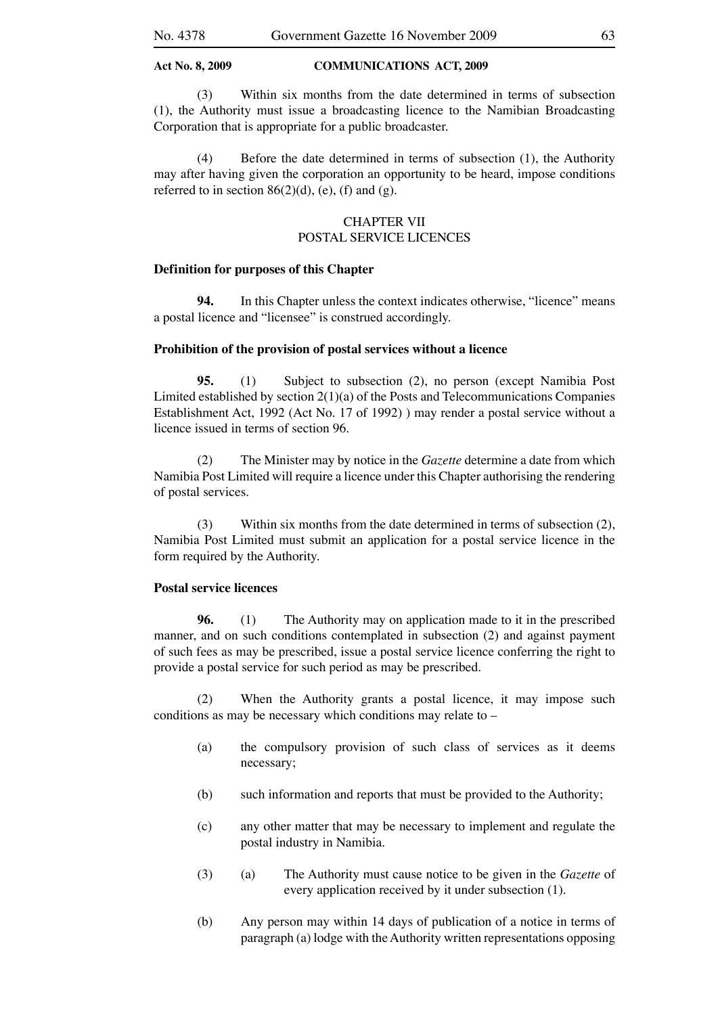(3) Within six months from the date determined in terms of subsection (1), the Authority must issue a broadcasting licence to the Namibian Broadcasting Corporation that is appropriate for a public broadcaster.

 (4) Before the date determined in terms of subsection (1), the Authority may after having given the corporation an opportunity to be heard, impose conditions referred to in section  $86(2)(d)$ , (e), (f) and (g).

# CHAPTER VII POSTAL SERVICE LICENCES

### **Definition for purposes of this Chapter**

 **94.** In this Chapter unless the context indicates otherwise, "licence" means a postal licence and "licensee" is construed accordingly.

# **Prohibition of the provision of postal services without a licence**

 **95.** (1) Subject to subsection (2), no person (except Namibia Post Limited established by section 2(1)(a) of the Posts and Telecommunications Companies Establishment Act, 1992 (Act No. 17 of 1992) ) may render a postal service without a licence issued in terms of section 96.

 (2) The Minister may by notice in the *Gazette* determine a date from which Namibia Post Limited will require a licence under this Chapter authorising the rendering of postal services.

 (3) Within six months from the date determined in terms of subsection (2), Namibia Post Limited must submit an application for a postal service licence in the form required by the Authority.

# **Postal service licences**

**96.** (1) The Authority may on application made to it in the prescribed manner, and on such conditions contemplated in subsection (2) and against payment of such fees as may be prescribed, issue a postal service licence conferring the right to provide a postal service for such period as may be prescribed.

 (2) When the Authority grants a postal licence, it may impose such conditions as may be necessary which conditions may relate to –

- (a) the compulsory provision of such class of services as it deems necessary;
- (b) such information and reports that must be provided to the Authority;
- (c) any other matter that may be necessary to implement and regulate the postal industry in Namibia.
- (3) (a) The Authority must cause notice to be given in the *Gazette* of every application received by it under subsection (1).
- (b) Any person may within 14 days of publication of a notice in terms of paragraph (a) lodge with the Authority written representations opposing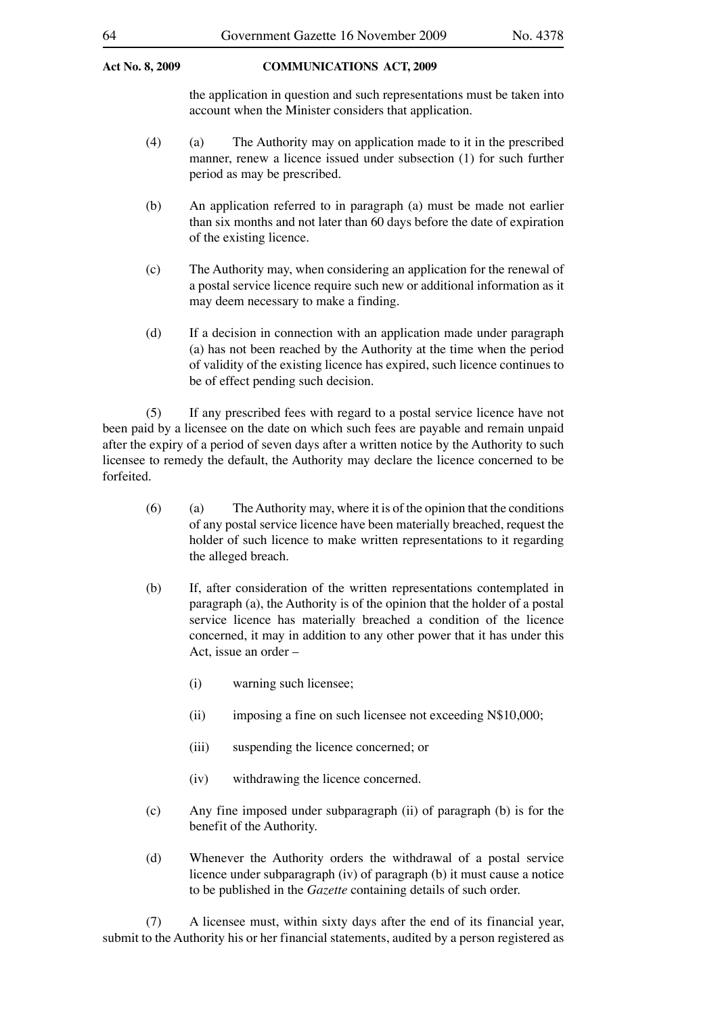the application in question and such representations must be taken into account when the Minister considers that application.

- (4) (a) The Authority may on application made to it in the prescribed manner, renew a licence issued under subsection (1) for such further period as may be prescribed.
- (b) An application referred to in paragraph (a) must be made not earlier than six months and not later than 60 days before the date of expiration of the existing licence.
- (c) The Authority may, when considering an application for the renewal of a postal service licence require such new or additional information as it may deem necessary to make a finding.
- (d) If a decision in connection with an application made under paragraph (a) has not been reached by the Authority at the time when the period of validity of the existing licence has expired, such licence continues to be of effect pending such decision.

 (5) If any prescribed fees with regard to a postal service licence have not been paid by a licensee on the date on which such fees are payable and remain unpaid after the expiry of a period of seven days after a written notice by the Authority to such licensee to remedy the default, the Authority may declare the licence concerned to be forfeited.

- $(6)$  (a) The Authority may, where it is of the opinion that the conditions of any postal service licence have been materially breached, request the holder of such licence to make written representations to it regarding the alleged breach.
- (b) If, after consideration of the written representations contemplated in paragraph (a), the Authority is of the opinion that the holder of a postal service licence has materially breached a condition of the licence concerned, it may in addition to any other power that it has under this Act, issue an order –
	- (i) warning such licensee;
	- (ii) imposing a fine on such licensee not exceeding N\$10,000;
	- (iii) suspending the licence concerned; or
	- (iv) withdrawing the licence concerned.
- (c) Any fine imposed under subparagraph (ii) of paragraph (b) is for the benefit of the Authority.
- (d) Whenever the Authority orders the withdrawal of a postal service licence under subparagraph (iv) of paragraph (b) it must cause a notice to be published in the *Gazette* containing details of such order.

 (7) A licensee must, within sixty days after the end of its financial year, submit to the Authority his or her financial statements, audited by a person registered as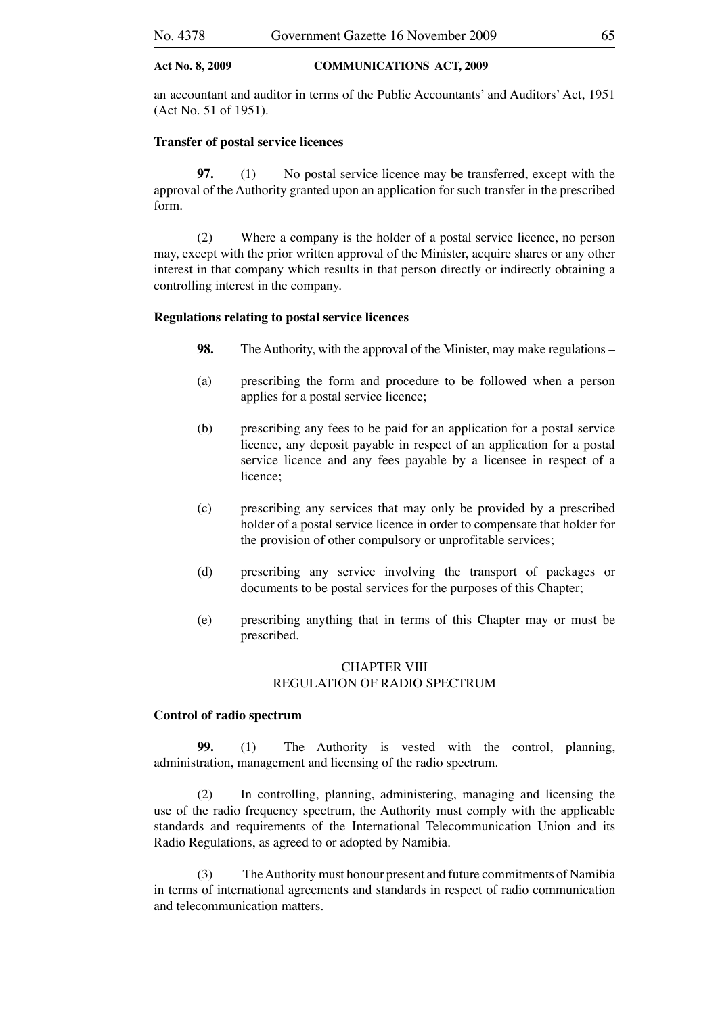an accountant and auditor in terms of the Public Accountants' and Auditors' Act, 1951 (Act No. 51 of 1951).

# **Transfer of postal service licences**

**97.** (1) No postal service licence may be transferred, except with the approval of the Authority granted upon an application for such transfer in the prescribed form.

 (2) Where a company is the holder of a postal service licence, no person may, except with the prior written approval of the Minister, acquire shares or any other interest in that company which results in that person directly or indirectly obtaining a controlling interest in the company.

### **Regulations relating to postal service licences**

- **98.** The Authority, with the approval of the Minister, may make regulations –
- (a) prescribing the form and procedure to be followed when a person applies for a postal service licence;
- (b) prescribing any fees to be paid for an application for a postal service licence, any deposit payable in respect of an application for a postal service licence and any fees payable by a licensee in respect of a licence;
- (c) prescribing any services that may only be provided by a prescribed holder of a postal service licence in order to compensate that holder for the provision of other compulsory or unprofitable services;
- (d) prescribing any service involving the transport of packages or documents to be postal services for the purposes of this Chapter;
- (e) prescribing anything that in terms of this Chapter may or must be prescribed.

# CHAPTER VIII REGULATION OF RADIO SPECTRUM

### **Control of radio spectrum**

 **99.** (1) The Authority is vested with the control, planning, administration, management and licensing of the radio spectrum.

 (2) In controlling, planning, administering, managing and licensing the use of the radio frequency spectrum, the Authority must comply with the applicable standards and requirements of the International Telecommunication Union and its Radio Regulations, as agreed to or adopted by Namibia.

 (3) The Authority must honour present and future commitments of Namibia in terms of international agreements and standards in respect of radio communication and telecommunication matters.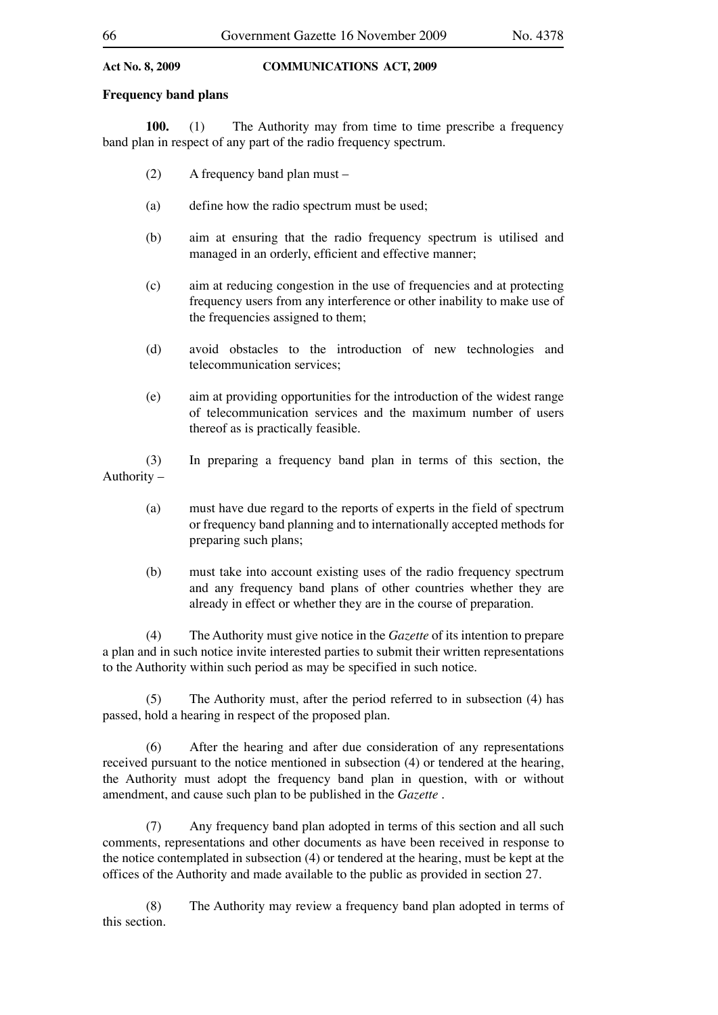# **Frequency band plans**

**100.** (1) The Authority may from time to time prescribe a frequency band plan in respect of any part of the radio frequency spectrum.

- (2) A frequency band plan must –
- (a) define how the radio spectrum must be used;
- (b) aim at ensuring that the radio frequency spectrum is utilised and managed in an orderly, efficient and effective manner;
- (c) aim at reducing congestion in the use of frequencies and at protecting frequency users from any interference or other inability to make use of the frequencies assigned to them;
- (d) avoid obstacles to the introduction of new technologies and telecommunication services;
- (e) aim at providing opportunities for the introduction of the widest range of telecommunication services and the maximum number of users thereof as is practically feasible.

 (3) In preparing a frequency band plan in terms of this section, the Authority –

- (a) must have due regard to the reports of experts in the field of spectrum or frequency band planning and to internationally accepted methods for preparing such plans;
- (b) must take into account existing uses of the radio frequency spectrum and any frequency band plans of other countries whether they are already in effect or whether they are in the course of preparation.

 (4) The Authority must give notice in the *Gazette* of its intention to prepare a plan and in such notice invite interested parties to submit their written representations to the Authority within such period as may be specified in such notice.

 (5) The Authority must, after the period referred to in subsection (4) has passed, hold a hearing in respect of the proposed plan.

 (6) After the hearing and after due consideration of any representations received pursuant to the notice mentioned in subsection (4) or tendered at the hearing, the Authority must adopt the frequency band plan in question, with or without amendment, and cause such plan to be published in the *Gazette* .

 (7) Any frequency band plan adopted in terms of this section and all such comments, representations and other documents as have been received in response to the notice contemplated in subsection (4) or tendered at the hearing, must be kept at the offices of the Authority and made available to the public as provided in section 27.

 (8) The Authority may review a frequency band plan adopted in terms of this section.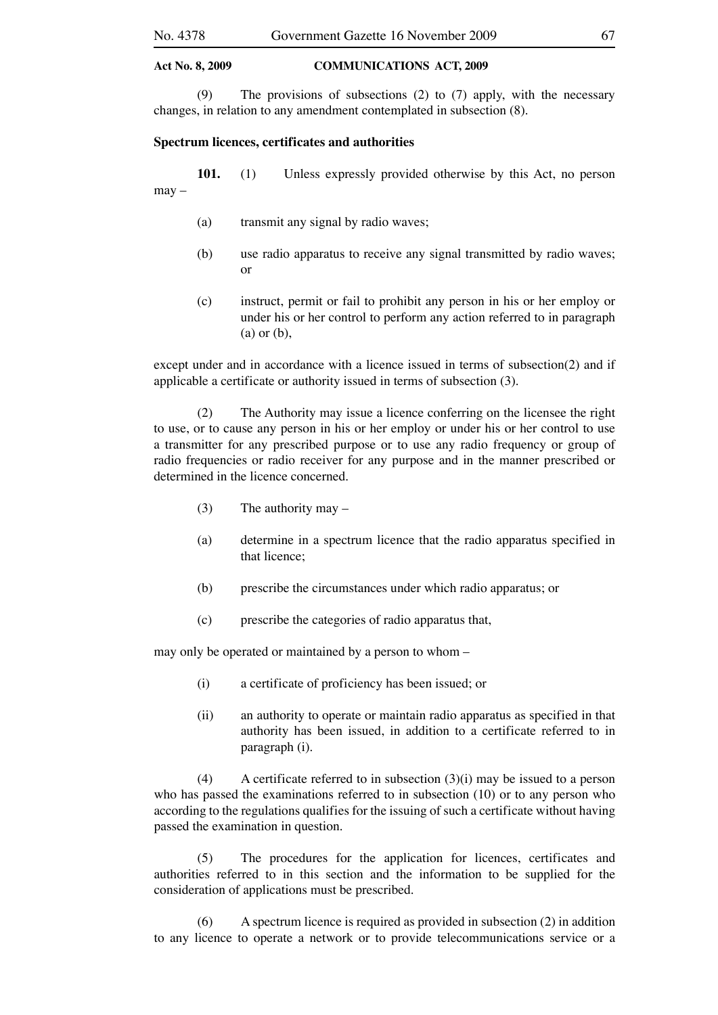(9) The provisions of subsections (2) to (7) apply, with the necessary changes, in relation to any amendment contemplated in subsection (8).

### **Spectrum licences, certificates and authorities**

 **101.** (1) Unless expressly provided otherwise by this Act, no person may –

- (a) transmit any signal by radio waves;
- (b) use radio apparatus to receive any signal transmitted by radio waves; or
- (c) instruct, permit or fail to prohibit any person in his or her employ or under his or her control to perform any action referred to in paragraph (a) or (b),

except under and in accordance with a licence issued in terms of subsection(2) and if applicable a certificate or authority issued in terms of subsection (3).

 (2) The Authority may issue a licence conferring on the licensee the right to use, or to cause any person in his or her employ or under his or her control to use a transmitter for any prescribed purpose or to use any radio frequency or group of radio frequencies or radio receiver for any purpose and in the manner prescribed or determined in the licence concerned.

- (3) The authority may –
- (a) determine in a spectrum licence that the radio apparatus specified in that licence;
- (b) prescribe the circumstances under which radio apparatus; or
- (c) prescribe the categories of radio apparatus that,

may only be operated or maintained by a person to whom –

- (i) a certificate of proficiency has been issued; or
- (ii) an authority to operate or maintain radio apparatus as specified in that authority has been issued, in addition to a certificate referred to in paragraph (i).

(4) A certificate referred to in subsection  $(3)(i)$  may be issued to a person who has passed the examinations referred to in subsection (10) or to any person who according to the regulations qualifies for the issuing of such a certificate without having passed the examination in question.

 (5) The procedures for the application for licences, certificates and authorities referred to in this section and the information to be supplied for the consideration of applications must be prescribed.

 (6) A spectrum licence is required as provided in subsection (2) in addition to any licence to operate a network or to provide telecommunications service or a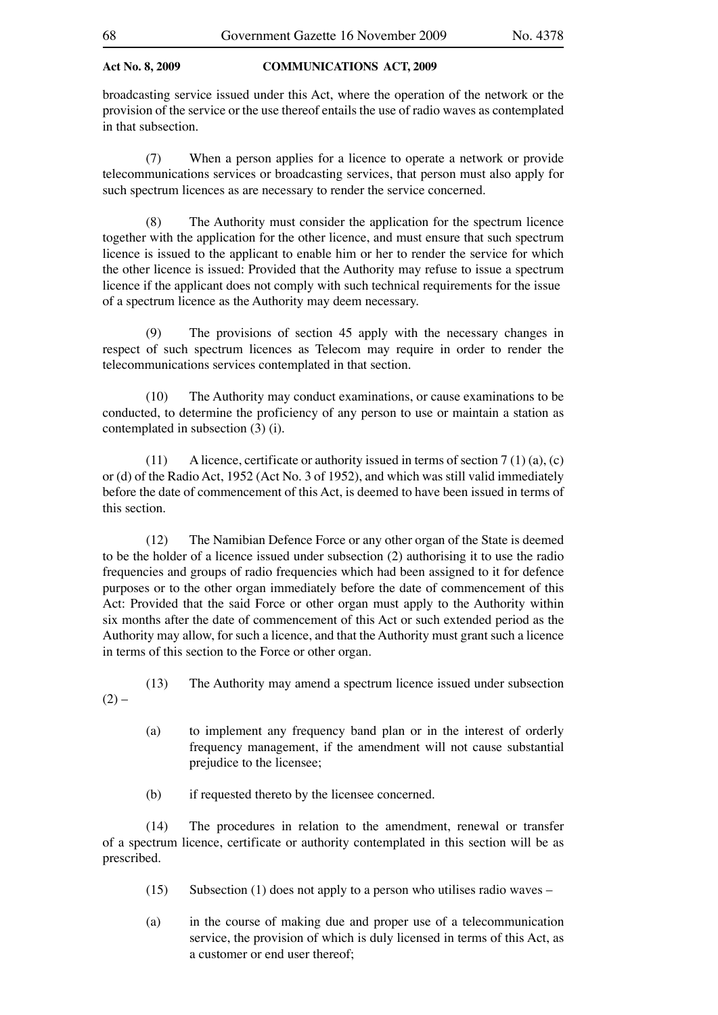broadcasting service issued under this Act, where the operation of the network or the provision of the service or the use thereof entails the use of radio waves as contemplated in that subsection.

 (7) When a person applies for a licence to operate a network or provide telecommunications services or broadcasting services, that person must also apply for such spectrum licences as are necessary to render the service concerned.

 (8) The Authority must consider the application for the spectrum licence together with the application for the other licence, and must ensure that such spectrum licence is issued to the applicant to enable him or her to render the service for which the other licence is issued: Provided that the Authority may refuse to issue a spectrum licence if the applicant does not comply with such technical requirements for the issue of a spectrum licence as the Authority may deem necessary.

 (9) The provisions of section 45 apply with the necessary changes in respect of such spectrum licences as Telecom may require in order to render the telecommunications services contemplated in that section.

 (10) The Authority may conduct examinations, or cause examinations to be conducted, to determine the proficiency of any person to use or maintain a station as contemplated in subsection (3) (i).

(11) A licence, certificate or authority issued in terms of section  $7(1)(a)$ , (c) or (d) of the Radio Act, 1952 (Act No. 3 of 1952), and which was still valid immediately before the date of commencement of this Act, is deemed to have been issued in terms of this section.

 (12) The Namibian Defence Force or any other organ of the State is deemed to be the holder of a licence issued under subsection (2) authorising it to use the radio frequencies and groups of radio frequencies which had been assigned to it for defence purposes or to the other organ immediately before the date of commencement of this Act: Provided that the said Force or other organ must apply to the Authority within six months after the date of commencement of this Act or such extended period as the Authority may allow, for such a licence, and that the Authority must grant such a licence in terms of this section to the Force or other organ.

- (13) The Authority may amend a spectrum licence issued under subsection
	- (a) to implement any frequency band plan or in the interest of orderly frequency management, if the amendment will not cause substantial prejudice to the licensee;
	- (b) if requested thereto by the licensee concerned.

 (14) The procedures in relation to the amendment, renewal or transfer of a spectrum licence, certificate or authority contemplated in this section will be as prescribed.

- (15) Subsection (1) does not apply to a person who utilises radio waves –
- (a) in the course of making due and proper use of a telecommunication service, the provision of which is duly licensed in terms of this Act, as a customer or end user thereof;

 $(2) -$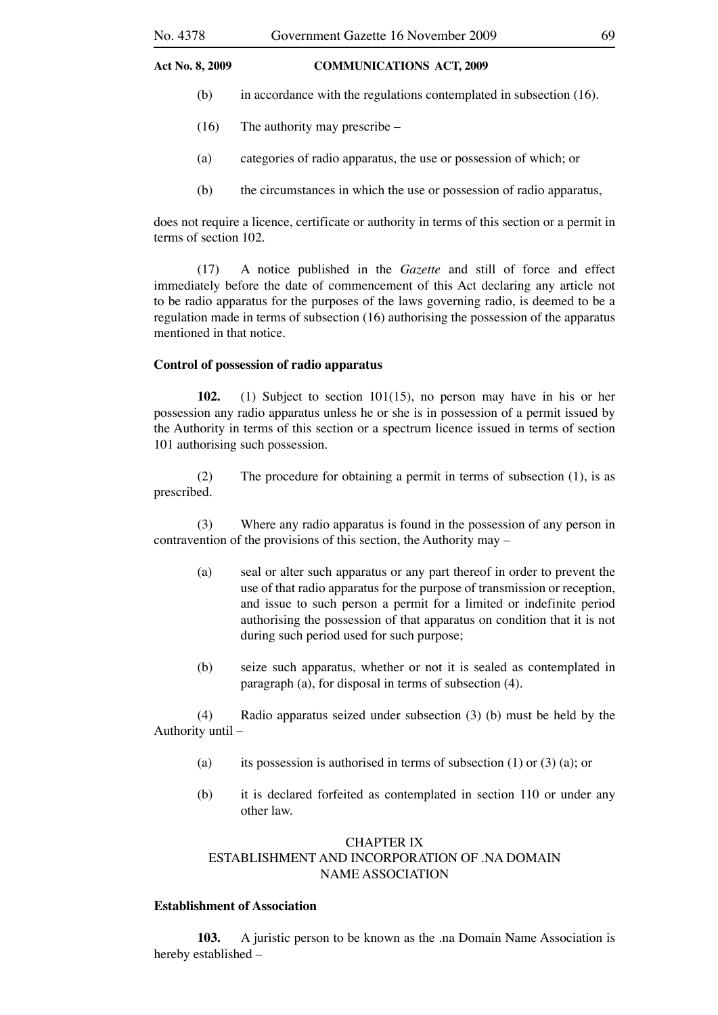- **Act No. 8, 2009 COMMUNICATIONS ACT, 2009**
	- (b) in accordance with the regulations contemplated in subsection (16).
	- (16) The authority may prescribe –
	- (a) categories of radio apparatus, the use or possession of which; or
	- (b) the circumstances in which the use or possession of radio apparatus,

does not require a licence, certificate or authority in terms of this section or a permit in terms of section 102.

 (17) A notice published in the *Gazette* and still of force and effect immediately before the date of commencement of this Act declaring any article not to be radio apparatus for the purposes of the laws governing radio, is deemed to be a regulation made in terms of subsection (16) authorising the possession of the apparatus mentioned in that notice.

### **Control of possession of radio apparatus**

 **102.** (1) Subject to section 101(15), no person may have in his or her possession any radio apparatus unless he or she is in possession of a permit issued by the Authority in terms of this section or a spectrum licence issued in terms of section 101 authorising such possession.

 (2) The procedure for obtaining a permit in terms of subsection (1), is as prescribed.

 (3) Where any radio apparatus is found in the possession of any person in contravention of the provisions of this section, the Authority may –

- (a) seal or alter such apparatus or any part thereof in order to prevent the use of that radio apparatus for the purpose of transmission or reception, and issue to such person a permit for a limited or indefinite period authorising the possession of that apparatus on condition that it is not during such period used for such purpose;
- (b) seize such apparatus, whether or not it is sealed as contemplated in paragraph (a), for disposal in terms of subsection (4).

 (4) Radio apparatus seized under subsection (3) (b) must be held by the Authority until –

- (a) its possession is authorised in terms of subsection  $(1)$  or  $(3)$  (a); or
- (b) it is declared forfeited as contemplated in section 110 or under any other law.

# CHAPTER IX ESTABLISHMENT AND INCORPORATION OF .NA DOMAIN NAME ASSOCIATION

## **Establishment of Association**

 **103.** A juristic person to be known as the .na Domain Name Association is hereby established –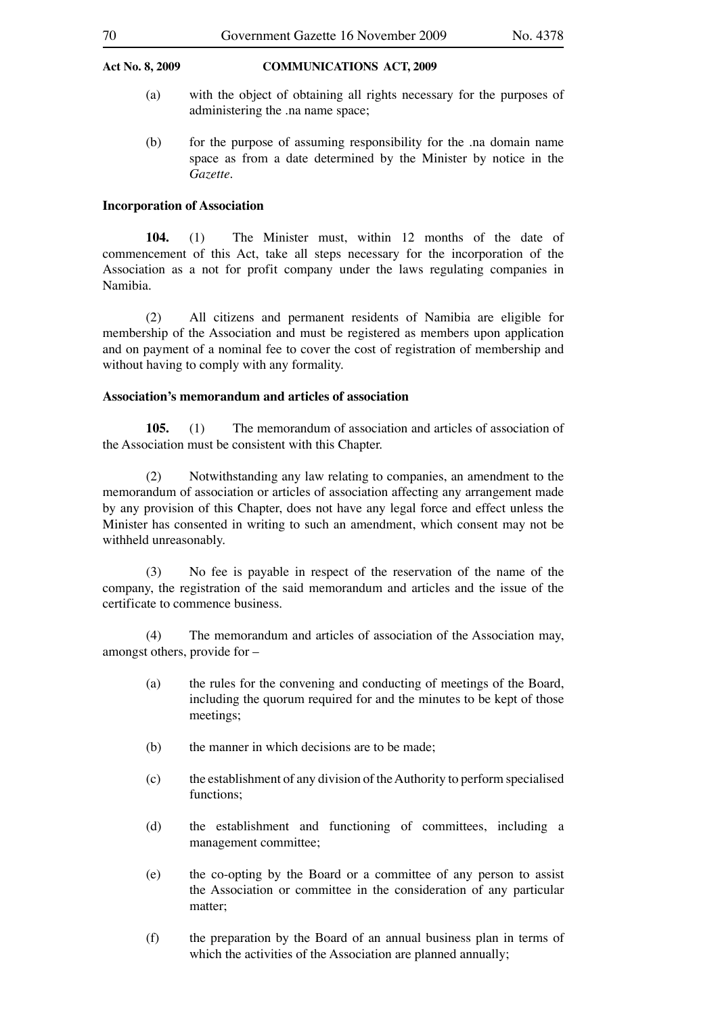- (a) with the object of obtaining all rights necessary for the purposes of administering the .na name space;
- (b) for the purpose of assuming responsibility for the .na domain name space as from a date determined by the Minister by notice in the *Gazette*.

# **Incorporation of Association**

 **104.** (1) The Minister must, within 12 months of the date of commencement of this Act, take all steps necessary for the incorporation of the Association as a not for profit company under the laws regulating companies in Namibia.

 (2) All citizens and permanent residents of Namibia are eligible for membership of the Association and must be registered as members upon application and on payment of a nominal fee to cover the cost of registration of membership and without having to comply with any formality.

# **Association's memorandum and articles of association**

 **105.** (1) The memorandum of association and articles of association of the Association must be consistent with this Chapter.

 (2) Notwithstanding any law relating to companies, an amendment to the memorandum of association or articles of association affecting any arrangement made by any provision of this Chapter, does not have any legal force and effect unless the Minister has consented in writing to such an amendment, which consent may not be withheld unreasonably.

 (3) No fee is payable in respect of the reservation of the name of the company, the registration of the said memorandum and articles and the issue of the certificate to commence business.

 (4) The memorandum and articles of association of the Association may, amongst others, provide for –

- (a) the rules for the convening and conducting of meetings of the Board, including the quorum required for and the minutes to be kept of those meetings;
- (b) the manner in which decisions are to be made;
- (c) the establishment of any division of the Authority to perform specialised functions;
- (d) the establishment and functioning of committees, including a management committee;
- (e) the co-opting by the Board or a committee of any person to assist the Association or committee in the consideration of any particular matter;
- (f) the preparation by the Board of an annual business plan in terms of which the activities of the Association are planned annually;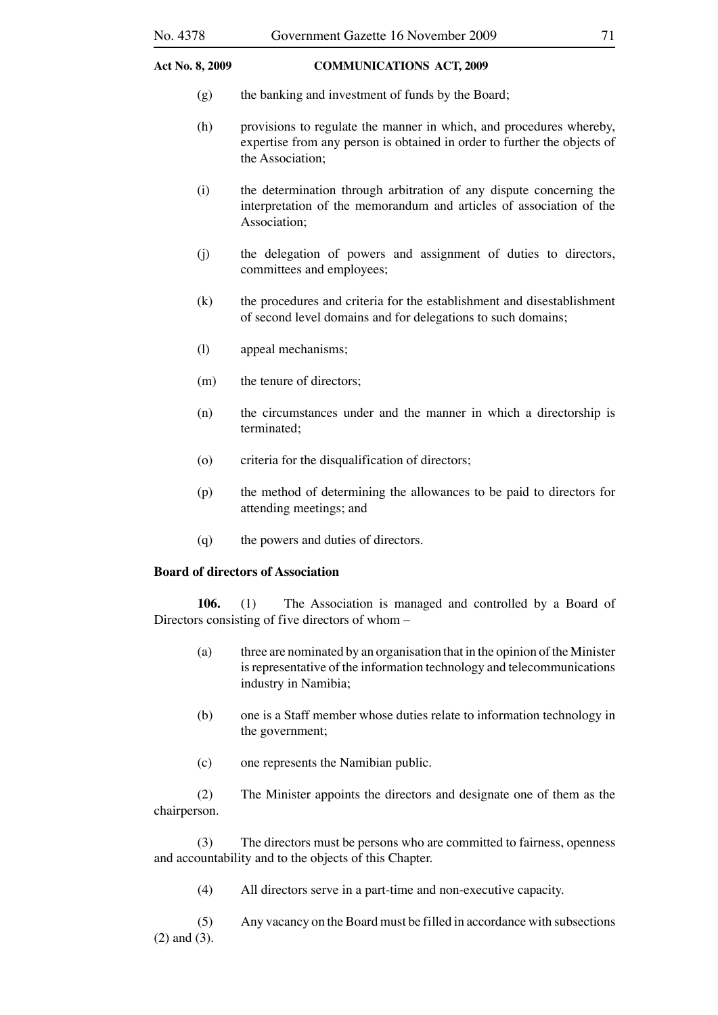- (h) provisions to regulate the manner in which, and procedures whereby, expertise from any person is obtained in order to further the objects of the Association;
- (i) the determination through arbitration of any dispute concerning the interpretation of the memorandum and articles of association of the Association;
- (j) the delegation of powers and assignment of duties to directors, committees and employees;
- (k) the procedures and criteria for the establishment and disestablishment of second level domains and for delegations to such domains;
- (l) appeal mechanisms;
- (m) the tenure of directors;
- (n) the circumstances under and the manner in which a directorship is terminated;
- (o) criteria for the disqualification of directors;
- (p) the method of determining the allowances to be paid to directors for attending meetings; and
- (q) the powers and duties of directors.

### **Board of directors of Association**

 **106.** (1) The Association is managed and controlled by a Board of Directors consisting of five directors of whom –

- (a) three are nominated by an organisation that in the opinion of the Minister is representative of the information technology and telecommunications industry in Namibia;
- (b) one is a Staff member whose duties relate to information technology in the government;
- (c) one represents the Namibian public.

 (2) The Minister appoints the directors and designate one of them as the chairperson.

 (3) The directors must be persons who are committed to fairness, openness and accountability and to the objects of this Chapter.

(4) All directors serve in a part-time and non-executive capacity.

 (5) Any vacancy on the Board must be filled in accordance with subsections (2) and (3).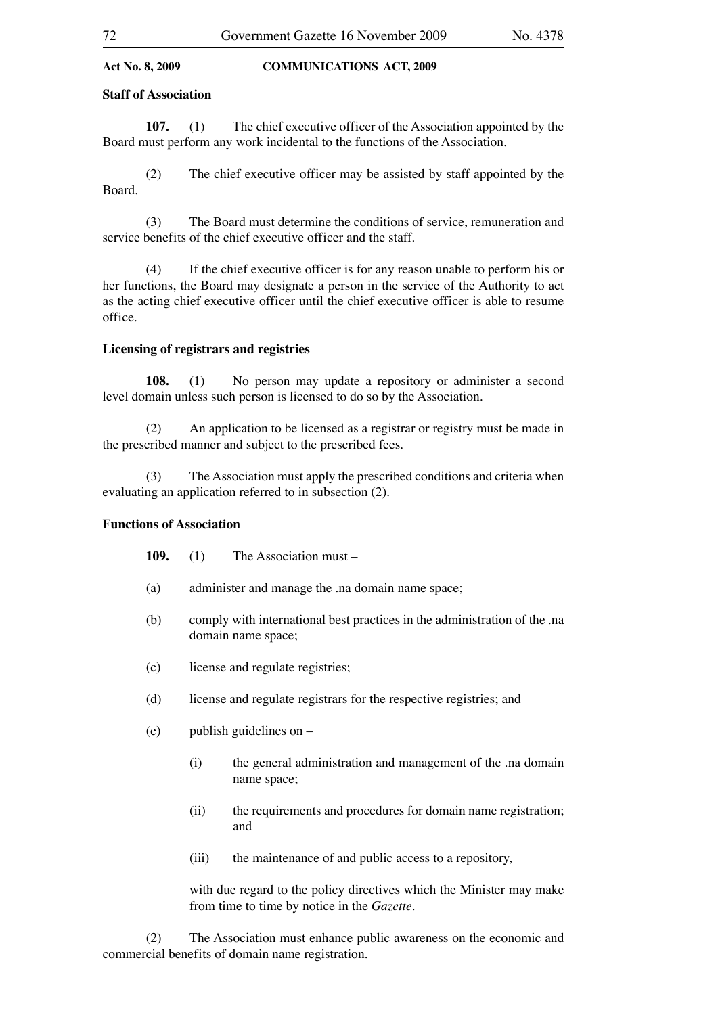### **Staff of Association**

**107.** (1) The chief executive officer of the Association appointed by the Board must perform any work incidental to the functions of the Association.

 (2) The chief executive officer may be assisted by staff appointed by the Board.

 (3) The Board must determine the conditions of service, remuneration and service benefits of the chief executive officer and the staff.

 (4) If the chief executive officer is for any reason unable to perform his or her functions, the Board may designate a person in the service of the Authority to act as the acting chief executive officer until the chief executive officer is able to resume office.

# **Licensing of registrars and registries**

108. (1) No person may update a repository or administer a second level domain unless such person is licensed to do so by the Association.

 (2) An application to be licensed as a registrar or registry must be made in the prescribed manner and subject to the prescribed fees.

 (3) The Association must apply the prescribed conditions and criteria when evaluating an application referred to in subsection (2).

### **Functions of Association**

- **109.** (1) The Association must –
- (a) administer and manage the .na domain name space;
- (b) comply with international best practices in the administration of the .na domain name space;
- (c) license and regulate registries;
- (d) license and regulate registrars for the respective registries; and
- (e) publish guidelines on
	- (i) the general administration and management of the .na domain name space;
	- (ii) the requirements and procedures for domain name registration; and
	- (iii) the maintenance of and public access to a repository,

 with due regard to the policy directives which the Minister may make from time to time by notice in the *Gazette*.

 (2) The Association must enhance public awareness on the economic and commercial benefits of domain name registration.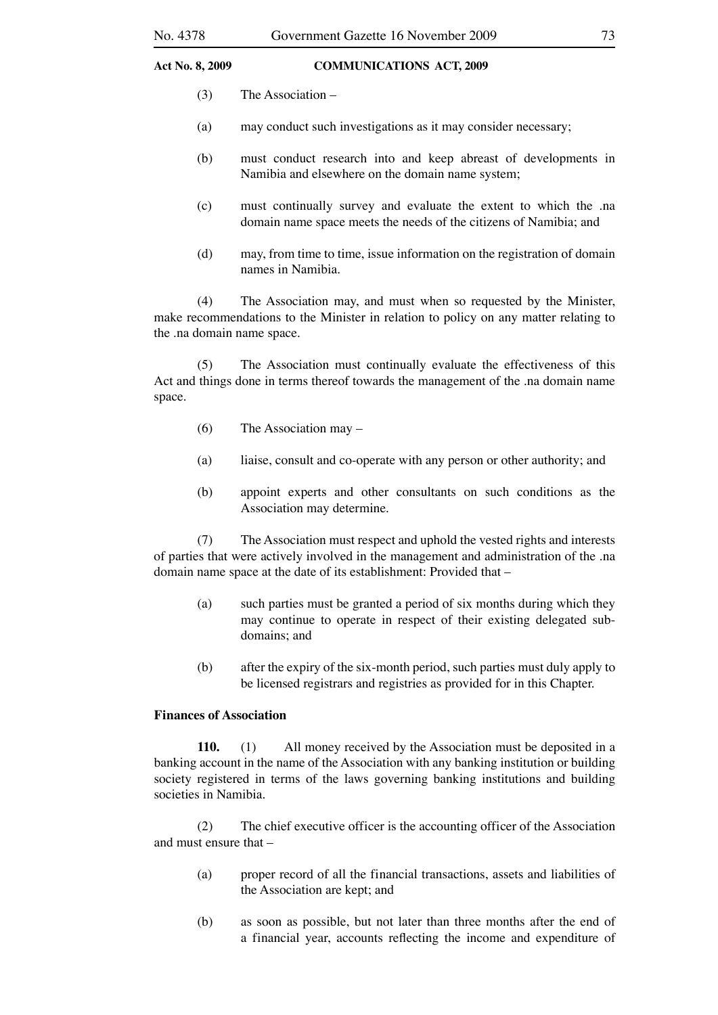- (3) The Association –
- (a) may conduct such investigations as it may consider necessary;
- (b) must conduct research into and keep abreast of developments in Namibia and elsewhere on the domain name system;
- (c) must continually survey and evaluate the extent to which the .na domain name space meets the needs of the citizens of Namibia; and
- (d) may, from time to time, issue information on the registration of domain names in Namibia.

 (4) The Association may, and must when so requested by the Minister, make recommendations to the Minister in relation to policy on any matter relating to the .na domain name space.

 (5) The Association must continually evaluate the effectiveness of this Act and things done in terms thereof towards the management of the .na domain name space.

- (6) The Association may –
- (a) liaise, consult and co-operate with any person or other authority; and
- (b) appoint experts and other consultants on such conditions as the Association may determine.

 (7) The Association must respect and uphold the vested rights and interests of parties that were actively involved in the management and administration of the .na domain name space at the date of its establishment: Provided that –

- (a) such parties must be granted a period of six months during which they may continue to operate in respect of their existing delegated subdomains; and
- (b) after the expiry of the six-month period, such parties must duly apply to be licensed registrars and registries as provided for in this Chapter.

# **Finances of Association**

 **110.** (1) All money received by the Association must be deposited in a banking account in the name of the Association with any banking institution or building society registered in terms of the laws governing banking institutions and building societies in Namibia.

 (2) The chief executive officer is the accounting officer of the Association and must ensure that –

- (a) proper record of all the financial transactions, assets and liabilities of the Association are kept; and
- (b) as soon as possible, but not later than three months after the end of a financial year, accounts reflecting the income and expenditure of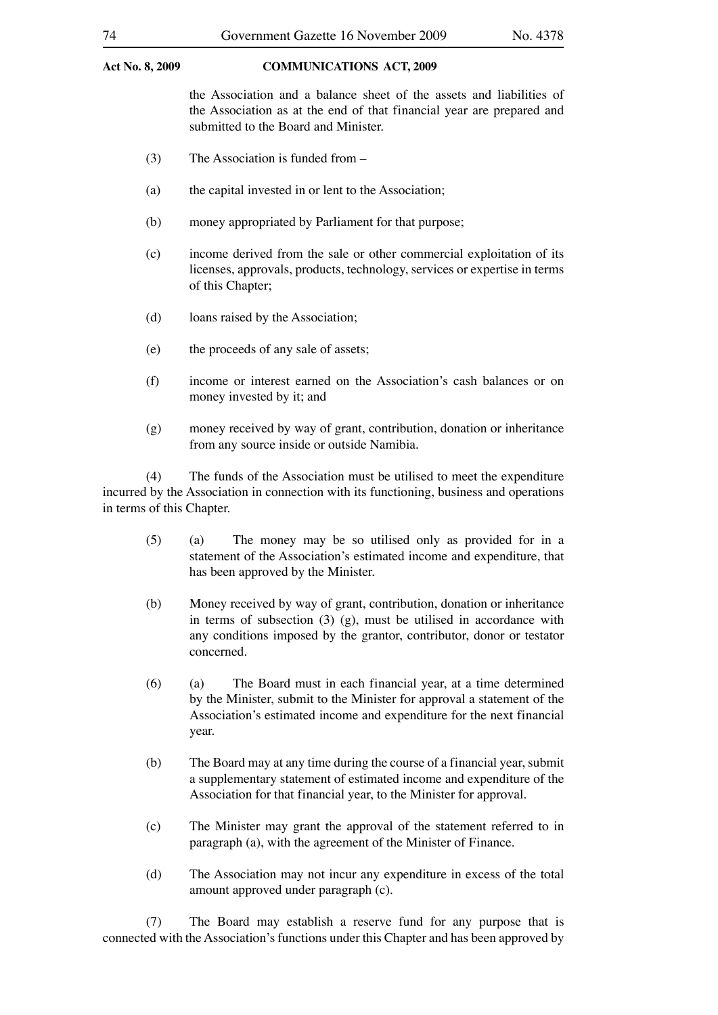the Association and a balance sheet of the assets and liabilities of the Association as at the end of that financial year are prepared and submitted to the Board and Minister.

- (3) The Association is funded from –
- (a) the capital invested in or lent to the Association;
- (b) money appropriated by Parliament for that purpose;
- (c) income derived from the sale or other commercial exploitation of its licenses, approvals, products, technology, services or expertise in terms of this Chapter;
- (d) loans raised by the Association;
- (e) the proceeds of any sale of assets;
- (f) income or interest earned on the Association's cash balances or on money invested by it; and
- (g) money received by way of grant, contribution, donation or inheritance from any source inside or outside Namibia.

 (4) The funds of the Association must be utilised to meet the expenditure incurred by the Association in connection with its functioning, business and operations in terms of this Chapter.

- (5) (a) The money may be so utilised only as provided for in a statement of the Association's estimated income and expenditure, that has been approved by the Minister.
- (b) Money received by way of grant, contribution, donation or inheritance in terms of subsection  $(3)$   $(g)$ , must be utilised in accordance with any conditions imposed by the grantor, contributor, donor or testator concerned.
- (6) (a) The Board must in each financial year, at a time determined by the Minister, submit to the Minister for approval a statement of the Association's estimated income and expenditure for the next financial year.
- (b) The Board may at any time during the course of a financial year, submit a supplementary statement of estimated income and expenditure of the Association for that financial year, to the Minister for approval.
- (c) The Minister may grant the approval of the statement referred to in paragraph (a), with the agreement of the Minister of Finance.
- (d) The Association may not incur any expenditure in excess of the total amount approved under paragraph (c).

 (7) The Board may establish a reserve fund for any purpose that is connected with the Association's functions under this Chapter and has been approved by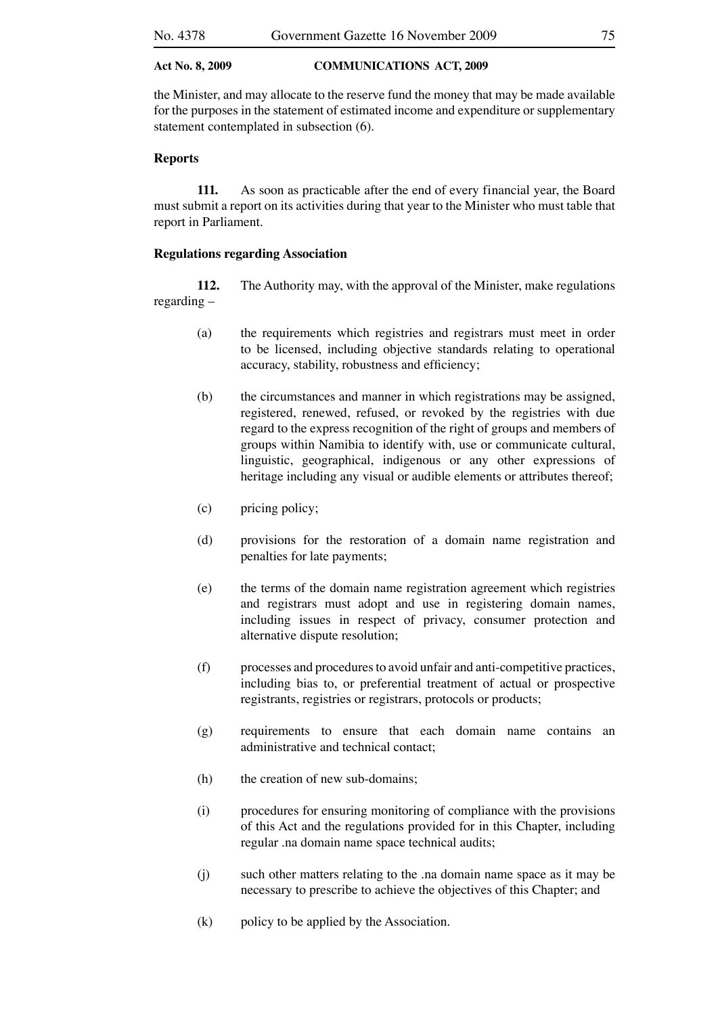the Minister, and may allocate to the reserve fund the money that may be made available for the purposes in the statement of estimated income and expenditure or supplementary statement contemplated in subsection (6).

# **Reports**

**111.** As soon as practicable after the end of every financial year, the Board must submit a report on its activities during that year to the Minister who must table that report in Parliament.

#### **Regulations regarding Association**

 **112.** The Authority may, with the approval of the Minister, make regulations regarding –

- (a) the requirements which registries and registrars must meet in order to be licensed, including objective standards relating to operational accuracy, stability, robustness and efficiency;
- (b) the circumstances and manner in which registrations may be assigned, registered, renewed, refused, or revoked by the registries with due regard to the express recognition of the right of groups and members of groups within Namibia to identify with, use or communicate cultural, linguistic, geographical, indigenous or any other expressions of heritage including any visual or audible elements or attributes thereof;
- (c) pricing policy;
- (d) provisions for the restoration of a domain name registration and penalties for late payments;
- (e) the terms of the domain name registration agreement which registries and registrars must adopt and use in registering domain names, including issues in respect of privacy, consumer protection and alternative dispute resolution;
- (f) processes and procedures to avoid unfair and anti-competitive practices, including bias to, or preferential treatment of actual or prospective registrants, registries or registrars, protocols or products;
- (g) requirements to ensure that each domain name contains an administrative and technical contact;
- (h) the creation of new sub-domains;
- (i) procedures for ensuring monitoring of compliance with the provisions of this Act and the regulations provided for in this Chapter, including regular .na domain name space technical audits;
- (j) such other matters relating to the .na domain name space as it may be necessary to prescribe to achieve the objectives of this Chapter; and
- (k) policy to be applied by the Association.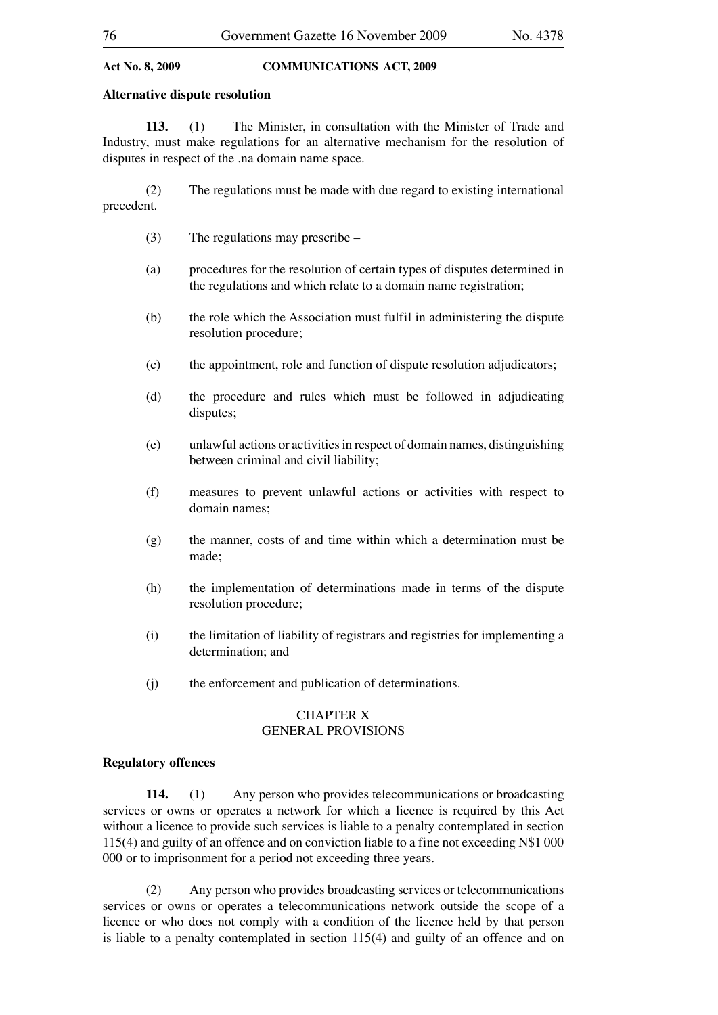#### **Alternative dispute resolution**

 **113.** (1) The Minister, in consultation with the Minister of Trade and Industry, must make regulations for an alternative mechanism for the resolution of disputes in respect of the .na domain name space.

 (2) The regulations must be made with due regard to existing international precedent.

- (3) The regulations may prescribe –
- (a) procedures for the resolution of certain types of disputes determined in the regulations and which relate to a domain name registration;
- (b) the role which the Association must fulfil in administering the dispute resolution procedure;
- (c) the appointment, role and function of dispute resolution adjudicators;
- (d) the procedure and rules which must be followed in adjudicating disputes;
- (e) unlawful actions or activities in respect of domain names, distinguishing between criminal and civil liability;
- (f) measures to prevent unlawful actions or activities with respect to domain names;
- (g) the manner, costs of and time within which a determination must be made;
- (h) the implementation of determinations made in terms of the dispute resolution procedure;
- (i) the limitation of liability of registrars and registries for implementing a determination; and
- (j) the enforcement and publication of determinations.

# CHAPTER X GENERAL PROVISIONS

## **Regulatory offences**

 **114.** (1) Any person who provides telecommunications or broadcasting services or owns or operates a network for which a licence is required by this Act without a licence to provide such services is liable to a penalty contemplated in section 115(4) and guilty of an offence and on conviction liable to a fine not exceeding N\$1 000 000 or to imprisonment for a period not exceeding three years.

 (2) Any person who provides broadcasting services or telecommunications services or owns or operates a telecommunications network outside the scope of a licence or who does not comply with a condition of the licence held by that person is liable to a penalty contemplated in section 115(4) and guilty of an offence and on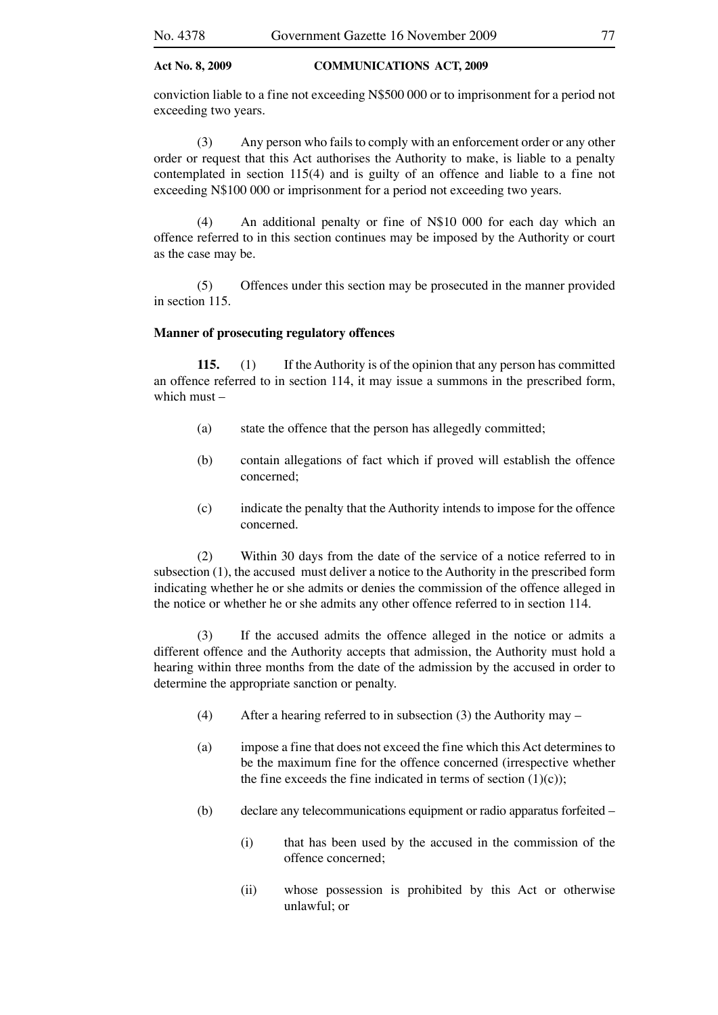conviction liable to a fine not exceeding N\$500 000 or to imprisonment for a period not exceeding two years.

 (3) Any person who fails to comply with an enforcement order or any other order or request that this Act authorises the Authority to make, is liable to a penalty contemplated in section 115(4) and is guilty of an offence and liable to a fine not exceeding N\$100 000 or imprisonment for a period not exceeding two years.

 (4) An additional penalty or fine of N\$10 000 for each day which an offence referred to in this section continues may be imposed by the Authority or court as the case may be.

 (5) Offences under this section may be prosecuted in the manner provided in section 115.

## **Manner of prosecuting regulatory offences**

**115.** (1) If the Authority is of the opinion that any person has committed an offence referred to in section 114, it may issue a summons in the prescribed form, which must –

- (a) state the offence that the person has allegedly committed;
- (b) contain allegations of fact which if proved will establish the offence concerned;
- (c) indicate the penalty that the Authority intends to impose for the offence concerned.

 (2) Within 30 days from the date of the service of a notice referred to in subsection (1), the accused must deliver a notice to the Authority in the prescribed form indicating whether he or she admits or denies the commission of the offence alleged in the notice or whether he or she admits any other offence referred to in section 114.

 (3) If the accused admits the offence alleged in the notice or admits a different offence and the Authority accepts that admission, the Authority must hold a hearing within three months from the date of the admission by the accused in order to determine the appropriate sanction or penalty.

- (4) After a hearing referred to in subsection (3) the Authority may  $-$
- (a) impose a fine that does not exceed the fine which this Act determines to be the maximum fine for the offence concerned (irrespective whether the fine exceeds the fine indicated in terms of section  $(1)(c)$ :
- (b) declare any telecommunications equipment or radio apparatus forfeited
	- (i) that has been used by the accused in the commission of the offence concerned;
	- (ii) whose possession is prohibited by this Act or otherwise unlawful; or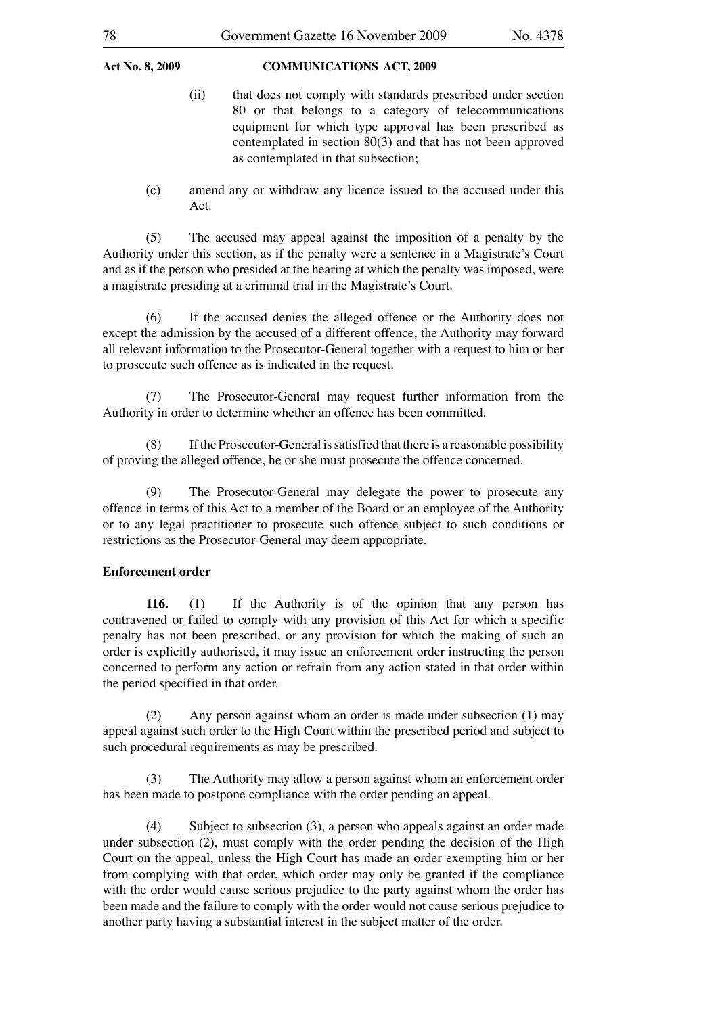- (ii) that does not comply with standards prescribed under section 80 or that belongs to a category of telecommunications equipment for which type approval has been prescribed as contemplated in section 80(3) and that has not been approved as contemplated in that subsection;
- (c) amend any or withdraw any licence issued to the accused under this Act.

 (5) The accused may appeal against the imposition of a penalty by the Authority under this section, as if the penalty were a sentence in a Magistrate's Court and as if the person who presided at the hearing at which the penalty was imposed, were a magistrate presiding at a criminal trial in the Magistrate's Court.

 (6) If the accused denies the alleged offence or the Authority does not except the admission by the accused of a different offence, the Authority may forward all relevant information to the Prosecutor-General together with a request to him or her to prosecute such offence as is indicated in the request.

 (7) The Prosecutor-General may request further information from the Authority in order to determine whether an offence has been committed.

 (8) If the Prosecutor-General is satisfied that there is a reasonable possibility of proving the alleged offence, he or she must prosecute the offence concerned.

 (9) The Prosecutor-General may delegate the power to prosecute any offence in terms of this Act to a member of the Board or an employee of the Authority or to any legal practitioner to prosecute such offence subject to such conditions or restrictions as the Prosecutor-General may deem appropriate.

## **Enforcement order**

 **116.** (1) If the Authority is of the opinion that any person has contravened or failed to comply with any provision of this Act for which a specific penalty has not been prescribed, or any provision for which the making of such an order is explicitly authorised, it may issue an enforcement order instructing the person concerned to perform any action or refrain from any action stated in that order within the period specified in that order.

 (2) Any person against whom an order is made under subsection (1) may appeal against such order to the High Court within the prescribed period and subject to such procedural requirements as may be prescribed.

 (3) The Authority may allow a person against whom an enforcement order has been made to postpone compliance with the order pending an appeal.

 (4) Subject to subsection (3), a person who appeals against an order made under subsection (2), must comply with the order pending the decision of the High Court on the appeal, unless the High Court has made an order exempting him or her from complying with that order, which order may only be granted if the compliance with the order would cause serious prejudice to the party against whom the order has been made and the failure to comply with the order would not cause serious prejudice to another party having a substantial interest in the subject matter of the order.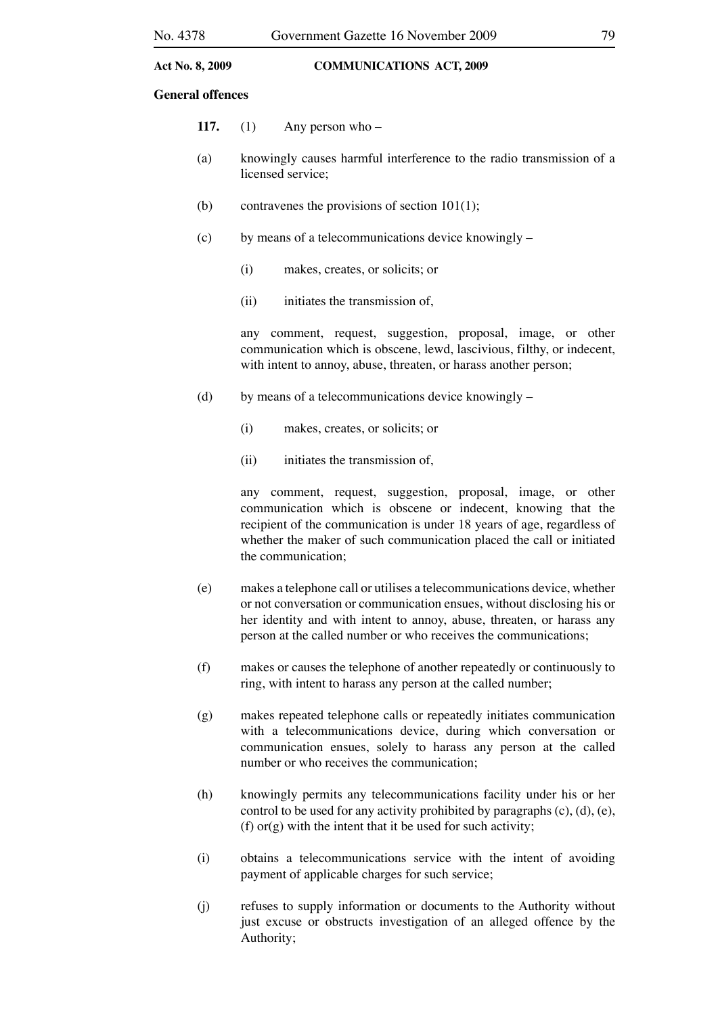#### **General offences**

|     | 117. $(1)$ Any person who –                                                               |
|-----|-------------------------------------------------------------------------------------------|
| (a) | knowingly causes harmful interference to the radio transmission of a<br>licensed service; |
| (b) | contravenes the provisions of section $101(1)$ ;                                          |
| (c) | by means of a telecommunications device knowingly –                                       |

- (i) makes, creates, or solicits; or
- (ii) initiates the transmission of,

 any comment, request, suggestion, proposal, image, or other communication which is obscene, lewd, lascivious, filthy, or indecent, with intent to annoy, abuse, threaten, or harass another person;

- (d) by means of a telecommunications device knowingly
	- (i) makes, creates, or solicits; or
	- (ii) initiates the transmission of

 any comment, request, suggestion, proposal, image, or other communication which is obscene or indecent, knowing that the recipient of the communication is under 18 years of age, regardless of whether the maker of such communication placed the call or initiated the communication;

- (e) makes a telephone call or utilises a telecommunications device, whether or not conversation or communication ensues, without disclosing his or her identity and with intent to annoy, abuse, threaten, or harass any person at the called number or who receives the communications;
- (f) makes or causes the telephone of another repeatedly or continuously to ring, with intent to harass any person at the called number;
- (g) makes repeated telephone calls or repeatedly initiates communication with a telecommunications device, during which conversation or communication ensues, solely to harass any person at the called number or who receives the communication;
- (h) knowingly permits any telecommunications facility under his or her control to be used for any activity prohibited by paragraphs (c), (d), (e), (f)  $or(g)$  with the intent that it be used for such activity;
- (i) obtains a telecommunications service with the intent of avoiding payment of applicable charges for such service;
- (j) refuses to supply information or documents to the Authority without just excuse or obstructs investigation of an alleged offence by the Authority;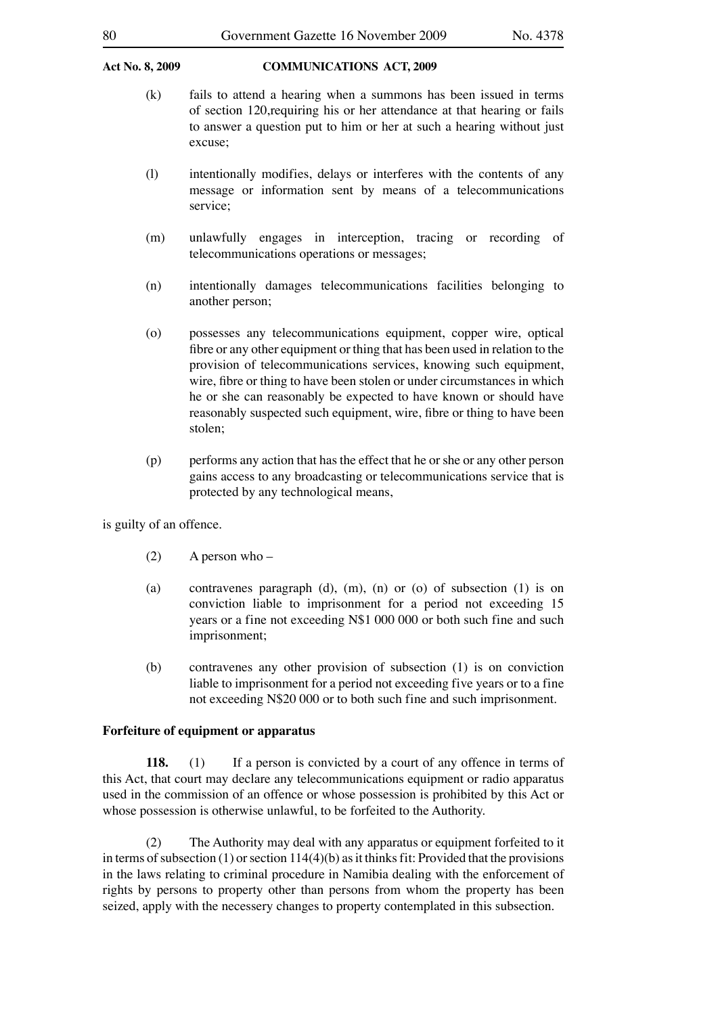- (k) fails to attend a hearing when a summons has been issued in terms of section 120,requiring his or her attendance at that hearing or fails to answer a question put to him or her at such a hearing without just excuse;
- (l) intentionally modifies, delays or interferes with the contents of any message or information sent by means of a telecommunications service;
- (m) unlawfully engages in interception, tracing or recording of telecommunications operations or messages;
- (n) intentionally damages telecommunications facilities belonging to another person;
- (o) possesses any telecommunications equipment, copper wire, optical fibre or any other equipment or thing that has been used in relation to the provision of telecommunications services, knowing such equipment, wire, fibre or thing to have been stolen or under circumstances in which he or she can reasonably be expected to have known or should have reasonably suspected such equipment, wire, fibre or thing to have been stolen;
- (p) performs any action that has the effect that he or she or any other person gains access to any broadcasting or telecommunications service that is protected by any technological means,

is guilty of an offence.

- (2) A person who –
- (a) contravenes paragraph (d),  $(m)$ ,  $(n)$  or  $(o)$  of subsection  $(1)$  is on conviction liable to imprisonment for a period not exceeding 15 years or a fine not exceeding N\$1 000 000 or both such fine and such imprisonment;
- (b) contravenes any other provision of subsection (1) is on conviction liable to imprisonment for a period not exceeding five years or to a fine not exceeding N\$20 000 or to both such fine and such imprisonment.

# **Forfeiture of equipment or apparatus**

118. (1) If a person is convicted by a court of any offence in terms of this Act, that court may declare any telecommunications equipment or radio apparatus used in the commission of an offence or whose possession is prohibited by this Act or whose possession is otherwise unlawful, to be forfeited to the Authority.

 (2) The Authority may deal with any apparatus or equipment forfeited to it in terms of subsection  $(1)$  or section  $114(4)(b)$  as it thinks fit: Provided that the provisions in the laws relating to criminal procedure in Namibia dealing with the enforcement of rights by persons to property other than persons from whom the property has been seized, apply with the necessery changes to property contemplated in this subsection.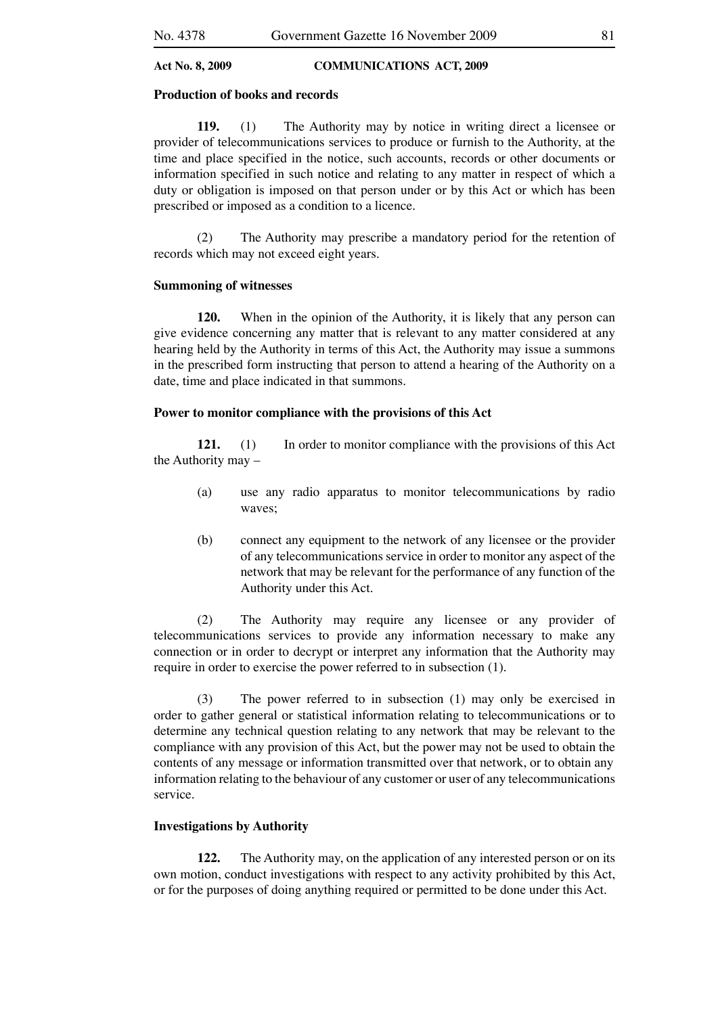#### **Production of books and records**

 **119.** (1) The Authority may by notice in writing direct a licensee or provider of telecommunications services to produce or furnish to the Authority, at the time and place specified in the notice, such accounts, records or other documents or information specified in such notice and relating to any matter in respect of which a duty or obligation is imposed on that person under or by this Act or which has been prescribed or imposed as a condition to a licence.

 (2) The Authority may prescribe a mandatory period for the retention of records which may not exceed eight years.

## **Summoning of witnesses**

**120.** When in the opinion of the Authority, it is likely that any person can give evidence concerning any matter that is relevant to any matter considered at any hearing held by the Authority in terms of this Act, the Authority may issue a summons in the prescribed form instructing that person to attend a hearing of the Authority on a date, time and place indicated in that summons.

#### **Power to monitor compliance with the provisions of this Act**

121. (1) In order to monitor compliance with the provisions of this Act the Authority may –

- (a) use any radio apparatus to monitor telecommunications by radio waves;
- (b) connect any equipment to the network of any licensee or the provider of any telecommunications service in order to monitor any aspect of the network that may be relevant for the performance of any function of the Authority under this Act.

 (2) The Authority may require any licensee or any provider of telecommunications services to provide any information necessary to make any connection or in order to decrypt or interpret any information that the Authority may require in order to exercise the power referred to in subsection (1).

 (3) The power referred to in subsection (1) may only be exercised in order to gather general or statistical information relating to telecommunications or to determine any technical question relating to any network that may be relevant to the compliance with any provision of this Act, but the power may not be used to obtain the contents of any message or information transmitted over that network, or to obtain any information relating to the behaviour of any customer or user of any telecommunications service.

## **Investigations by Authority**

 **122.** The Authority may, on the application of any interested person or on its own motion, conduct investigations with respect to any activity prohibited by this Act, or for the purposes of doing anything required or permitted to be done under this Act.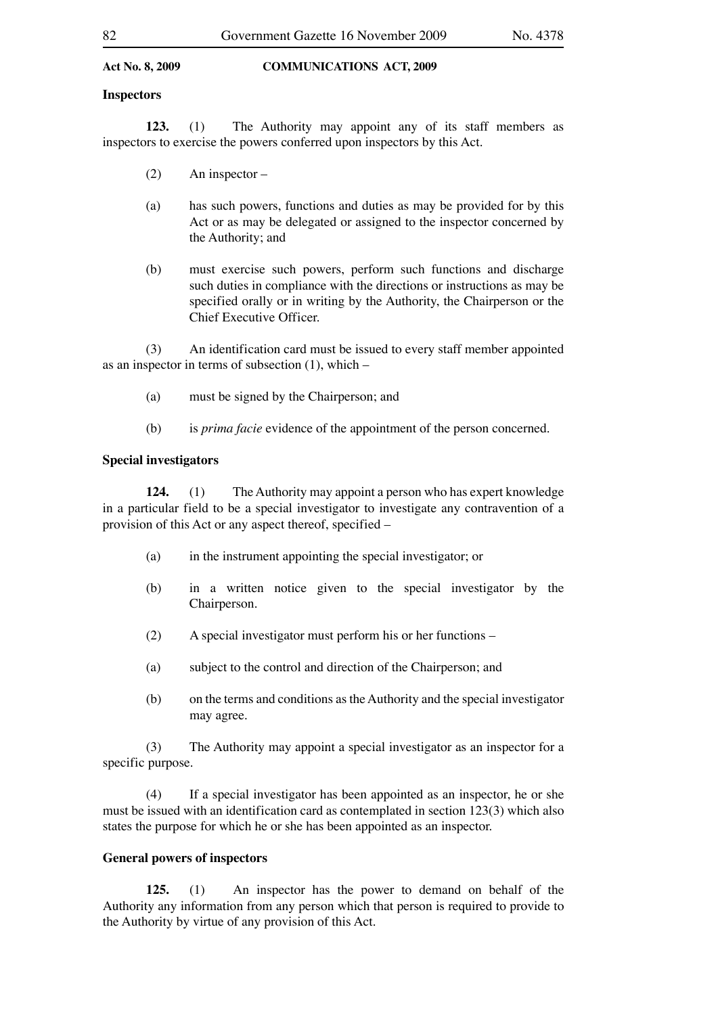## **Inspectors**

 **123.** (1) The Authority may appoint any of its staff members as inspectors to exercise the powers conferred upon inspectors by this Act.

- (2) An inspector –
- (a) has such powers, functions and duties as may be provided for by this Act or as may be delegated or assigned to the inspector concerned by the Authority; and
- (b) must exercise such powers, perform such functions and discharge such duties in compliance with the directions or instructions as may be specified orally or in writing by the Authority, the Chairperson or the Chief Executive Officer.

 (3) An identification card must be issued to every staff member appointed as an inspector in terms of subsection (1), which –

- (a) must be signed by the Chairperson; and
- (b) is *prima facie* evidence of the appointment of the person concerned.

# **Special investigators**

**124.** (1) The Authority may appoint a person who has expert knowledge in a particular field to be a special investigator to investigate any contravention of a provision of this Act or any aspect thereof, specified –

- (a) in the instrument appointing the special investigator; or
- (b) in a written notice given to the special investigator by the Chairperson.
- (2) A special investigator must perform his or her functions –
- (a) subject to the control and direction of the Chairperson; and
- (b) on the terms and conditions as the Authority and the special investigator may agree.

 (3) The Authority may appoint a special investigator as an inspector for a specific purpose.

 (4) If a special investigator has been appointed as an inspector, he or she must be issued with an identification card as contemplated in section 123(3) which also states the purpose for which he or she has been appointed as an inspector.

# **General powers of inspectors**

 **125.** (1) An inspector has the power to demand on behalf of the Authority any information from any person which that person is required to provide to the Authority by virtue of any provision of this Act.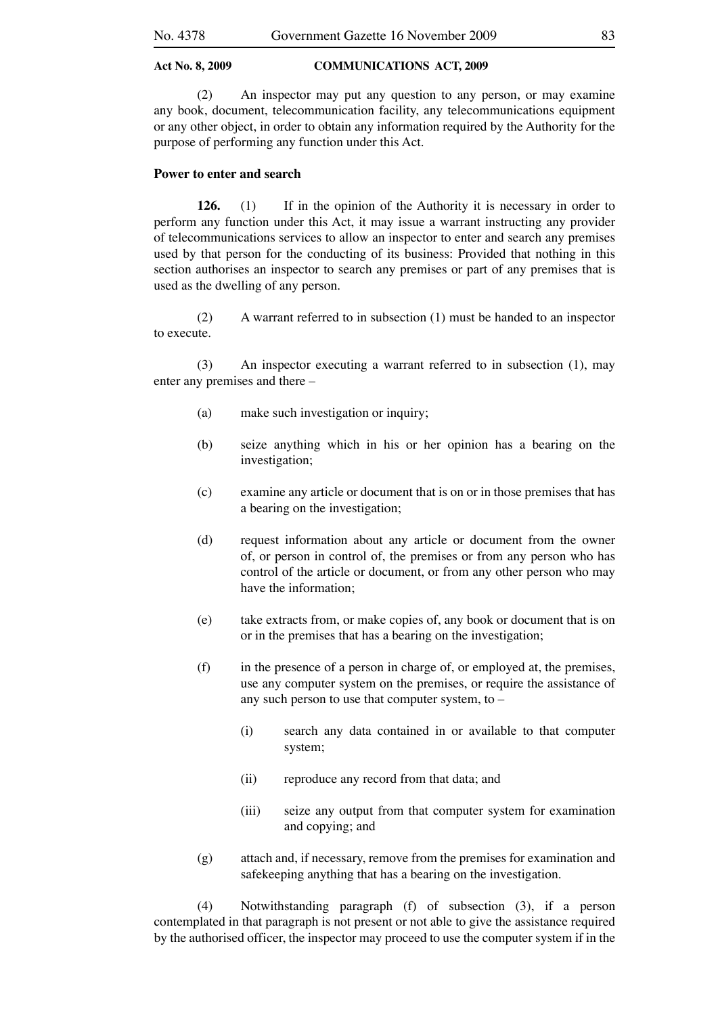(2) An inspector may put any question to any person, or may examine any book, document, telecommunication facility, any telecommunications equipment or any other object, in order to obtain any information required by the Authority for the purpose of performing any function under this Act.

## **Power to enter and search**

**126.** (1) If in the opinion of the Authority it is necessary in order to perform any function under this Act, it may issue a warrant instructing any provider of telecommunications services to allow an inspector to enter and search any premises used by that person for the conducting of its business: Provided that nothing in this section authorises an inspector to search any premises or part of any premises that is used as the dwelling of any person.

 (2) A warrant referred to in subsection (1) must be handed to an inspector to execute.

 (3) An inspector executing a warrant referred to in subsection (1), may enter any premises and there –

- (a) make such investigation or inquiry;
- (b) seize anything which in his or her opinion has a bearing on the investigation;
- (c) examine any article or document that is on or in those premises that has a bearing on the investigation;
- (d) request information about any article or document from the owner of, or person in control of, the premises or from any person who has control of the article or document, or from any other person who may have the information;
- (e) take extracts from, or make copies of, any book or document that is on or in the premises that has a bearing on the investigation;
- (f) in the presence of a person in charge of, or employed at, the premises, use any computer system on the premises, or require the assistance of any such person to use that computer system, to –
	- (i) search any data contained in or available to that computer system;
	- (ii) reproduce any record from that data; and
	- (iii) seize any output from that computer system for examination and copying; and
- (g) attach and, if necessary, remove from the premises for examination and safekeeping anything that has a bearing on the investigation.

 (4) Notwithstanding paragraph (f) of subsection (3), if a person contemplated in that paragraph is not present or not able to give the assistance required by the authorised officer, the inspector may proceed to use the computer system if in the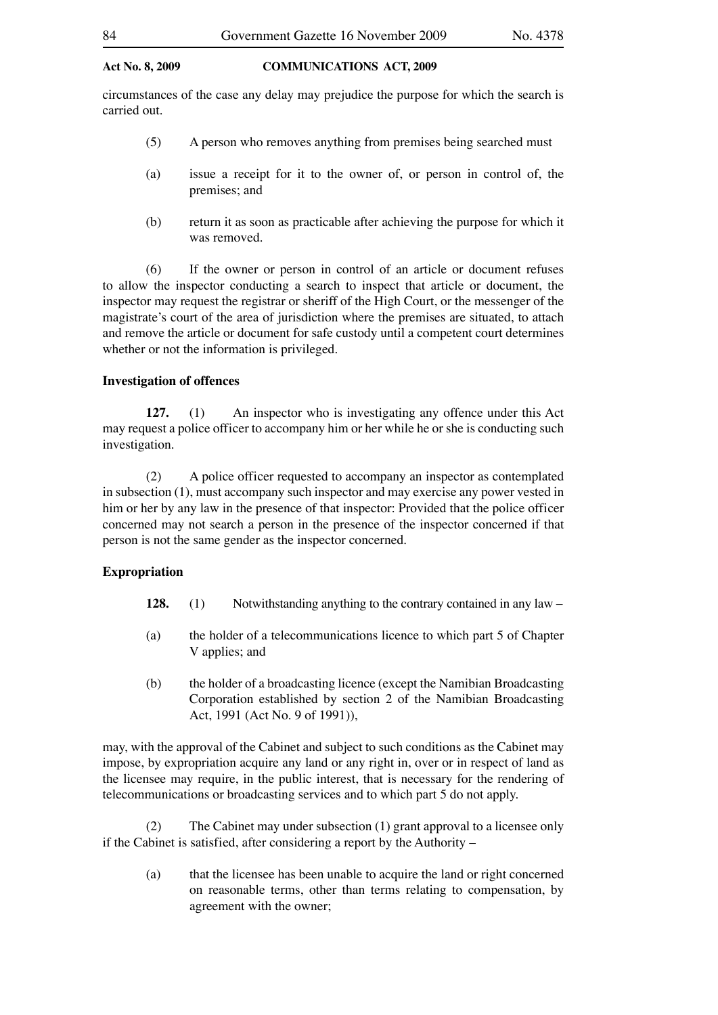circumstances of the case any delay may prejudice the purpose for which the search is carried out.

- (5) A person who removes anything from premises being searched must
- (a) issue a receipt for it to the owner of, or person in control of, the premises; and
- (b) return it as soon as practicable after achieving the purpose for which it was removed.

 (6) If the owner or person in control of an article or document refuses to allow the inspector conducting a search to inspect that article or document, the inspector may request the registrar or sheriff of the High Court, or the messenger of the magistrate's court of the area of jurisdiction where the premises are situated, to attach and remove the article or document for safe custody until a competent court determines whether or not the information is privileged.

# **Investigation of offences**

 **127.** (1) An inspector who is investigating any offence under this Act may request a police officer to accompany him or her while he or she is conducting such investigation.

 (2) A police officer requested to accompany an inspector as contemplated in subsection (1), must accompany such inspector and may exercise any power vested in him or her by any law in the presence of that inspector: Provided that the police officer concerned may not search a person in the presence of the inspector concerned if that person is not the same gender as the inspector concerned.

# **Expropriation**

- **128.** (1) Notwithstanding anything to the contrary contained in any law –
- (a) the holder of a telecommunications licence to which part 5 of Chapter V applies; and
- (b) the holder of a broadcasting licence (except the Namibian Broadcasting Corporation established by section 2 of the Namibian Broadcasting Act, 1991 (Act No. 9 of 1991)),

may, with the approval of the Cabinet and subject to such conditions as the Cabinet may impose, by expropriation acquire any land or any right in, over or in respect of land as the licensee may require, in the public interest, that is necessary for the rendering of telecommunications or broadcasting services and to which part 5 do not apply.

 (2) The Cabinet may under subsection (1) grant approval to a licensee only if the Cabinet is satisfied, after considering a report by the Authority –

 (a) that the licensee has been unable to acquire the land or right concerned on reasonable terms, other than terms relating to compensation, by agreement with the owner;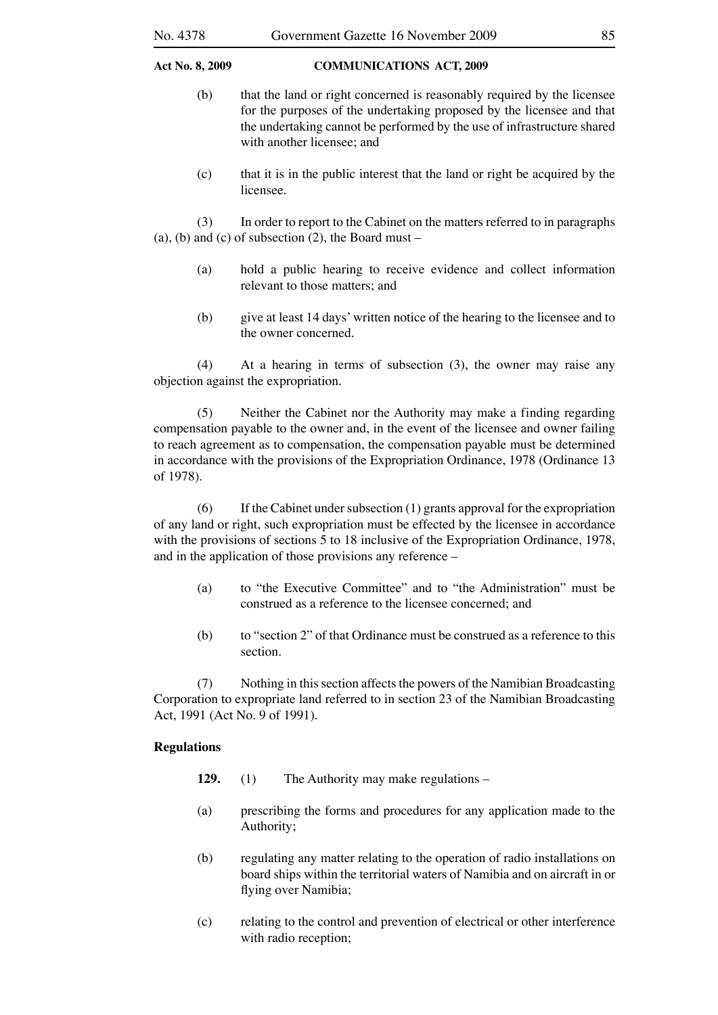- (b) that the land or right concerned is reasonably required by the licensee for the purposes of the undertaking proposed by the licensee and that the undertaking cannot be performed by the use of infrastructure shared with another licensee; and
- (c) that it is in the public interest that the land or right be acquired by the licensee.

 (3) In order to report to the Cabinet on the matters referred to in paragraphs (a), (b) and (c) of subsection  $(2)$ , the Board must –

- (a) hold a public hearing to receive evidence and collect information relevant to those matters; and
- (b) give at least 14 days' written notice of the hearing to the licensee and to the owner concerned.

 (4) At a hearing in terms of subsection (3), the owner may raise any objection against the expropriation.

 (5) Neither the Cabinet nor the Authority may make a finding regarding compensation payable to the owner and, in the event of the licensee and owner failing to reach agreement as to compensation, the compensation payable must be determined in accordance with the provisions of the Expropriation Ordinance, 1978 (Ordinance 13 of 1978).

 (6) If the Cabinet under subsection (1) grants approval for the expropriation of any land or right, such expropriation must be effected by the licensee in accordance with the provisions of sections 5 to 18 inclusive of the Expropriation Ordinance, 1978, and in the application of those provisions any reference –

- (a) to "the Executive Committee" and to "the Administration" must be construed as a reference to the licensee concerned; and
- (b) to "section 2" of that Ordinance must be construed as a reference to this section.

 (7) Nothing in this section affects the powers of the Namibian Broadcasting Corporation to expropriate land referred to in section 23 of the Namibian Broadcasting Act, 1991 (Act No. 9 of 1991).

## **Regulations**

- **129.** (1) The Authority may make regulations –
- (a) prescribing the forms and procedures for any application made to the Authority;
- (b) regulating any matter relating to the operation of radio installations on board ships within the territorial waters of Namibia and on aircraft in or flying over Namibia;
- (c) relating to the control and prevention of electrical or other interference with radio reception;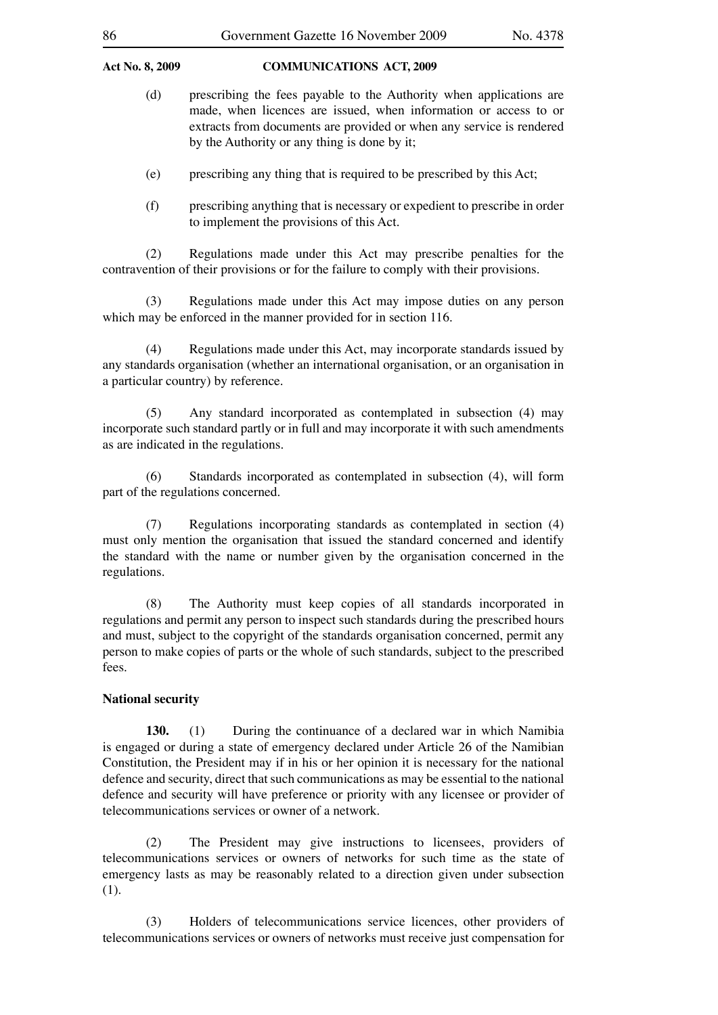- (d) prescribing the fees payable to the Authority when applications are made, when licences are issued, when information or access to or extracts from documents are provided or when any service is rendered by the Authority or any thing is done by it;
- (e) prescribing any thing that is required to be prescribed by this Act;
- (f) prescribing anything that is necessary or expedient to prescribe in order to implement the provisions of this Act.

 (2) Regulations made under this Act may prescribe penalties for the contravention of their provisions or for the failure to comply with their provisions.

 (3) Regulations made under this Act may impose duties on any person which may be enforced in the manner provided for in section 116.

 (4) Regulations made under this Act, may incorporate standards issued by any standards organisation (whether an international organisation, or an organisation in a particular country) by reference.

 (5) Any standard incorporated as contemplated in subsection (4) may incorporate such standard partly or in full and may incorporate it with such amendments as are indicated in the regulations.

 (6) Standards incorporated as contemplated in subsection (4), will form part of the regulations concerned.

 (7) Regulations incorporating standards as contemplated in section (4) must only mention the organisation that issued the standard concerned and identify the standard with the name or number given by the organisation concerned in the regulations.

 (8) The Authority must keep copies of all standards incorporated in regulations and permit any person to inspect such standards during the prescribed hours and must, subject to the copyright of the standards organisation concerned, permit any person to make copies of parts or the whole of such standards, subject to the prescribed fees.

## **National security**

**130.** (1) During the continuance of a declared war in which Namibia is engaged or during a state of emergency declared under Article 26 of the Namibian Constitution, the President may if in his or her opinion it is necessary for the national defence and security, direct that such communications as may be essential to the national defence and security will have preference or priority with any licensee or provider of telecommunications services or owner of a network.

 (2) The President may give instructions to licensees, providers of telecommunications services or owners of networks for such time as the state of emergency lasts as may be reasonably related to a direction given under subsection (1).

 (3) Holders of telecommunications service licences, other providers of telecommunications services or owners of networks must receive just compensation for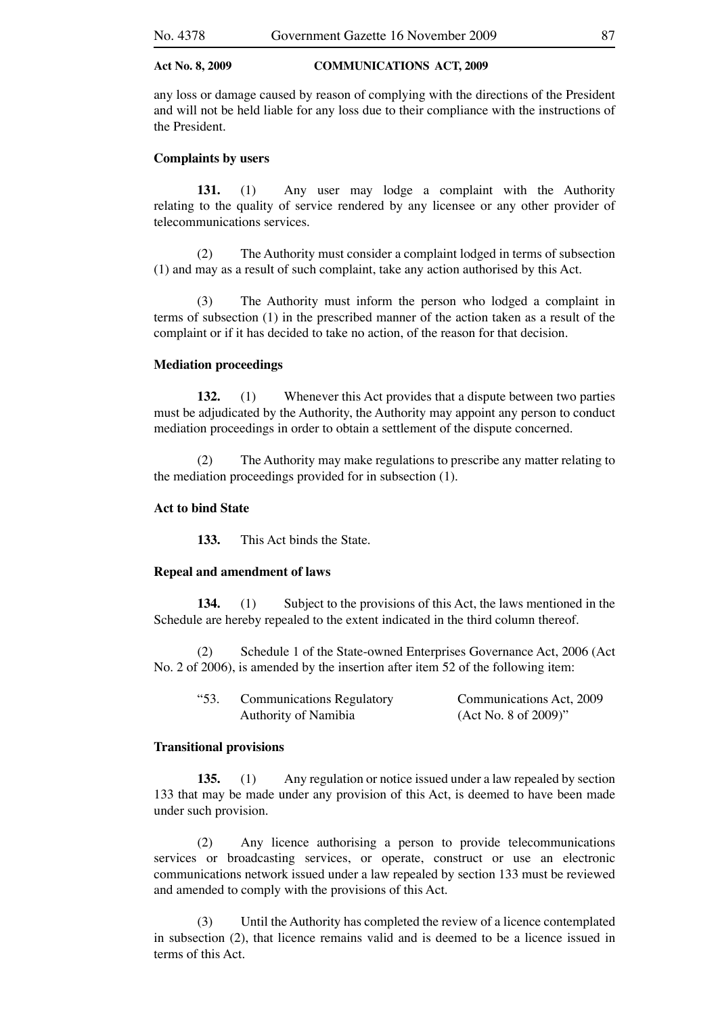any loss or damage caused by reason of complying with the directions of the President and will not be held liable for any loss due to their compliance with the instructions of the President.

## **Complaints by users**

 **131.** (1) Any user may lodge a complaint with the Authority relating to the quality of service rendered by any licensee or any other provider of telecommunications services.

 (2) The Authority must consider a complaint lodged in terms of subsection (1) and may as a result of such complaint, take any action authorised by this Act.

 (3) The Authority must inform the person who lodged a complaint in terms of subsection (1) in the prescribed manner of the action taken as a result of the complaint or if it has decided to take no action, of the reason for that decision.

## **Mediation proceedings**

**132.** (1) Whenever this Act provides that a dispute between two parties must be adjudicated by the Authority, the Authority may appoint any person to conduct mediation proceedings in order to obtain a settlement of the dispute concerned.

 (2) The Authority may make regulations to prescribe any matter relating to the mediation proceedings provided for in subsection (1).

# **Act to bind State**

 **133.** This Act binds the State.

### **Repeal and amendment of laws**

 **134.** (1) Subject to the provisions of this Act, the laws mentioned in the Schedule are hereby repealed to the extent indicated in the third column thereof.

 (2) Schedule 1 of the State-owned Enterprises Governance Act, 2006 (Act No. 2 of 2006), is amended by the insertion after item 52 of the following item:

| "53. | <b>Communications Regulatory</b> | Communications Act, 2009 |
|------|----------------------------------|--------------------------|
|      | <b>Authority of Namibia</b>      | $(Act No. 8 of 2009)$ "  |

# **Transitional provisions**

135. (1) Any regulation or notice issued under a law repealed by section 133 that may be made under any provision of this Act, is deemed to have been made under such provision.

 (2) Any licence authorising a person to provide telecommunications services or broadcasting services, or operate, construct or use an electronic communications network issued under a law repealed by section 133 must be reviewed and amended to comply with the provisions of this Act.

 (3) Until the Authority has completed the review of a licence contemplated in subsection (2), that licence remains valid and is deemed to be a licence issued in terms of this Act.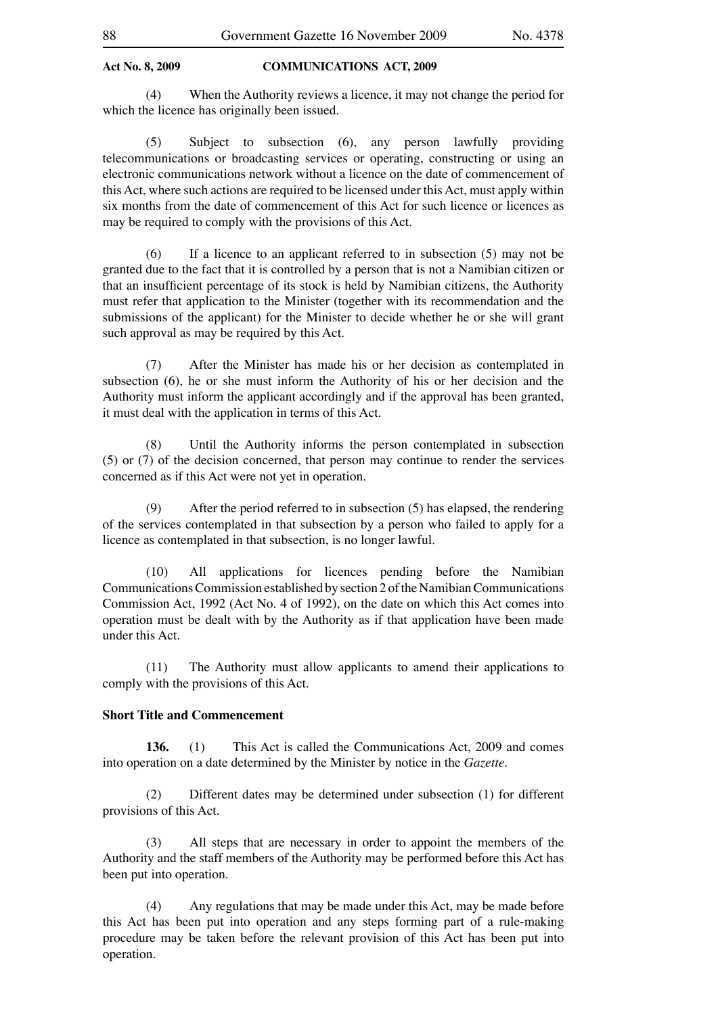(4) When the Authority reviews a licence, it may not change the period for which the licence has originally been issued.

 (5) Subject to subsection (6), any person lawfully providing telecommunications or broadcasting services or operating, constructing or using an electronic communications network without a licence on the date of commencement of this Act, where such actions are required to be licensed under this Act, must apply within six months from the date of commencement of this Act for such licence or licences as may be required to comply with the provisions of this Act.

 (6) If a licence to an applicant referred to in subsection (5) may not be granted due to the fact that it is controlled by a person that is not a Namibian citizen or that an insufficient percentage of its stock is held by Namibian citizens, the Authority must refer that application to the Minister (together with its recommendation and the submissions of the applicant) for the Minister to decide whether he or she will grant such approval as may be required by this Act.

 (7) After the Minister has made his or her decision as contemplated in subsection (6), he or she must inform the Authority of his or her decision and the Authority must inform the applicant accordingly and if the approval has been granted, it must deal with the application in terms of this Act.

 (8) Until the Authority informs the person contemplated in subsection (5) or (7) of the decision concerned, that person may continue to render the services concerned as if this Act were not yet in operation.

 (9) After the period referred to in subsection (5) has elapsed, the rendering of the services contemplated in that subsection by a person who failed to apply for a licence as contemplated in that subsection, is no longer lawful.

 (10) All applications for licences pending before the Namibian Communications Commission established by section 2 of the Namibian Communications Commission Act, 1992 (Act No. 4 of 1992), on the date on which this Act comes into operation must be dealt with by the Authority as if that application have been made under this Act.

 (11) The Authority must allow applicants to amend their applications to comply with the provisions of this Act.

# **Short Title and Commencement**

 **136.** (1) This Act is called the Communications Act, 2009 and comes into operation on a date determined by the Minister by notice in the *Gazette*.

 (2) Different dates may be determined under subsection (1) for different provisions of this Act.

 (3) All steps that are necessary in order to appoint the members of the Authority and the staff members of the Authority may be performed before this Act has been put into operation.

 (4) Any regulations that may be made under this Act, may be made before this Act has been put into operation and any steps forming part of a rule-making procedure may be taken before the relevant provision of this Act has been put into operation.